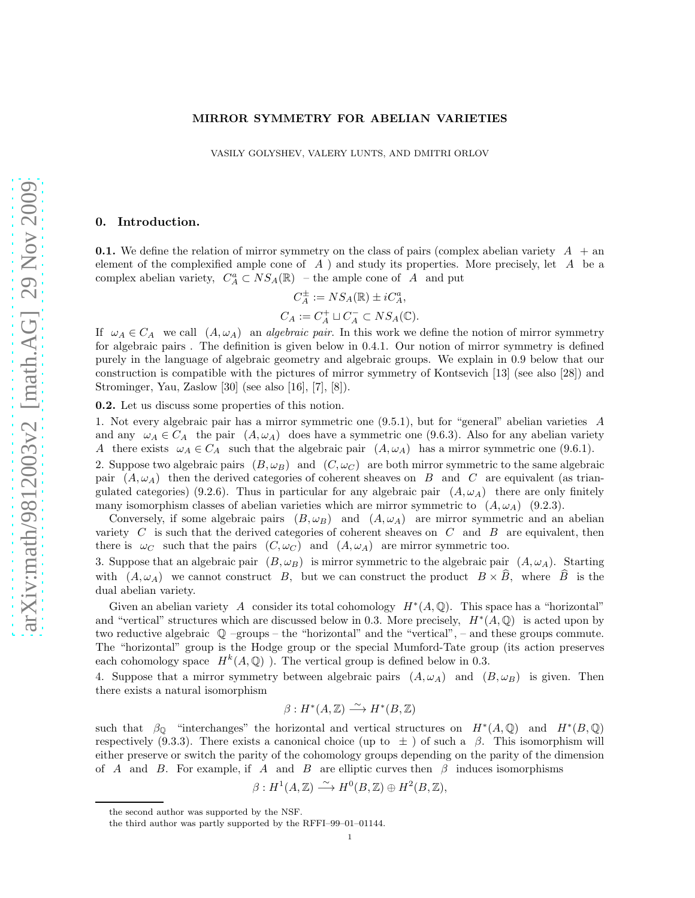#### MIRROR SYMMETRY FOR ABELIAN VARIETIES

VASILY GOLYSHEV, VALERY LUNTS, AND DMITRI ORLOV

# 0. Introduction.

**0.1.** We define the relation of mirror symmetry on the class of pairs (complex abelian variety  $A$  + an element of the complexified ample cone of  $A$ ) and study its properties. More precisely, let  $A$  be a complex abelian variety,  $C_A^a \subset NS_A(\mathbb{R})$  – the ample cone of A and put

$$
C_A^{\pm} := NS_A(\mathbb{R}) \pm iC_A^a,
$$
  

$$
C_A := C_A^+ \sqcup C_A^- \subset NS_A(\mathbb{C}).
$$

If  $\omega_A \in C_A$  we call  $(A, \omega_A)$  an *algebraic pair*. In this work we define the notion of mirror symmetry for algebraic pairs . The definition is given below in 0.4.1. Our notion of mirror symmetry is defined purely in the language of algebraic geometry and algebraic groups. We explain in 0.9 below that our construction is compatible with the pictures of mirror symmetry of Kontsevich [13] (see also [28]) and Strominger, Yau, Zaslow [30] (see also [16], [7], [8]).

0.2. Let us discuss some properties of this notion.

1. Not every algebraic pair has a mirror symmetric one (9.5.1), but for "general" abelian varieties A and any  $\omega_A \in C_A$  the pair  $(A, \omega_A)$  does have a symmetric one (9.6.3). Also for any abelian variety A there exists  $\omega_A \in C_A$  such that the algebraic pair  $(A, \omega_A)$  has a mirror symmetric one (9.6.1).

2. Suppose two algebraic pairs  $(B, \omega_B)$  and  $(C, \omega_C)$  are both mirror symmetric to the same algebraic pair  $(A, \omega_A)$  then the derived categories of coherent sheaves on B and C are equivalent (as triangulated categories) (9.2.6). Thus in particular for any algebraic pair  $(A, \omega_A)$  there are only finitely many isomorphism classes of abelian varieties which are mirror symmetric to  $(A, \omega_A)$  (9.2.3).

Conversely, if some algebraic pairs  $(B, \omega_B)$  and  $(A, \omega_A)$  are mirror symmetric and an abelian variety  $C$  is such that the derived categories of coherent sheaves on  $C$  and  $B$  are equivalent, then there is  $\omega_C$  such that the pairs  $(C, \omega_C)$  and  $(A, \omega_A)$  are mirror symmetric too.

3. Suppose that an algebraic pair  $(B, \omega_B)$  is mirror symmetric to the algebraic pair  $(A, \omega_A)$ . Starting with  $(A, \omega_A)$  we cannot construct B, but we can construct the product  $B \times \widehat{B}$ , where  $\widehat{B}$  is the dual abelian variety.

Given an abelian variety A consider its total cohomology  $H^*(A, \mathbb{Q})$ . This space has a "horizontal" and "vertical" structures which are discussed below in 0.3. More precisely,  $H^*(A, \mathbb{Q})$  is acted upon by two reductive algebraic  $\mathbb{Q}$  –groups – the "horizontal" and the "vertical", – and these groups commute. The "horizontal" group is the Hodge group or the special Mumford-Tate group (its action preserves each cohomology space  $H^k(A, \mathbb{Q})$ . The vertical group is defined below in 0.3.

4. Suppose that a mirror symmetry between algebraic pairs  $(A, \omega_A)$  and  $(B, \omega_B)$  is given. Then there exists a natural isomorphism

$$
\beta: H^*(A, \mathbb{Z}) \xrightarrow{\sim} H^*(B, \mathbb{Z})
$$

such that  $\beta_{\mathbb{Q}}$  "interchanges" the horizontal and vertical structures on  $H^*(A,\mathbb{Q})$  and  $H^*(B,\mathbb{Q})$ respectively (9.3.3). There exists a canonical choice (up to  $\pm$ ) of such a β. This isomorphism will either preserve or switch the parity of the cohomology groups depending on the parity of the dimension of A and B. For example, if A and B are elliptic curves then  $\beta$  induces isomorphisms

$$
\beta: H^1(A,\mathbb{Z}) \longrightarrow H^0(B,\mathbb{Z}) \oplus H^2(B,\mathbb{Z}),
$$

the second author was supported by the NSF.

the third author was partly supported by the RFFI–99–01–01144.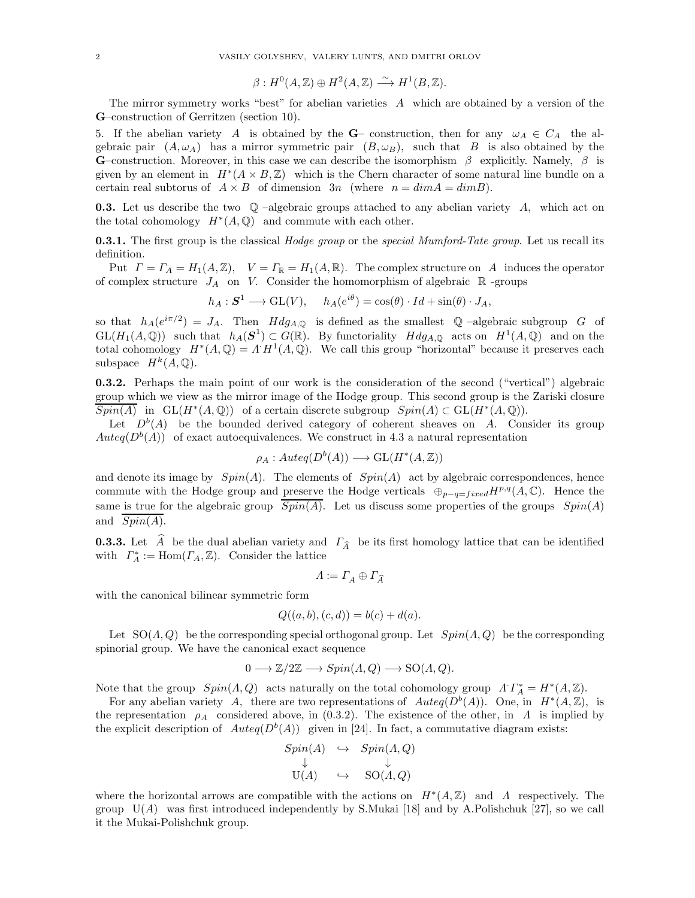$$
\beta: H^0(A,\mathbb{Z}) \oplus H^2(A,\mathbb{Z}) \stackrel{\sim}{\longrightarrow} H^1(B,\mathbb{Z}).
$$

The mirror symmetry works "best" for abelian varieties A which are obtained by a version of the G–construction of Gerritzen (section 10).

5. If the abelian variety A is obtained by the **G**– construction, then for any  $\omega_A \in C_A$  the algebraic pair  $(A, \omega_A)$  has a mirror symmetric pair  $(B, \omega_B)$ , such that B is also obtained by the **G**–construction. Moreover, in this case we can describe the isomorphism  $\beta$  explicitly. Namely,  $\beta$  is given by an element in  $H^*(A \times B, \mathbb{Z})$  which is the Chern character of some natural line bundle on a certain real subtorus of  $A \times B$  of dimension 3n (where  $n = dim A = dim B)$ .

**0.3.** Let us describe the two  $\mathbb{Q}$  –algebraic groups attached to any abelian variety A, which act on the total cohomology  $H^*(A, \mathbb{Q})$  and commute with each other.

**0.3.1.** The first group is the classical *Hodge group* or the *special Mumford-Tate group*. Let us recall its definition.

Put  $\Gamma = \Gamma_A = H_1(A, \mathbb{Z}), \quad V = \Gamma_{\mathbb{R}} = H_1(A, \mathbb{R}).$  The complex structure on A induces the operator of complex structure  $J_A$  on V. Consider the homomorphism of algebraic  $\mathbb R$  -groups

$$
h_A: \mathbf{S}^1 \longrightarrow \mathrm{GL}(V), \quad h_A(e^{i\theta}) = \cos(\theta) \cdot Id + \sin(\theta) \cdot J_A,
$$

so that  $h_A(e^{i\pi/2}) = J_A$ . Then  $Hdg_{A,Q}$  is defined as the smallest Q –algebraic subgroup G of  $GL(H_1(A, \mathbb{Q}))$  such that  $h_A(\mathbf{S}^1) \subset G(\mathbb{R})$ . By functoriality  $Hdg_{A,\mathbb{Q}}$  acts on  $H^1(A, \mathbb{Q})$  and on the total cohomology  $H^*(A, \mathbb{Q}) = \Lambda H^1(A, \mathbb{Q})$ . We call this group "horizontal" because it preserves each subspace  $H^k(A, \mathbb{Q})$ .

0.3.2. Perhaps the main point of our work is the consideration of the second ("vertical") algebraic group which we view as the mirror image of the Hodge group. This second group is the Zariski closure  $\overline{Spin(A)}$  in  $GL(H^*(A,\mathbb{Q}))$  of a certain discrete subgroup  $Spin(A) \subset GL(H^*(A,\mathbb{Q}))$ .

Let  $D^{b}(A)$  be the bounded derived category of coherent sheaves on A. Consider its group  $Aut eq(D<sup>b</sup>(A))$  of exact autoequivalences. We construct in 4.3 a natural representation

$$
\rho_A: Auteq(D^b(A)) \longrightarrow GL(H^*(A, \mathbb{Z}))
$$

and denote its image by  $Spin(A)$ . The elements of  $Spin(A)$  act by algebraic correspondences, hence commute with the Hodge group and preserve the Hodge verticals  $\bigoplus_{p-q=fixed} H^{p,q}(A,\mathbb{C})$ . Hence the same is true for the algebraic group  $\overline{Spin(A)}$ . Let us discuss some properties of the groups  $Spin(A)$ and  $Spin(A)$ .

**0.3.3.** Let  $\widehat{A}$  be the dual abelian variety and  $\Gamma_{\widehat{A}}$  be its first homology lattice that can be identified with  $\Gamma_A^* := \text{Hom}(\Gamma_A, \mathbb{Z})$ . Consider the lattice

$$
\varLambda:=\varGamma_A\oplus\varGamma_{\widehat{A}}
$$

with the canonical bilinear symmetric form

$$
Q((a, b), (c, d)) = b(c) + d(a).
$$

Let  $SO(\Lambda, Q)$  be the corresponding special orthogonal group. Let  $Spin(\Lambda, Q)$  be the corresponding spinorial group. We have the canonical exact sequence

$$
0 \longrightarrow \mathbb{Z}/2\mathbb{Z} \longrightarrow Spin(A,Q) \longrightarrow SO(A,Q).
$$

Note that the group  $Spin(A, Q)$  acts naturally on the total cohomology group  $\Lambda \Gamma_A^* = H^*(A, \mathbb{Z})$ .

For any abelian variety A, there are two representations of  $Auteq(D^b(A))$ . One, in  $H^*(A,\mathbb{Z})$ , is the representation  $\rho_A$  considered above, in (0.3.2). The existence of the other, in  $\Lambda$  is implied by the explicit description of  $Auteq(D^b(A))$  given in [24]. In fact, a commutative diagram exists:

$$
Spin(A) \leftrightarrow Spin(A, Q)
$$
  
\n
$$
\downarrow \qquad \qquad \downarrow
$$
  
\n
$$
U(A) \leftrightarrow SO(A, Q)
$$

where the horizontal arrows are compatible with the actions on  $H^*(A, \mathbb{Z})$  and  $\Lambda$  respectively. The group  $U(A)$  was first introduced independently by S.Mukai [18] and by A.Polishchuk [27], so we call it the Mukai-Polishchuk group.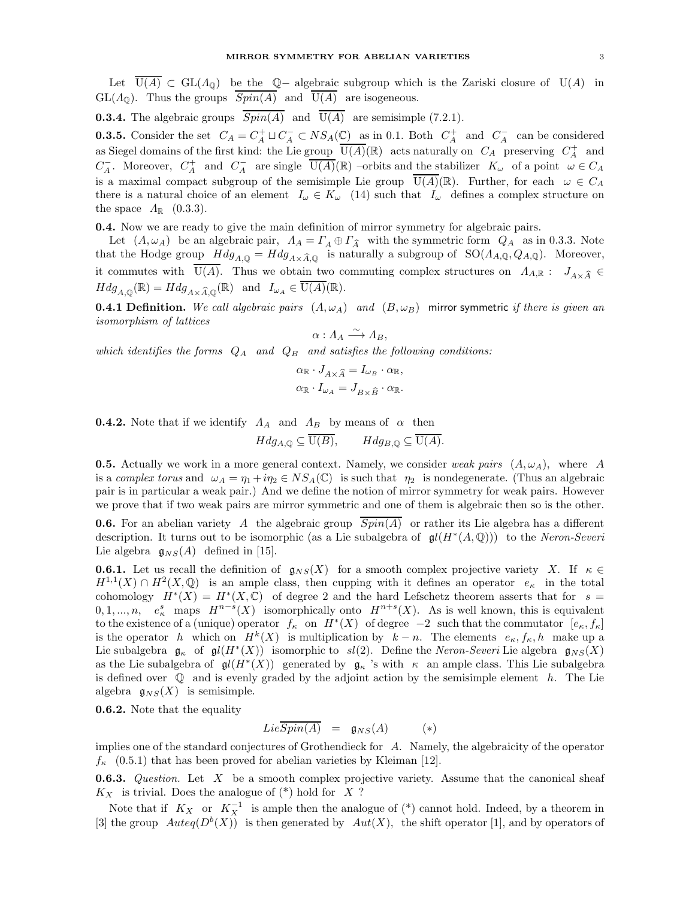Let  $\overline{U(A)} \subset GL(\Lambda_{\mathbb{Q}})$  be the  $\mathbb{Q}-$  algebraic subgroup which is the Zariski closure of  $U(A)$  in  $GL(A_{\mathbb{Q}})$ . Thus the groups  $\overline{Spin(A)}$  and  $\overline{U(A)}$  are isogeneous.

**0.3.4.** The algebraic groups  $\overline{Spin(A)}$  and  $\overline{U(A)}$  are semisimple (7.2.1).

**0.3.5.** Consider the set  $C_A = C_A^+ \sqcup C_A^- \subset NS_A(\mathbb{C})$  as in 0.1. Both  $C_A^+$  and  $C_A^-$  can be considered as Siegel domains of the first kind: the Lie group  $\overline{U(A)}(\mathbb{R})$  acts naturally on  $C_A$  preserving  $C_A^+$  and  $C_A^-$ . Moreover,  $C_A^+$  and  $C_A^-$  are single  $\overline{U(A)}(\mathbb{R})$  -orbits and the stabilizer  $K_\omega$  of a point  $\omega \in C_A$ is a maximal compact subgroup of the semisimple Lie group  $U(A)(\mathbb{R})$ . Further, for each  $\omega \in C_A$ there is a natural choice of an element  $I_\omega \in K_\omega$  (14) such that  $I_\omega$  defines a complex structure on the space  $\Lambda_{\mathbb{R}}$  (0.3.3).

0.4. Now we are ready to give the main definition of mirror symmetry for algebraic pairs.

Let  $(A, \omega_A)$  be an algebraic pair,  $\Lambda_A = \Gamma_A \oplus \Gamma_{\widehat{A}}$  with the symmetric form  $Q_A$  as in 0.3.3. Note that the Hodge group  $H dg_{A,Q} = H dg_{A \times \widehat{A},\mathbb{Q}}$  is naturally a subgroup of  $SO(A_{A,Q}, Q_{A,Q})$ . Moreover, it commutes with  $\overline{U(A)}$ . Thus we obtain two commuting complex structures on  $A_{A,R}$ :  $J_{A\times \widehat{A}}$  $H dg_{A,\mathbb{Q}}(\mathbb{R}) = H dg_{A \times \widehat{A},\mathbb{Q}}(\mathbb{R}) \text{ and } I_{\omega_A} \in \mathrm{U}(A)(\mathbb{R}).$ 

**0.4.1 Definition.** We call algebraic pairs  $(A, \omega_A)$  and  $(B, \omega_B)$  mirror symmetric if there is given an isomorphism of lattices

 $\alpha: A_A \xrightarrow{\sim} A_B,$ 

which identifies the forms  $Q_A$  and  $Q_B$  and satisfies the following conditions:

$$
\alpha_{\mathbb{R}} \cdot J_{A \times \widehat{A}} = I_{\omega_B} \cdot \alpha_{\mathbb{R}},
$$
  

$$
\alpha_{\mathbb{R}} \cdot I_{\omega_A} = J_{B \times \widehat{B}} \cdot \alpha_{\mathbb{R}}.
$$

**0.4.2.** Note that if we identify  $\Lambda_A$  and  $\Lambda_B$  by means of  $\alpha$  then

$$
H dg_{A,Q} \subseteq \overline{U(B)}, \qquad H dg_{B,Q} \subseteq \overline{U(A)}.
$$

**0.5.** Actually we work in a more general context. Namely, we consider weak pairs  $(A, \omega_A)$ , where A is a *complex torus* and  $\omega_A = \eta_1 + i\eta_2 \in NS_A(\mathbb{C})$  is such that  $\eta_2$  is nondegenerate. (Thus an algebraic pair is in particular a weak pair.) And we define the notion of mirror symmetry for weak pairs. However we prove that if two weak pairs are mirror symmetric and one of them is algebraic then so is the other.

**0.6.** For an abelian variety A the algebraic group  $Spin(A)$  or rather its Lie algebra has a different description. It turns out to be isomorphic (as a Lie subalgebra of  $\mathfrak{gl}(H^*(A,\mathbb{Q}))$ ) to the Neron-Severi Lie algebra  $\mathfrak{g}_{NS}(A)$  defined in [15].

**0.6.1.** Let us recall the definition of  $g_{NS}(X)$  for a smooth complex projective variety X. If  $\kappa \in$  $H^{1,1}(X) \cap H^2(X,\mathbb{Q})$  is an ample class, then cupping with it defines an operator  $e_{\kappa}$  in the total cohomology  $H^*(X) = H^*(X, \mathbb{C})$  of degree 2 and the hard Lefschetz theorem asserts that for  $s =$  $0, 1, ..., n$ ,  $e_{\kappa}^{s}$  maps  $H^{n-s}(X)$  isomorphically onto  $H^{n+s}(X)$ . As is well known, this is equivalent to the existence of a (unique) operator  $f_{\kappa}$  on  $H^*(X)$  of degree  $-2$  such that the commutator  $[e_{\kappa}, f_{\kappa}]$ is the operator h which on  $H^k(X)$  is multiplication by  $k-n$ . The elements  $e_{\kappa}, f_{\kappa}, h$  make up a Lie subalgebra  $\mathfrak{g}_{\kappa}$  of  $\mathfrak{gl}(H^*(X))$  isomorphic to  $sl(2)$ . Define the Neron-Severi Lie algebra  $\mathfrak{g}_{NS}(X)$ as the Lie subalgebra of  $\mathfrak{gl}(H^*(X))$  generated by  $\mathfrak{g}_{\kappa}$  's with  $\kappa$  an ample class. This Lie subalgebra is defined over  $\mathbb Q$  and is evenly graded by the adjoint action by the semisimple element h. The Lie algebra  $\mathfrak{g}_{NS}(X)$  is semisimple.

0.6.2. Note that the equality

$$
Lie \overline{Spin(A)} = \mathfrak{g}_{NS}(A) \qquad (*)
$$

implies one of the standard conjectures of Grothendieck for A. Namely, the algebraicity of the operator  $f_{\kappa}$  (0.5.1) that has been proved for abelian varieties by Kleiman [12].

**0.6.3.** Question. Let  $X$  be a smooth complex projective variety. Assume that the canonical sheaf  $K_X$  is trivial. Does the analogue of  $(*)$  hold for X?

Note that if  $K_X$  or  $K_X^{-1}$  is ample then the analogue of (\*) cannot hold. Indeed, by a theorem in [3] the group  $Auteq(D^b(X))$  is then generated by  $Aut(X)$ , the shift operator [1], and by operators of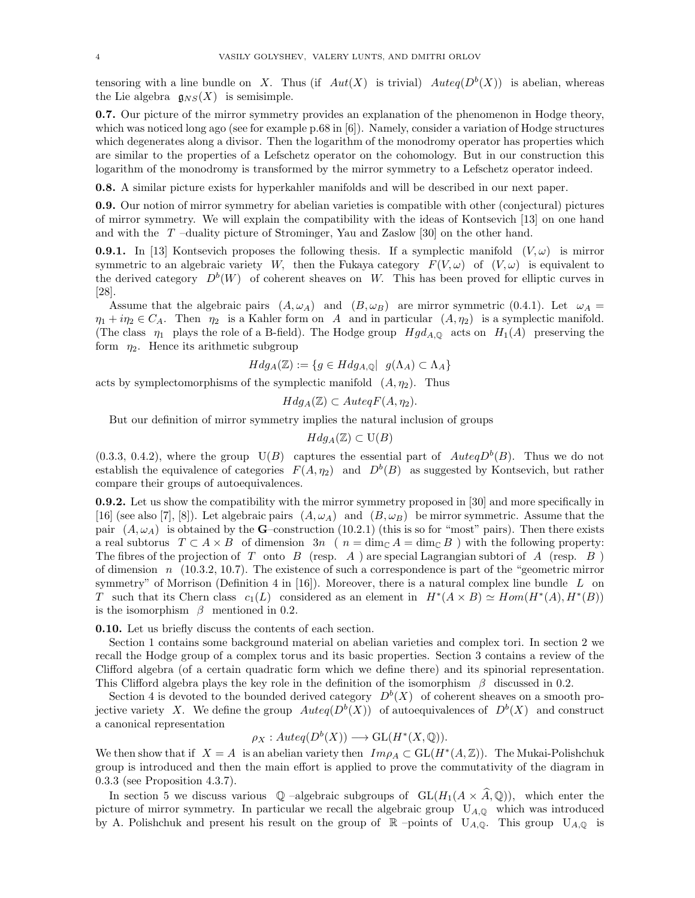tensoring with a line bundle on X. Thus (if  $Aut(X)$  is trivial)  $Aut eq(D^b(X))$  is abelian, whereas the Lie algebra  $\mathfrak{g}_{NS}(X)$  is semisimple.

0.7. Our picture of the mirror symmetry provides an explanation of the phenomenon in Hodge theory, which was noticed long ago (see for example p.68 in [6]). Namely, consider a variation of Hodge structures which degenerates along a divisor. Then the logarithm of the monodromy operator has properties which are similar to the properties of a Lefschetz operator on the cohomology. But in our construction this logarithm of the monodromy is transformed by the mirror symmetry to a Lefschetz operator indeed.

0.8. A similar picture exists for hyperkahler manifolds and will be described in our next paper.

0.9. Our notion of mirror symmetry for abelian varieties is compatible with other (conjectural) pictures of mirror symmetry. We will explain the compatibility with the ideas of Kontsevich [13] on one hand and with the T –duality picture of Strominger, Yau and Zaslow [30] on the other hand.

**0.9.1.** In [13] Kontsevich proposes the following thesis. If a symplectic manifold  $(V, \omega)$  is mirror symmetric to an algebraic variety W, then the Fukaya category  $F(V, \omega)$  of  $(V, \omega)$  is equivalent to the derived category  $D^b(W)$  of coherent sheaves on W. This has been proved for elliptic curves in [28].

Assume that the algebraic pairs  $(A, \omega_A)$  and  $(B, \omega_B)$  are mirror symmetric (0.4.1). Let  $\omega_A =$  $\eta_1 + i\eta_2 \in C_A$ . Then  $\eta_2$  is a Kahler form on A and in particular  $(A, \eta_2)$  is a symplectic manifold. (The class  $\eta_1$  plays the role of a B-field). The Hodge group  $Hgd_{A,\mathbb{Q}}$  acts on  $H_1(A)$  preserving the form  $\eta_2$ . Hence its arithmetic subgroup

$$
H dg_A(\mathbb{Z}) := \{ g \in H dg_{A,\mathbb{Q}} | g(\Lambda_A) \subset \Lambda_A \}
$$

acts by symplectomorphisms of the symplectic manifold  $(A, \eta_2)$ . Thus

$$
Hdg_A(\mathbb{Z}) \subset AuteqF(A, \eta_2).
$$

But our definition of mirror symmetry implies the natural inclusion of groups

$$
Hdg_A(\mathbb{Z}) \subset \mathrm{U}(B)
$$

 $(0.3.3, 0.4.2)$ , where the group  $U(B)$  captures the essential part of AuteqD<sup>b</sup>(B). Thus we do not establish the equivalence of categories  $F(A, \eta_2)$  and  $D^b(B)$  as suggested by Kontsevich, but rather compare their groups of autoequivalences.

0.9.2. Let us show the compatibility with the mirror symmetry proposed in [30] and more specifically in [16] (see also [7], [8]). Let algebraic pairs  $(A, \omega_A)$  and  $(B, \omega_B)$  be mirror symmetric. Assume that the pair  $(A, \omega_A)$  is obtained by the **G**–construction (10.2.1) (this is so for "most" pairs). Then there exists a real subtorus  $T \subset A \times B$  of dimension  $3n$  (  $n = \dim_{\mathbb{C}} A = \dim_{\mathbb{C}} B$ ) with the following property: The fibres of the projection of T onto B (resp. A) are special Lagrangian subtori of A (resp. B) of dimension  $n \quad (10.3.2, 10.7)$ . The existence of such a correspondence is part of the "geometric mirror" symmetry" of Morrison (Definition 4 in [16]). Moreover, there is a natural complex line bundle L on T such that its Chern class  $c_1(L)$  considered as an element in  $H^*(A \times B) \simeq Hom(H^*(A), H^*(B))$ is the isomorphism  $\beta$  mentioned in 0.2.

0.10. Let us briefly discuss the contents of each section.

Section 1 contains some background material on abelian varieties and complex tori. In section 2 we recall the Hodge group of a complex torus and its basic properties. Section 3 contains a review of the Clifford algebra (of a certain quadratic form which we define there) and its spinorial representation. This Clifford algebra plays the key role in the definition of the isomorphism  $\beta$  discussed in 0.2.

Section 4 is devoted to the bounded derived category  $D^b(X)$  of coherent sheaves on a smooth projective variety X. We define the group  $Auteq(D^b(X))$  of autoequivalences of  $D^b(X)$  and construct a canonical representation

$$
\rho_X: Auteq(D^b(X)) \longrightarrow GL(H^*(X, \mathbb{Q})).
$$

We then show that if  $X = A$  is an abelian variety then  $Im \rho_A \subset GL(H^*(A, \mathbb{Z}))$ . The Mukai-Polishchuk group is introduced and then the main effort is applied to prove the commutativity of the diagram in 0.3.3 (see Proposition 4.3.7).

In section 5 we discuss various  $\mathbb{Q}$  –algebraic subgroups of  $GL(H_1(A \times \hat{A}, \mathbb{Q}))$ , which enter the picture of mirror symmetry. In particular we recall the algebraic group  $U_{A,Q}$  which was introduced by A. Polishchuk and present his result on the group of  $\mathbb{R}$  –points of  $U_{A,Q}$ . This group  $U_{A,Q}$  is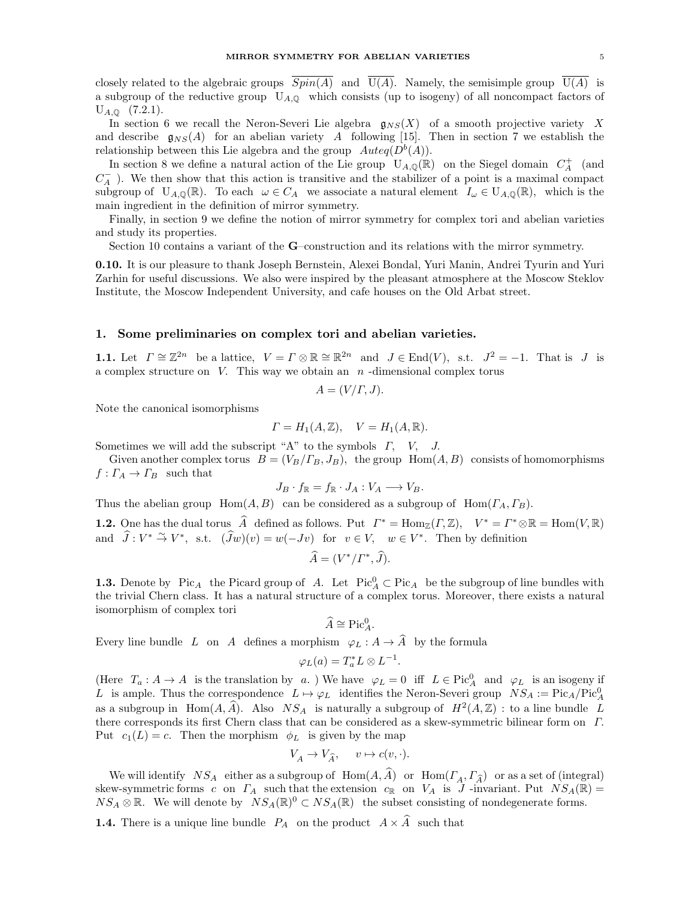closely related to the algebraic groups  $\overline{Spin(A)}$  and  $\overline{U(A)}$ . Namely, the semisimple group  $\overline{U(A)}$  is a subgroup of the reductive group  $U_{A,Q}$  which consists (up to isogeny) of all noncompact factors of  $U_{A,\odot}$  (7.2.1).

In section 6 we recall the Neron-Severi Lie algebra  $\mathfrak{g}_{NS}(X)$  of a smooth projective variety X and describe  $g_{NS}(A)$  for an abelian variety A following [15]. Then in section 7 we establish the relationship between this Lie algebra and the group  $Auteq(D^b(A))$ .

In section 8 we define a natural action of the Lie group  $U_{A,\mathbb{Q}}(\mathbb{R})$  on the Siegel domain  $C_A^+$  (and  $C_A^-$ ). We then show that this action is transitive and the stabilizer of a point is a maximal compact subgroup of  $U_{A,\mathbb{Q}}(\mathbb{R})$ . To each  $\omega \in C_A$  we associate a natural element  $I_{\omega} \in U_{A,\mathbb{Q}}(\mathbb{R})$ , which is the main ingredient in the definition of mirror symmetry.

Finally, in section 9 we define the notion of mirror symmetry for complex tori and abelian varieties and study its properties.

Section 10 contains a variant of the G–construction and its relations with the mirror symmetry.

0.10. It is our pleasure to thank Joseph Bernstein, Alexei Bondal, Yuri Manin, Andrei Tyurin and Yuri Zarhin for useful discussions. We also were inspired by the pleasant atmosphere at the Moscow Steklov Institute, the Moscow Independent University, and cafe houses on the Old Arbat street.

#### 1. Some preliminaries on complex tori and abelian varieties.

**1.1.** Let  $\Gamma \cong \mathbb{Z}^{2n}$  be a lattice,  $V = \Gamma \otimes \mathbb{R} \cong \mathbb{R}^{2n}$  and  $J \in \text{End}(V)$ , s.t.  $J^2 = -1$ . That is J is a complex structure on  $V$ . This way we obtain an  $n$  -dimensional complex torus

$$
A = (V/\Gamma, J).
$$

Note the canonical isomorphisms

$$
\Gamma = H_1(A, \mathbb{Z}), \quad V = H_1(A, \mathbb{R}).
$$

Sometimes we will add the subscript "A" to the symbols  $\Gamma$ ,  $V$ ,  $J$ .

Given another complex torus  $B = (V_B/\Gamma_B, J_B)$ , the group  $\text{Hom}(A, B)$  consists of homomorphisms  $f: \Gamma_A \to \Gamma_B$  such that

$$
J_B \cdot f_{\mathbb{R}} = f_{\mathbb{R}} \cdot J_A : V_A \longrightarrow V_B.
$$

Thus the abelian group  $\text{Hom}(A, B)$  can be considered as a subgroup of  $\text{Hom}(T_A, T_B)$ .

**1.2.** One has the dual torus  $\widehat{A}$  defined as follows. Put  $\Gamma^* = \text{Hom}_{\mathbb{Z}}(\Gamma, \mathbb{Z}), \quad V^* = \Gamma^* \otimes \mathbb{R} = \text{Hom}(V, \mathbb{R})$ and  $\hat{J}: V^* \stackrel{\sim}{\to} V^*$ , s.t.  $(\hat{J}w)(v) = w(-Jv)$  for  $v \in V$ ,  $w \in V^*$ . Then by definition  $\widehat{A} = (V^*/\Gamma^*, \widehat{J}).$ 

**1.3.** Denote by  $Pic_A$  the Picard group of A. Let  $Pic_A^0 \subset Pic_A$  be the subgroup of line bundles with the trivial Chern class. It has a natural structure of a complex torus. Moreover, there exists a natural isomorphism of complex tori

$$
\widehat{A} \cong \operatorname{Pic}^0_A.
$$

Every line bundle L on A defines a morphism  $\varphi_L : A \to \hat{A}$  by the formula

$$
\varphi_L(a) = T_a^* L \otimes L^{-1}
$$

.

(Here  $T_a: A \to A$  is the translation by a.) We have  $\varphi_L = 0$  iff  $L \in \text{Pic}^0_A$  and  $\varphi_L$  is an isogeny if L is ample. Thus the correspondence  $L \mapsto \varphi_L$  identifies the Neron-Severi group  $NS_A := Pic_A/Pic_A^0$ as a subgroup in Hom $(A, \hat{A})$ . Also  $NS_A$  is naturally a subgroup of  $H^2(A, \mathbb{Z})$ : to a line bundle L there corresponds its first Chern class that can be considered as a skew-symmetric bilinear form on Γ. Put  $c_1(L) = c$ . Then the morphism  $\phi_L$  is given by the map

$$
V_A \to V_{\widehat{A}}, \quad v \mapsto c(v, \cdot).
$$

We will identify  $NS_A$  either as a subgroup of  $Hom(A, A)$  or  $Hom(\Gamma_A, \Gamma_{\widehat{A}})$  or as a set of (integral) skew-symmetric forms c on  $\Gamma_A$  such that the extension  $c_R$  on  $V_A$  is J -invariant. Put  $NS_A(\mathbb{R}) =$  $NS_A \otimes \mathbb{R}$ . We will denote by  $NS_A(\mathbb{R})^0 \subset NS_A(\mathbb{R})$  the subset consisting of nondegenerate forms.

**1.4.** There is a unique line bundle  $P_A$  on the product  $A \times \hat{A}$  such that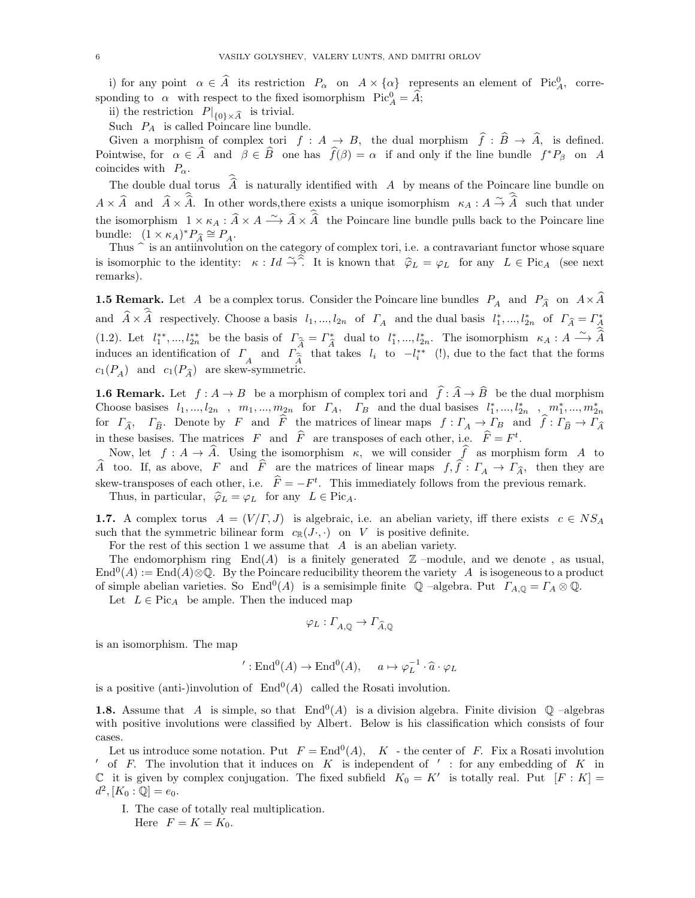i) for any point  $\alpha \in \hat{A}$  its restriction  $P_{\alpha}$  on  $A \times {\alpha}$  represents an element of Pic<sup>0</sup><sub>A</sub>, corresponding to  $\alpha$  with respect to the fixed isomorphism  $Pic_A^0 = \hat{A}$ ;

ii) the restriction  $P|_{\{0\}\times \widehat{A}}\}$  is trivial.

Such  $P_A$  is called Poincare line bundle.

Given a morphism of complex tori  $f : A \to B$ , the dual morphism  $\hat{f} : \hat{B} \to \hat{A}$ , is defined. Pointwise, for  $\alpha \in \hat{A}$  and  $\beta \in \hat{B}$  one has  $\hat{f}(\beta) = \alpha$  if and only if the line bundle  $f^*P_\beta$  on A coincides with  $P_{\alpha}$ .

The double dual torus  $\hat{\hat{A}}$  is naturally identified with A by means of the Poincare line bundle on  $A \times \hat{A}$  and  $\hat{A} \times \hat{A}$ . In other words, there exists a unique isomorphism  $\kappa_A : A \stackrel{\sim}{\to} \hat{A}$  such that under the isomorphism  $1 \times \kappa_A : \hat{A} \times A \longrightarrow \hat{A} \times \hat{A}$  the Poincare line bundle pulls back to the Poincare line bundle:  $(1 \times \kappa_A)^* P_{\widehat{A}} \cong P_A$ .

Thus  $\hat{ }$  is an antiinvolution on the category of complex tori, i.e. a contravariant functor whose square is isomorphic to the identity:  $\kappa : Id \stackrel{\sim}{\to} \widehat{\cdot}$  It is known that  $\hat{\varphi}_L = \varphi_L$  for any  $L \in Pic_A$  (see next remarks).

**1.5 Remark.** Let A be a complex torus. Consider the Poincare line bundles  $P_A$  and  $P_{\widehat{A}}$  on  $A \times A$ and  $\hat{A} \times \hat{A}$  respectively. Choose a basis  $l_1, ..., l_{2n}$  of  $\Gamma_A$  and the dual basis  $l_1^*, ..., l_{2n}^*$  of  $\Gamma_{\hat{A}} = \Gamma_A^*$ (1.2). Let  $l_1^{**},..., l_{2n}^{**}$  be the basis of  $\Gamma_{\widehat{A}} = \Gamma_{\widehat{A}}^*$ <sup>\*</sup><sup>\*</sup> dual to  $l_1^*,...,l_{2n}^*$ . The isomorphism  $\kappa_A : A \xrightarrow{\sim} \widehat{A}$ induces an identification of  $\Gamma_A$  and  $\Gamma_A^2$  that takes  $l_i$  to  $-l_i^{**}$  (!), due to the fact that the forms  $c_1(P_A)$  and  $c_1(P_{\widehat{A}})$  are skew-symmetric.

**1.6 Remark.** Let  $f : A \to B$  be a morphism of complex tori and  $\hat{f} : \hat{A} \to \hat{B}$  be the dual morphism Choose basises  $l_1, ..., l_{2n}$ ,  $m_1, ..., m_{2n}$  for  $\Gamma_A$ ,  $\Gamma_B$  and the dual basises  $l_1^*, ..., l_{2n}^*$ ,  $m_1^*, ..., m_{2n}^*$ for  $\Gamma_{\widehat{A}}, \Gamma_{\widehat{B}}$ . Denote by F and  $\widehat{F}$  the matrices of linear maps  $f : \Gamma_A \to \Gamma_B$  and  $\widehat{f} : \Gamma_{\widehat{B}} \to \Gamma_{\widehat{A}}$ in these basises. The matrices  $F$  and  $\hat{F}$  are transposes of each other, i.e.  $\hat{F} = F^t$ .

Now, let  $f : A \to \hat{A}$ . Using the isomorphism  $\kappa$ , we will consider  $\hat{f}$  as morphism form A to  $\hat{A}$  too. If, as above, F and  $\hat{F}$  are the matrices of linear maps  $f, \hat{f} : \Gamma_A \to \Gamma_{\hat{A}}$ , then they are skew-transposes of each other, i.e.  $\hat{F} = -F^t$ . This immediately follows from the previous remark. Thus, in particular,  $\hat{\varphi}_L = \varphi_L$  for any  $L \in \text{Pic}_A$ .

**1.7.** A complex torus  $A = (V/\Gamma, J)$  is algebraic, i.e. an abelian variety, iff there exists  $c \in NS_A$ such that the symmetric bilinear form  $c_R(J \cdot, \cdot)$  on V is positive definite.

For the rest of this section 1 we assume that  $A$  is an abelian variety.

The endomorphism ring  $\text{End}(A)$  is a finitely generated  $\mathbb{Z}$  –module, and we denote, as usual,  $\text{End}^0(A) := \text{End}(A) \otimes \mathbb{Q}$ . By the Poincare reducibility theorem the variety A is isogeneous to a product of simple abelian varieties. So  $\text{End}^0(A)$  is a semisimple finite  $\mathbb Q$  –algebra. Put  $\Gamma_{A,\mathbb Q} = \Gamma_A \otimes \mathbb Q$ .

Let  $L \in Pic_A$  be ample. Then the induced map

$$
\varphi_L:\varGamma_{A,{\mathbb{Q}}}\to\varGamma_{\widehat{A},{\mathbb{Q}}}
$$

is an isomorphism. The map

$$
'
$$
: End<sup>0</sup> $(A)$   $\rightarrow$  End<sup>0</sup> $(A)$ ,  $a \mapsto \varphi_L^{-1} \cdot \hat{a} \cdot \varphi_L$ 

is a positive (anti-)involution of  $\ \text{End}^0(A)$  called the Rosati involution.

**1.8.** Assume that A is simple, so that  $\text{End}^0(A)$  is a division algebra. Finite division  $\mathbb{Q}$  -algebras with positive involutions were classified by Albert. Below is his classification which consists of four cases.

Let us introduce some notation. Put  $F = \text{End}^0(A)$ ,  $K$  - the center of F. Fix a Rosati involution  $'$  of F. The involution that it induces on K is independent of  $'$ : for any embedding of K in  $\mathbb C$  it is given by complex conjugation. The fixed subfield  $K_0 = K'$  is totally real. Put  $[F:K] =$  $d^2$ ,  $[K_0 : \mathbb{Q}] = e_0$ .

- I. The case of totally real multiplication.
	- Here  $F = K = K_0$ .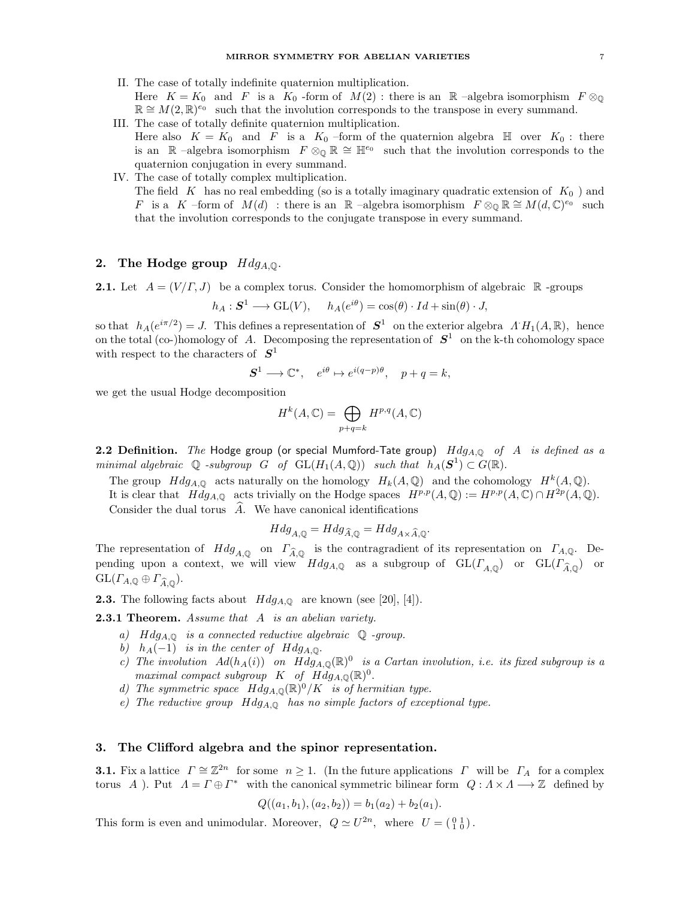- II. The case of totally indefinite quaternion multiplication. Here  $K = K_0$  and F is a  $K_0$ -form of  $M(2)$ : there is an R –algebra isomorphism  $F \otimes_{\mathbb{Q}}$  $\mathbb{R} \cong M(2,\mathbb{R})^{e_0}$  such that the involution corresponds to the transpose in every summand.
- III. The case of totally definite quaternion multiplication. Here also  $K = K_0$  and F is a  $K_0$  –form of the quaternion algebra  $\mathbb{H}$  over  $K_0$ : there is an R –algebra isomorphism  $F \otimes_{\mathbb{Q}} \mathbb{R} \cong \mathbb{H}^{e_0}$  such that the involution corresponds to the quaternion conjugation in every summand.
- IV. The case of totally complex multiplication. The field K has no real embedding (so is a totally imaginary quadratic extension of  $K_0$ ) and F is a K –form of  $M(d)$  : there is an R –algebra isomorphism  $F \otimes_{\mathbb{Q}} \mathbb{R} \cong M(d, \mathbb{C})^{e_0}$  such that the involution corresponds to the conjugate transpose in every summand.

# 2. The Hodge group  $Hdg_{A,\mathbb{Q}}$ .

**2.1.** Let  $A = (V/\Gamma, J)$  be a complex torus. Consider the homomorphism of algebraic R -groups

$$
h_A: \mathbf{S}^1 \longrightarrow \mathrm{GL}(V), \quad h_A(e^{i\theta}) = \cos(\theta) \cdot Id + \sin(\theta) \cdot J,
$$

so that  $h_A(e^{i\pi/2}) = J$ . This defines a representation of  $S^1$  on the exterior algebra  $\Lambda H_1(A, \mathbb{R})$ , hence on the total (co-)homology of A. Decomposing the representation of  $S^1$  on the k-th cohomology space with respect to the characters of  $S^1$ 

$$
S^1 \longrightarrow \mathbb{C}^*, \quad e^{i\theta} \mapsto e^{i(q-p)\theta}, \quad p+q=k,
$$

we get the usual Hodge decomposition

$$
H^k(A, \mathbb{C}) = \bigoplus_{p+q=k} H^{p,q}(A, \mathbb{C})
$$

**2.2 Definition.** The Hodge group (or special Mumford-Tate group)  $Hdg_{A,Q}$  of A is defined as a minimal algebraic  $\mathbb Q$  -subgroup G of  $GL(H_1(A, \mathbb Q))$  such that  $h_A(\mathbf{S}^1) \subset G(\mathbb R)$ .

The group  $Hdg_{A,\mathbb{Q}}$  acts naturally on the homology  $H_k(A,\mathbb{Q})$  and the cohomology  $H^k(A,\mathbb{Q})$ . It is clear that  $Hdg_{A,Q}$  acts trivially on the Hodge spaces  $H^{p,p}(A,Q) := H^{p,p}(A,Q) \cap H^{2p}(A,Q)$ . Consider the dual torus  $\widehat{A}$ . We have canonical identifications

$$
Hdg_{A,\mathbb{Q}} = Hdg_{\widehat{A},\mathbb{Q}} = Hdg_{A \times \widehat{A},\mathbb{Q}}.
$$

The representation of  $Hdg_{A,\mathbb{Q}}$  on  $\Gamma_{\widehat{A},\mathbb{Q}}$  is the contragradient of its representation on  $\Gamma_{A,\mathbb{Q}}$ . Depending upon a context, we will view  $Hdg_{A,Q}$  as a subgroup of  $GL(\Gamma_{A,Q})$  or  $GL(\Gamma_{\widehat{A},Q})$  or  $\mathrm{GL}(T_{A,{\mathbb Q}}\oplus \varGamma_{\widehat{A},{\mathbb Q}}).$ 

**2.3.** The following facts about  $Hdg_{A,\mathbb{Q}}$  are known (see [20], [4]).

**2.3.1 Theorem.** Assume that A is an abelian variety.

- a)  $Hdg_{A,Q}$  is a connected reductive algebraic  $Q$  -group.
- b)  $h_A(-1)$  is in the center of  $Hdg_{A,\mathbb{Q}}$ .
- c) The involution  $Ad(h_A(i))$  on  $Hdg_{A,Q}(\mathbb{R})^0$  is a Cartan involution, i.e. its fixed subgroup is a maximal compact subgroup  $K$  of  $Hdg_{A,\mathbb{Q}}(\mathbb{R})^0$ .
- d) The symmetric space  $H dg_{A,\mathbb{Q}}(\mathbb{R})^0/K$  is of hermitian type.
- e) The reductive group  $Hdg_{A,\mathbb{Q}}$  has no simple factors of exceptional type.

#### 3. The Clifford algebra and the spinor representation.

**3.1.** Fix a lattice  $\Gamma \cong \mathbb{Z}^{2n}$  for some  $n \geq 1$ . (In the future applications  $\Gamma$  will be  $\Gamma_A$  for a complex torus A ). Put  $\Lambda = \Gamma \oplus \Gamma^*$  with the canonical symmetric bilinear form  $Q : \Lambda \times \Lambda \longrightarrow \mathbb{Z}$  defined by

$$
Q((a_1, b_1), (a_2, b_2)) = b_1(a_2) + b_2(a_1).
$$

This form is even and unimodular. Moreover,  $Q \simeq U^{2n}$ , where  $U = \begin{pmatrix} 0 & 1 \\ 1 & 0 \end{pmatrix}$ .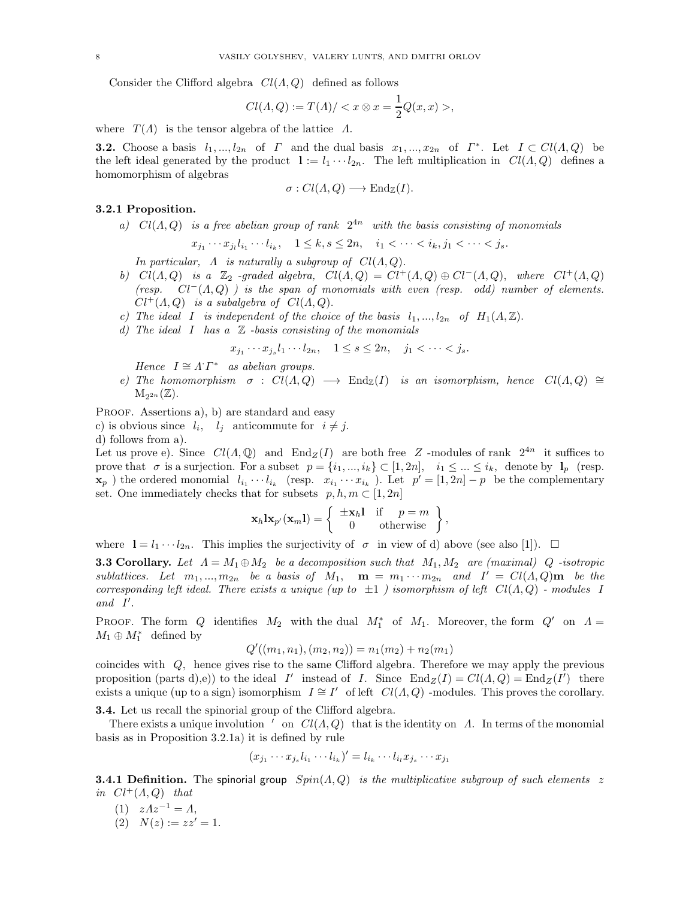Consider the Clifford algebra  $Cl(A, Q)$  defined as follows

$$
Cl(\Lambda, Q) := T(\Lambda) / \langle x \otimes x = \frac{1}{2} Q(x, x) \rangle,
$$

where  $T(\Lambda)$  is the tensor algebra of the lattice  $\Lambda$ .

**3.2.** Choose a basis  $l_1, ..., l_{2n}$  of  $\Gamma$  and the dual basis  $x_1, ..., x_{2n}$  of  $\Gamma^*$ . Let  $I \subset Cl(\Lambda, Q)$  be the left ideal generated by the product  $1 := l_1 \cdots l_{2n}$ . The left multiplication in  $Cl(A, Q)$  defines a homomorphism of algebras

$$
\sigma: Cl(A, Q) \longrightarrow End_{\mathbb{Z}}(I).
$$

#### 3.2.1 Proposition.

a)  $Cl(A, Q)$  is a free abelian group of rank  $2^{4n}$  with the basis consisting of monomials

$$
x_{j_1} \cdots x_{j_l} l_{i_1} \cdots l_{i_k}, \quad 1 \le k, s \le 2n, \quad i_1 < \cdots < i_k, j_1 < \cdots < j_s.
$$

In particular,  $\Lambda$  is naturally a subgroup of  $Cl(\Lambda, Q)$ .

- b)  $Cl(A, Q)$  is a  $\mathbb{Z}_2$  -graded algebra,  $Cl(A, Q) = Cl^+(A, Q) \oplus Cl^-(A, Q)$ , where  $Cl^+(A, Q)$ (resp.  $Cl^-(A, Q)$ ) is the span of monomials with even (resp. odd) number of elements.  $Cl^+(A,Q)$  is a subalgebra of  $Cl(A,Q)$ .
- c) The ideal I is independent of the choice of the basis  $l_1, ..., l_{2n}$  of  $H_1(A, \mathbb{Z})$ .
- d) The ideal  $I$  has a  $\mathbb Z$  -basis consisting of the monomials

$$
x_{j_1}\cdots x_{j_s}l_1\cdots l_{2n}, \quad 1\le s\le 2n, \quad j_1<\cdots
$$

Hence  $I \cong \Lambda^r \Gamma^*$  as abelian groups.

e) The homomorphism  $\sigma : Cl(A, Q) \longrightarrow End_{\mathbb{Z}}(I)$  is an isomorphism, hence  $Cl(A, Q) \cong$  $M_{2^{2n}}(\mathbb{Z}).$ 

PROOF. Assertions a), b) are standard and easy

- c) is obvious since  $l_i$ ,  $l_j$  anticommute for  $i \neq j$ .
- d) follows from a).

Let us prove e). Since  $Cl(A, \mathbb{Q})$  and  $\text{End}_{\mathbb{Z}}(I)$  are both free Z -modules of rank  $2^{4n}$  it suffices to prove that  $\sigma$  is a surjection. For a subset  $p = \{i_1, ..., i_k\} \subset [1, 2n], i_1 \leq ... \leq i_k$ , denote by  $l_p$  (resp.  $\mathbf{x}_p$ ) the ordered monomial  $l_{i_1} \cdots l_{i_k}$  (resp.  $x_{i_1} \cdots x_{i_k}$ ). Let  $p' = [1, 2n] - p$  be the complementary set. One immediately checks that for subsets  $p, h, m \in [1, 2n]$ 

$$
\mathbf{x}_h \mathbf{l} \mathbf{x}_{p'}(\mathbf{x}_m \mathbf{l}) = \left\{ \begin{array}{cl} \pm \mathbf{x}_h \mathbf{l} & \text{if } & p = m \\ 0 & \text{otherwise} \end{array} \right\},\,
$$

where  $1 = l_1 \cdots l_{2n}$ . This implies the surjectivity of  $\sigma$  in view of d) above (see also [1]).  $\Box$ 

**3.3 Corollary.** Let  $\Lambda = M_1 \oplus M_2$  be a decomposition such that  $M_1, M_2$  are (maximal) Q -isotropic sublattices. Let  $m_1, ..., m_{2n}$  be a basis of  $M_1$ ,  $\mathbf{m} = m_1 \cdots m_{2n}$  and  $I' = Cl(A, Q)\mathbf{m}$  be the corresponding left ideal. There exists a unique (up to  $\pm 1$  ) isomorphism of left  $Cl(A, Q)$  - modules I and I'.

PROOF. The form  $Q$  identifies  $M_2$  with the dual  $M_1^*$  of  $M_1$ . Moreover, the form  $Q'$  on  $\Lambda =$  $M_1 \oplus M_1^*$  defined by

$$
Q'((m_1, n_1), (m_2, n_2)) = n_1(m_2) + n_2(m_1)
$$

coincides with Q, hence gives rise to the same Clifford algebra. Therefore we may apply the previous proposition (parts d),e)) to the ideal I' instead of I. Since  $\text{End}_Z(I) = Cl(A, Q) = \text{End}_Z(I')$  there exists a unique (up to a sign) isomorphism  $I \cong I'$  of left  $Cl(A, Q)$  -modules. This proves the corollary.

3.4. Let us recall the spinorial group of the Clifford algebra.

There exists a unique involution  $'$  on  $Cl(A, Q)$  that is the identity on  $\Lambda$ . In terms of the monomial basis as in Proposition 3.2.1a) it is defined by rule

$$
(x_{j_1}\cdots x_{j_s}l_{i_1}\cdots l_{i_k})'=l_{i_k}\cdots l_{i_l}x_{j_s}\cdots x_{j_1}
$$

**3.4.1 Definition.** The spinorial group  $Spin(A, Q)$  is the multiplicative subgroup of such elements z in  $Cl^+(A, Q)$  that

- (1)  $zAz^{-1} = A$ ,
- (2)  $N(z) := zz' = 1.$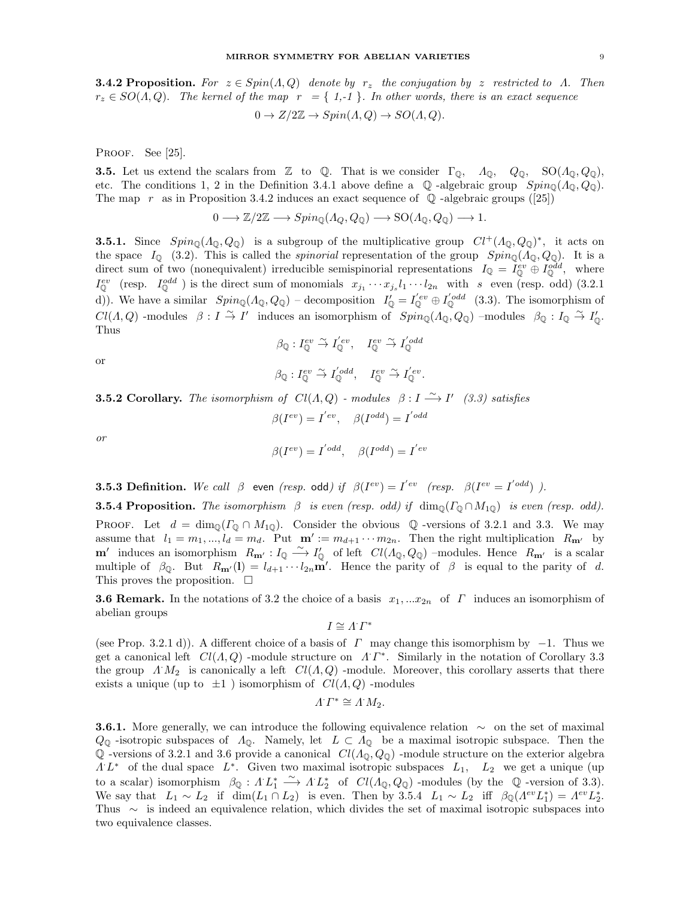**3.4.2 Proposition.** For  $z \in Spin(A, Q)$  denote by  $r<sub>z</sub>$  the conjugation by z restricted to A. Then  $r_z \in SO(A,Q)$ . The kernel of the map  $r = \{1,-1\}$ . In other words, there is an exact sequence  $0 \to Z/2\mathbb{Z} \to Spin(\Lambda, Q) \to SO(\Lambda, Q).$ 

PROOF. See [25].

**3.5.** Let us extend the scalars from Z to Q. That is we consider  $\Gamma_{\mathbb{Q}}$ ,  $\Lambda_{\mathbb{Q}}$ ,  $Q_{\mathbb{Q}}$ ,  $SO(\Lambda_{\mathbb{Q}}, Q_{\mathbb{Q}})$ , etc. The conditions 1, 2 in the Definition 3.4.1 above define a  $\mathbb Q$  -algebraic group  $Spin_{\mathbb Q}(\Lambda_{\mathbb Q}, Q_{\mathbb Q})$ . The map r as in Proposition 3.4.2 induces an exact sequence of  $\mathbb{Q}$  -algebraic groups ([25])

$$
0 \longrightarrow \mathbb{Z}/2\mathbb{Z} \longrightarrow Spin_{\mathbb{Q}}(A_Q, Q_{\mathbb{Q}}) \longrightarrow SO(A_{\mathbb{Q}}, Q_{\mathbb{Q}}) \longrightarrow 1.
$$

**3.5.1.** Since  $Spin_{{\mathbb{Q}}}(A_{{\mathbb{Q}}},Q_{{\mathbb{Q}}})$  is a subgroup of the multiplicative group  $Cl^+(A_{{\mathbb{Q}}},Q_{{\mathbb{Q}}})^*$ , it acts on the space  $I_{\mathbb{Q}}$  (3.2). This is called the *spinorial* representation of the group  $Spin_{\mathbb{Q}}(A_{\mathbb{Q}}, Q_{\mathbb{Q}})$ . It is a direct sum of two (nonequivalent) irreducible semispinorial representations  $I_{\mathbb{Q}} = I_{\mathbb{Q}}^{ev} \oplus I_{\mathbb{Q}}^{odd}$ , where  $I_{\mathbb{Q}}^{ev}$  (resp.  $I_{\mathbb{Q}}^{odd}$ ) is the direct sum of monomials  $x_{j_1}\cdots x_{j_s}l_1\cdots l_{2n}$  with s even (resp. odd) (3.2.1 d)). We have a similar  $Spin_{{\mathbb{Q}}}(\Lambda_{{\mathbb{Q}}},Q_{{\mathbb{Q}}})$  – decomposition  $I'_{\mathbb{Q}}=I_{\mathbb{Q}}^{'ev}\oplus I_{\mathbb{Q}}^{'odd}$  (3.3). The isomorphism of  $Cl(A, Q)$  -modules  $\beta : I \stackrel{\sim}{\to} I'$  induces an isomorphism of  $Spin_{\mathbb{Q}}(A_{\mathbb{Q}}, Q_{\mathbb{Q}})$  -modules  $\beta_{\mathbb{Q}} : I_{\mathbb{Q}} \stackrel{\sim}{\to} I'_{\mathbb{Q}}$ . Thus

$$
\beta_{\mathbb{Q}} : I_{\mathbb{Q}}^{ev} \stackrel{\sim}{\to} I_{\mathbb{Q}}^{'ev}, \quad I_{\mathbb{Q}}^{ev} \stackrel{\sim}{\to} I_{\mathbb{Q}}^{'odd}
$$

or

$$
\beta_{\mathbb{Q}}: I_{\mathbb{Q}}^{ev} \stackrel{\sim}{\to} I_{\mathbb{Q}}^{'odd}, \quad I_{\mathbb{Q}}^{ev} \stackrel{\sim}{\to} I_{\mathbb{Q}}^{'ev}.
$$

**3.5.2 Corollary.** The isomorphism of  $Cl(A, Q)$  - modules  $\beta: I \longrightarrow I'$  (3.3) satisfies

$$
\beta(I^{ev}) = I^{'ev}, \quad \beta(I^{odd}) = I^{'odd}
$$

or

$$
\beta(I^{ev}) = I^{'odd}, \quad \beta(I^{odd}) = I^{'ev}
$$

**3.5.3 Definition.** We call  $\beta$  even (resp. odd) if  $\beta(I^{ev}) = I^{'ev}$  (resp.  $\beta(I^{ev} = I^{'odd})$  ).

**3.5.4 Proposition.** The isomorphism  $\beta$  is even (resp. odd) if  $\dim_{\mathbb{Q}}(\Gamma_{\mathbb{Q}} \cap M_{1\mathbb{Q}})$  is even (resp. odd). PROOF. Let  $d = \dim_{\mathbb{Q}}(\Gamma_{\mathbb{Q}} \cap M_{1\mathbb{Q}})$ . Consider the obvious  $\mathbb{Q}$  -versions of 3.2.1 and 3.3. We may assume that  $l_1 = m_1, ..., l_d = m_d$ . Put  $\mathbf{m}' := m_{d+1} \cdots m_{2n}$ . Then the right multiplication  $R_{\mathbf{m}'}$  by m' induces an isomorphism  $R_{\mathbf{m}'}: I_{\mathbb{Q}} \stackrel{\sim}{\longrightarrow} I'_{\mathbb{Q}}$  of left  $Cl(A_{\mathbb{Q}}, Q_{\mathbb{Q}})$  –modules. Hence  $R_{\mathbf{m}'}$  is a scalar multiple of  $\beta_{\mathbb{Q}}$ . But  $R_{\mathbf{m}'}(1) = l_{d+1} \cdots l_{2n} \mathbf{m}'$ . Hence the parity of  $\beta$  is equal to the parity of d. This proves the proposition.  $\Box$ 

**3.6 Remark.** In the notations of 3.2 the choice of a basis  $x_1, \ldots, x_{2n}$  of  $\Gamma$  induces an isomorphism of abelian groups

 $I \cong \Lambda \dot{\mathcal{L}}^*$ 

(see Prop. 3.2.1 d)). A different choice of a basis of  $\Gamma$  may change this isomorphism by  $-1$ . Thus we get a canonical left  $Cl(A, Q)$  -module structure on  $\Lambda^r\Gamma^*$ . Similarly in the notation of Corollary 3.3 the group  $\Lambda M_2$  is canonically a left  $Cl(\Lambda, Q)$  -module. Moreover, this corollary asserts that there exists a unique (up to  $\pm 1$ ) isomorphism of  $Cl(A, Q)$ -modules

$$
\Lambda^{\cdot} \Gamma^* \cong \Lambda^{\cdot} M_2.
$$

**3.6.1.** More generally, we can introduce the following equivalence relation  $~\sim~$  on the set of maximal  $Q_{\mathbb{Q}}$  -isotropic subspaces of  $\Lambda_{\mathbb{Q}}$ . Namely, let  $L \subset \Lambda_{\mathbb{Q}}$  be a maximal isotropic subspace. Then the Q -versions of 3.2.1 and 3.6 provide a canonical  $Cl(A_0, Q_0)$  -module structure on the exterior algebra  $\Lambda^{\dagger}L^*$  of the dual space  $L^*$ . Given two maximal isotropic subspaces  $L_1$ ,  $L_2$  we get a unique (up) to a scalar) isomorphism  $\beta_{\mathbb{Q}} : \Lambda^* L_1^* \longrightarrow \Lambda^* L_2^*$  of  $Cl(\Lambda_{\mathbb{Q}}, Q_{\mathbb{Q}})$  -modules (by the  $\mathbb{Q}$  -version of 3.3). We say that  $L_1 \sim L_2$  if  $\dim(L_1 \cap L_2)$  is even. Then by 3.5.4  $L_1 \sim L_2$  iff  $\beta_{\mathbb{Q}}(\Lambda^{ev} L_1^*) = \Lambda^{ev} L_2^*$ . Thus ∼ is indeed an equivalence relation, which divides the set of maximal isotropic subspaces into two equivalence classes.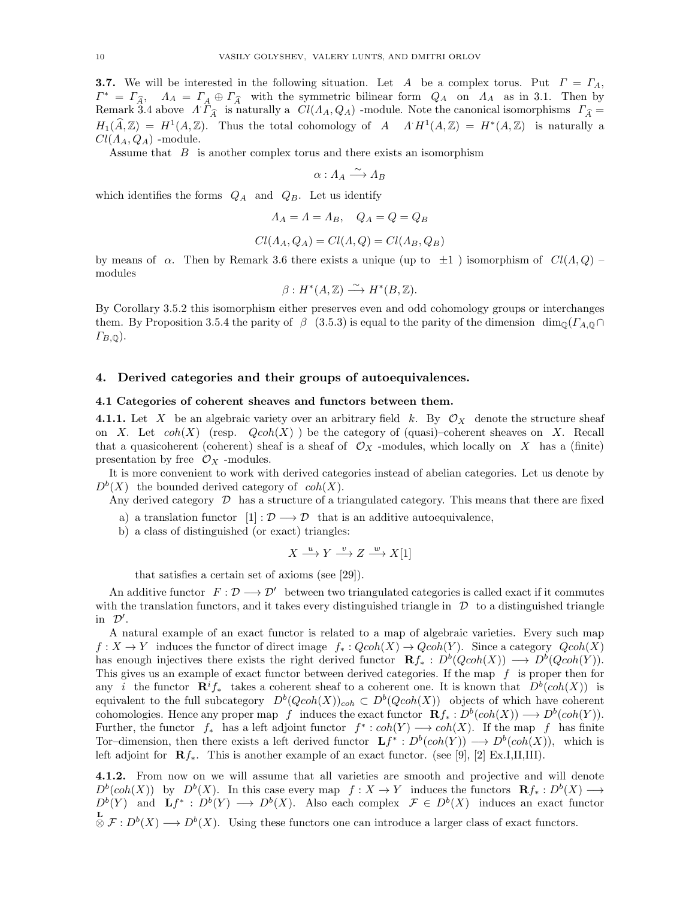**3.7.** We will be interested in the following situation. Let A be a complex torus. Put  $\Gamma = \Gamma_A$ ,  $\Gamma^* = \Gamma_{\widehat{A}}, \quad \Lambda_A = \Gamma_A \oplus \Gamma_{\widehat{A}}$  with the symmetric bilinear form  $Q_A$  on  $\Lambda_A$  as in 3.1. Then by Remark 3.4 above  $\Lambda \tilde{T}_{\widehat{A}}$  is naturally a  $Cl(\Lambda_A, Q_A)$  -module. Note the canonical isomorphisms  $\Gamma_{\widehat{A}} =$  $H_1(\widehat{A}, \mathbb{Z}) = H^1(A, \mathbb{Z})$ . Thus the total cohomology of  $A \Lambda H^1(A, \mathbb{Z}) = H^*(A, \mathbb{Z})$  is naturally a  $Cl(A_A, Q_A)$  -module.

Assume that  $\,B\,$  is another complex torus and there exists an isomorphism

$$
\alpha: A_A \xrightarrow{\sim} A_B
$$

which identifies the forms  $Q_A$  and  $Q_B$ . Let us identify

$$
A_A = A = A_B, \quad Q_A = Q = Q_B
$$

$$
Cl(A_A, Q_A) = Cl(A, Q) = Cl(A_B, Q_B)
$$

by means of  $\alpha$ . Then by Remark 3.6 there exists a unique (up to  $\pm 1$ ) isomorphism of  $Cl(A, Q)$ modules

$$
\beta: H^*(A, \mathbb{Z}) \xrightarrow{\sim} H^*(B, \mathbb{Z}).
$$

By Corollary 3.5.2 this isomorphism either preserves even and odd cohomology groups or interchanges them. By Proposition 3.5.4 the parity of  $\beta$  (3.5.3) is equal to the parity of the dimension dim<sub>Q</sub>(Γ<sub>A,Q</sub>)  $\Gamma_{B,\mathbb{Q}}$ ).

# 4. Derived categories and their groups of autoequivalences.

### 4.1 Categories of coherent sheaves and functors between them.

4.1.1. Let X be an algebraic variety over an arbitrary field k. By  $\mathcal{O}_X$  denote the structure sheaf on X. Let  $coh(X)$  (resp.  $Qcoh(X)$ ) be the category of (quasi)–coherent sheaves on X. Recall that a quasicoherent (coherent) sheaf is a sheaf of  $\mathcal{O}_X$  -modules, which locally on X has a (finite) presentation by free  $\mathcal{O}_X$  -modules.

It is more convenient to work with derived categories instead of abelian categories. Let us denote by  $D^b(X)$  the bounded derived category of  $coh(X)$ .

- Any derived category  $\mathcal D$  has a structure of a triangulated category. This means that there are fixed
	- a) a translation functor  $[1]: \mathcal{D} \longrightarrow \mathcal{D}$  that is an additive autoequivalence,
	- b) a class of distinguished (or exact) triangles:

$$
X \xrightarrow{u} Y \xrightarrow{v} Z \xrightarrow{w} X[1]
$$

that satisfies a certain set of axioms (see [29]).

An additive functor  $F: \mathcal{D} \longrightarrow \mathcal{D}'$  between two triangulated categories is called exact if it commutes with the translation functors, and it takes every distinguished triangle in  $\mathcal D$  to a distinguished triangle in  $\mathcal{D}'$ .

A natural example of an exact functor is related to a map of algebraic varieties. Every such map  $f: X \to Y$  induces the functor of direct image  $f_*: Qcoh(X) \to Qcoh(Y)$ . Since a category  $Qcoh(X)$ has enough injectives there exists the right derived functor  $\mathbf{R} f_* : D^b(Qcoh(X)) \longrightarrow D^b(Qcoh(Y)).$ This gives us an example of exact functor between derived categories. If the map  $f$  is proper then for any *i* the functor  $\mathbb{R}^i f_*$  takes a coherent sheaf to a coherent one. It is known that  $D^b(coh(X))$  is equivalent to the full subcategory  $D^b(Qcoh(X))_{coh} \subset D^b(Qcoh(X))$  objects of which have coherent cohomologies. Hence any proper map f induces the exact functor  $\mathbf{R} f_* : D^b(coh(X)) \longrightarrow D^b(coh(Y)).$ Further, the functor  $f_*$  has a left adjoint functor  $f^*: coh(Y) \longrightarrow coh(X)$ . If the map f has finite Tor-dimension, then there exists a left derived functor  $Lf^*: D^b(coh(Y)) \longrightarrow D^b(coh(X))$ , which is left adjoint for  $\mathbf{R}f_*$ . This is another example of an exact functor. (see [9], [2] Ex.I,II,III).

4.1.2. From now on we will assume that all varieties are smooth and projective and will denote  $D^b(coh(X))$  by  $D^b(X)$ . In this case every map  $f: X \to Y$  induces the functors  $\mathbf{R} f_*: D^b(X) \longrightarrow$  $D^b(Y)$  and  $Lf^*: D^b(Y) \longrightarrow D^b(X)$ . Also each complex  $\mathcal{F} \in D^b(X)$  induces an exact functor  $L\otimes \mathcal{F}: D^b(X) \longrightarrow D^b(X)$ . Using these functors one can introduce a larger class of exact functors.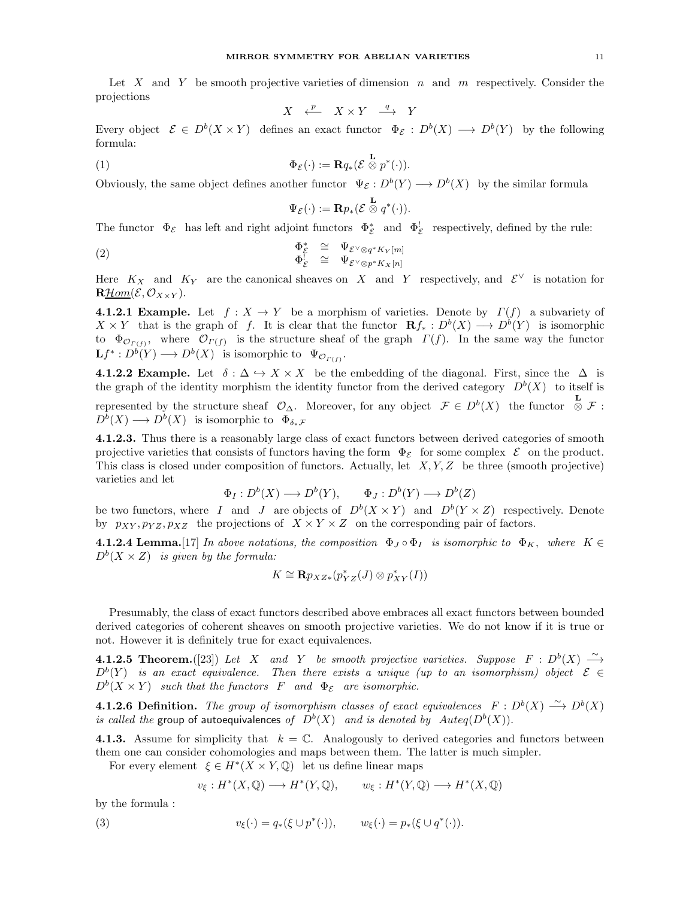Let X and Y be smooth projective varieties of dimension n and m respectively. Consider the projections

$$
X \xrightarrow{\ p \ } \ X \times Y \xrightarrow{q \ } Y
$$

Every object  $\mathcal{E} \in D^b(X \times Y)$  defines an exact functor  $\Phi_{\mathcal{E}} : D^b(X) \longrightarrow D^b(Y)$  by the following formula:

(1) 
$$
\Phi_{\mathcal{E}}(\cdot) := \mathbf{R} q_* ( \mathcal{E} \overset{\mathbf{L}}{\otimes} p^*(\cdot) ).
$$

Obviously, the same object defines another functor  $\Psi_{\mathcal{E}}: D^b(Y) \longrightarrow D^b(X)$  by the similar formula

$$
\Psi_{\mathcal E}(\cdot):=\mathbf{R}p_*(\mathcal E\stackrel{\mathbf{L}}{\otimes} q^*(\cdot)).
$$

The functor  $\Phi_{\mathcal{E}}$  has left and right adjoint functors  $\Phi_{\mathcal{E}}^*$  and  $\Phi_{\mathcal{E}}^!$  respectively, defined by the rule:

(2) 
$$
\begin{array}{rcl}\n\Phi_{\mathcal{E}}^* & \cong & \Psi_{\mathcal{E}^{\vee} \otimes q^* K_Y[m]} \\
\Phi_{\mathcal{E}}^{\dagger} & \cong & \Psi_{\mathcal{E}^{\vee} \otimes p^* K_X[n]}\n\end{array}
$$

Here  $K_X$  and  $K_Y$  are the canonical sheaves on X and Y respectively, and  $\mathcal{E}^{\vee}$  is notation for  $\mathbf{R}_{\text{Hom}}(\mathcal{E}, \mathcal{O}_{X\times Y}).$ 

**4.1.2.1 Example.** Let  $f : X \to Y$  be a morphism of varieties. Denote by  $\Gamma(f)$  a subvariety of  $X \times Y$  that is the graph of f. It is clear that the functor  $\mathbb{R} f_* : D^b(X) \longrightarrow D^b(Y)$  is isomorphic to  $\Phi_{\mathcal{O}_{\Gamma(f)}}$ , where  $\mathcal{O}_{\Gamma(f)}$  is the structure sheaf of the graph  $\Gamma(f)$ . In the same way the functor  $\mathbf{L}f^*: D^b(Y) \longrightarrow D^b(X)$  is isomorphic to  $\Psi_{\mathcal{O}_{\Gamma(f)}}$ .

4.1.2.2 Example. Let  $\delta : \Delta \hookrightarrow X \times X$  be the embedding of the diagonal. First, since the  $\Delta$  is the graph of the identity morphism the identity functor from the derived category  $D^{b}(X)$  to itself is represented by the structure sheaf  $\mathcal{O}_{\Delta}$ . Moreover, for any object  $\mathcal{F} \in D^b(X)$  the functor  $\stackrel{\mathbf{L}}{\otimes} \mathcal{F}$ :

 $D^b(X) \longrightarrow D^b(X)$  is isomorphic to  $\Phi_{\delta_*\mathcal{F}}$ 

4.1.2.3. Thus there is a reasonably large class of exact functors between derived categories of smooth projective varieties that consists of functors having the form  $\Phi_{\mathcal{E}}$  for some complex  $\mathcal{E}$  on the product. This class is closed under composition of functors. Actually, let  $X, Y, Z$  be three (smooth projective) varieties and let

$$
\Phi_I: D^b(X) \longrightarrow D^b(Y), \qquad \Phi_J: D^b(Y) \longrightarrow D^b(Z)
$$

be two functors, where I and J are objects of  $D^b(X \times Y)$  and  $D^b(Y \times Z)$  respectively. Denote by  $p_{XY}, p_{YZ}, p_{XZ}$  the projections of  $X \times Y \times Z$  on the corresponding pair of factors.

**4.1.2.4 Lemma.**[17] In above notations, the composition  $\Phi_J \circ \Phi_I$  is isomorphic to  $\Phi_K$ , where  $K \in$  $D^b(X \times Z)$  is given by the formula:

$$
K \cong \mathbf{R} p_{XZ*}(p_{YZ}^*(J) \otimes p_{XY}^*(I))
$$

Presumably, the class of exact functors described above embraces all exact functors between bounded derived categories of coherent sheaves on smooth projective varieties. We do not know if it is true or not. However it is definitely true for exact equivalences.

**4.1.2.5 Theorem.** ([23]) Let X and Y be smooth projective varieties. Suppose  $F : D^b(X) \longrightarrow$  $D^{b}(Y)$  is an exact equivalence. Then there exists a unique (up to an isomorphism) object  $\mathcal{E} \in$  $D^{b}(X \times Y)$  such that the functors F and  $\Phi_{\mathcal{E}}$  are isomorphic.

**4.1.2.6 Definition.** The group of isomorphism classes of exact equivalences  $F : D^b(X) \longrightarrow D^b(X)$ is called the group of autoequivalences of  $D^b(X)$  and is denoted by  $Auteq(D^b(X))$ .

4.1.3. Assume for simplicity that  $k = \mathbb{C}$ . Analogously to derived categories and functors between them one can consider cohomologies and maps between them. The latter is much simpler.

For every element  $\xi \in H^*(X \times Y, \mathbb{Q})$  let us define linear maps

 $v_{\xi}: H^*(X, \mathbb{Q}) \longrightarrow H^*(Y, \mathbb{Q}), \qquad w_{\xi}: H^*(Y, \mathbb{Q}) \longrightarrow H^*(X, \mathbb{Q})$ 

by the formula :

(3) 
$$
v_{\xi}(\cdot) = q_{*}(\xi \cup p^{*}(\cdot)), \qquad w_{\xi}(\cdot) = p_{*}(\xi \cup q^{*}(\cdot)).
$$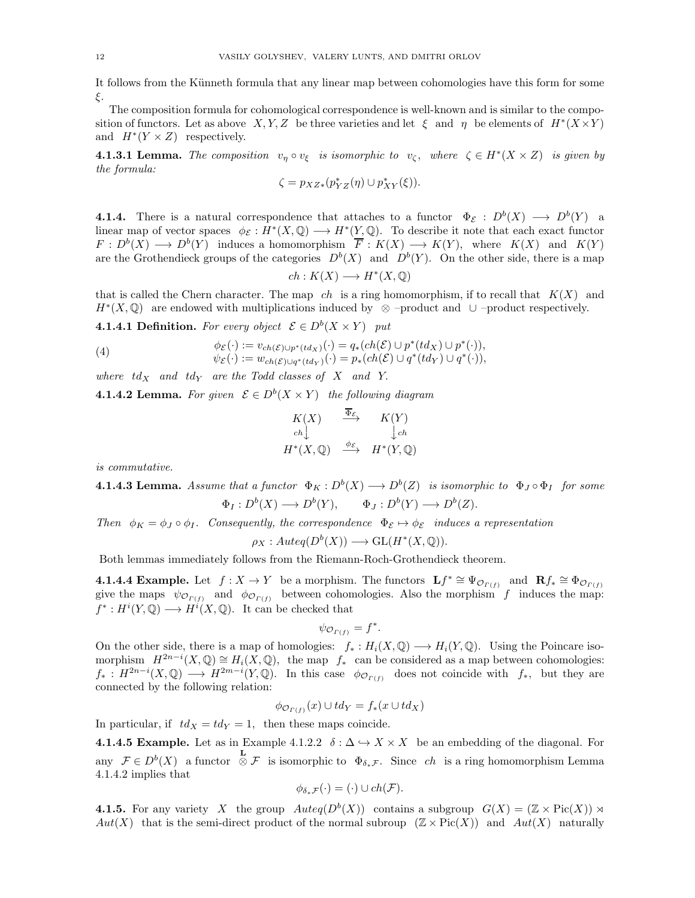It follows from the Künneth formula that any linear map between cohomologies have this form for some ξ.

The composition formula for cohomological correspondence is well-known and is similar to the composition of functors. Let as above  $X, Y, Z$  be three varieties and let  $\xi$  and  $\eta$  be elements of  $H^*(X \times Y)$ and  $H^*(Y \times Z)$  respectively.

**4.1.3.1 Lemma.** The composition  $v_{\eta} \circ v_{\xi}$  is isomorphic to  $v_{\zeta}$ , where  $\zeta \in H^*(X \times Z)$  is given by the formula:

$$
\zeta = p_{XZ*}(p_{YZ}^*(\eta) \cup p_{XY}^*(\xi)).
$$

**4.1.4.** There is a natural correspondence that attaches to a functor  $\Phi_{\mathcal{E}}: D^b(X) \longrightarrow D^b(Y)$  a linear map of vector spaces  $\phi_{\mathcal{E}}: H^*(X,\mathbb{Q}) \longrightarrow H^*(Y,\mathbb{Q})$ . To describe it note that each exact functor  $F: D^b(X) \longrightarrow D^b(Y)$  induces a homomorphism  $\overline{F}: K(X) \longrightarrow K(Y)$ , where  $K(X)$  and  $K(Y)$ are the Grothendieck groups of the categories  $D^b(X)$  and  $D^b(Y)$ . On the other side, there is a map  $ch: K(X) \longrightarrow H^*(X, \mathbb{Q})$ 

that is called the Chern character. The map ch is a ring homomorphism, if to recall that  $K(X)$  and

 $H^*(X,\mathbb{Q})$  are endowed with multiplications induced by ⊗ –product and ∪ –product respectively.

**4.1.4.1 Definition.** For every object  $\mathcal{E} \in D^b(X \times Y)$  put

(4) 
$$
\phi_{\mathcal{E}}(\cdot) := v_{ch(\mathcal{E}) \cup p^*(td_X)}(\cdot) = q_*(ch(\mathcal{E}) \cup p^*(td_X) \cup p^*(\cdot)),
$$

$$
\psi_{\mathcal{E}}(\cdot) := w_{ch(\mathcal{E}) \cup q^*(td_Y)}(\cdot) = p_*(ch(\mathcal{E}) \cup q^*(td_Y) \cup q^*(\cdot)),
$$

where  $td_X$  and  $td_Y$  are the Todd classes of X and Y.

**4.1.4.2 Lemma.** For given  $\mathcal{E} \in D^b(X \times Y)$  the following diagram

$$
K(X) \xrightarrow{ \Phi_{\mathcal{E}} } K(Y) \n \downarrow ch \qquad \qquad \downarrow ch \n H^*(X, \mathbb{Q}) \xrightarrow{\phi_{\mathcal{E}} } H^*(Y, \mathbb{Q})
$$

is commutative.

**4.1.4.3 Lemma.** Assume that a functor 
$$
\Phi_K : D^b(X) \longrightarrow D^b(Z)
$$
 is isomorphic to  $\Phi_J \circ \Phi_I$  for some  $\Phi_I : D^b(X) \longrightarrow D^b(Y)$ ,  $\Phi_J : D^b(Y) \longrightarrow D^b(Z)$ .

Then  $\phi_K = \phi_J \circ \phi_I$ . Consequently, the correspondence  $\Phi_{\mathcal{E}} \mapsto \phi_{\mathcal{E}}$  induces a representation

$$
\rho_X: Auteq(D^b(X)) \longrightarrow GL(H^*(X, \mathbb{Q})).
$$

Both lemmas immediately follows from the Riemann-Roch-Grothendieck theorem.

**4.1.4.4 Example.** Let  $f: X \to Y$  be a morphism. The functors  $\mathbf{L} f^* \cong \Psi_{\mathcal{O}_{\Gamma(f)}}$  and  $\mathbf{R} f_* \cong \Phi_{\mathcal{O}_{\Gamma(f)}}$ give the maps  $\psi_{\mathcal{O}_{\Gamma(f)}}$  and  $\phi_{\mathcal{O}_{\Gamma(f)}}$  between cohomologies. Also the morphism f induces the map:  $f^*: H^i(Y, \mathbb{Q}) \longrightarrow H^i(X, \mathbb{Q})$ . It can be checked that

$$
\psi_{\mathcal{O}_{\Gamma(f)}} = f^*.
$$

On the other side, there is a map of homologies:  $f_* : H_i(X, \mathbb{Q}) \longrightarrow H_i(Y, \mathbb{Q})$ . Using the Poincare isomorphism  $H^{2n-i}(X,\mathbb{Q}) \cong H_i(X,\mathbb{Q})$ , the map  $f_*$  can be considered as a map between cohomologies:  $f_*: H^{2n-i}(X,\mathbb{Q}) \longrightarrow H^{2m-i}(Y,\mathbb{Q})$ . In this case  $\phi_{\mathcal{O}_{\Gamma(f)}}$  does not coincide with  $f_*,$  but they are connected by the following relation:

$$
\phi_{\mathcal{O}_{\Gamma(f)}}(x) \cup td_Y = f_*(x \cup td_X)
$$

In particular, if  $td_X = td_Y = 1$ , then these maps coincide.

**4.1.4.5 Example.** Let as in Example 4.1.2.2  $\delta : \Delta \hookrightarrow X \times X$  be an embedding of the diagonal. For any  $\mathcal{F} \in D^b(X)$  a functor  $\overset{\mathbf{L}}{\otimes} \mathcal{F}$  is isomorphic to  $\Phi_{\delta_*\mathcal{F}}$ . Since *ch* is a ring homomorphism Lemma 4.1.4.2 implies that

$$
\phi_{\delta_*\mathcal{F}}(\cdot) = (\cdot) \cup ch(\mathcal{F}).
$$

**4.1.5.** For any variety X the group  $Auteq(D^b(X))$  contains a subgroup  $G(X) = (\mathbb{Z} \times Pic(X)) \rtimes$  $Aut(X)$  that is the semi-direct product of the normal subroup  $(\mathbb{Z} \times Pic(X))$  and  $Aut(X)$  naturally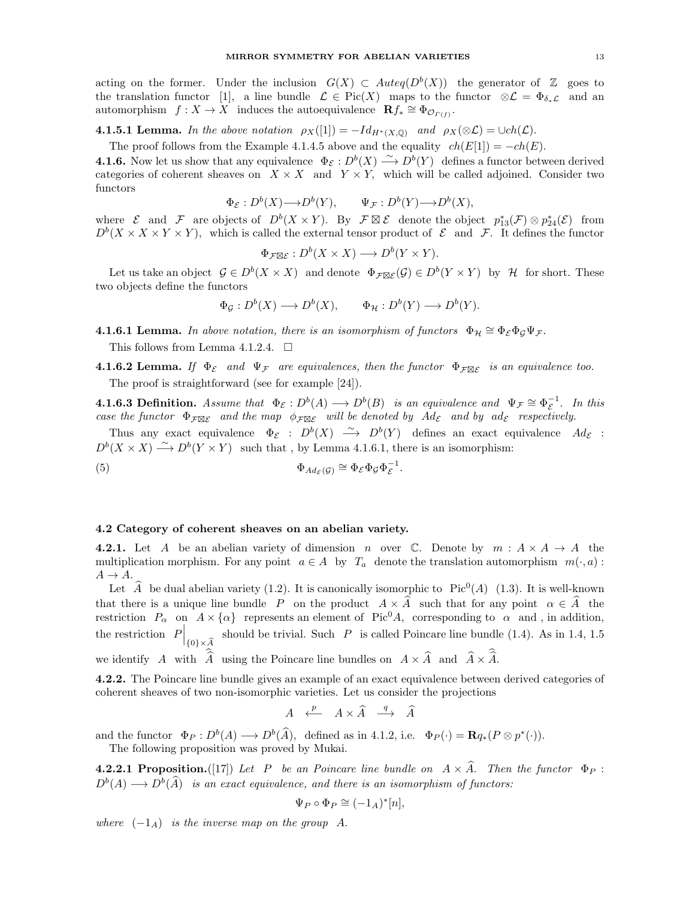acting on the former. Under the inclusion  $G(X) \subset Auteq(D^b(X))$  the generator of Z goes to the translation functor [1], a line bundle  $\mathcal{L} \in Pic(X)$  maps to the functor  $\otimes \mathcal{L} = \Phi_{\delta_*\mathcal{L}}$  and an automorphism  $f: X \to X$  induces the autoequivalence  $\mathbf{R} f_* \cong \Phi_{\mathcal{O}_{\Gamma(f)}}$ .

**4.1.5.1 Lemma.** In the above notation  $\rho_X([1]) = -Id_{H^*(X,\mathbb{Q})}$  and  $\rho_X(\otimes \mathcal{L}) = \cup ch(\mathcal{L})$ .

The proof follows from the Example 4.1.4.5 above and the equality  $ch(E[1]) = -ch(E)$ .

**4.1.6.** Now let us show that any equivalence  $\Phi_{\mathcal{E}}: D^b(X) \longrightarrow D^b(Y)$  defines a functor between derived categories of coherent sheaves on  $X \times X$  and  $Y \times Y$ , which will be called adjoined. Consider two functors

$$
\Phi_{\mathcal{E}}: D^b(X) \longrightarrow D^b(Y), \qquad \Psi_{\mathcal{F}}: D^b(Y) \longrightarrow D^b(X),
$$

where  $\mathcal E$  and  $\mathcal F$  are objects of  $D^b(X \times Y)$ . By  $\mathcal F \boxtimes \mathcal E$  denote the object  $p_{13}^*(\mathcal F) \otimes p_{24}^*(\mathcal E)$  from  $D^{b}(X \times X \times Y \times Y)$ , which is called the external tensor product of  $\mathcal{E}$  and  $\mathcal{F}$ . It defines the functor

$$
\Phi_{\mathcal{F} \boxtimes \mathcal{E}} : D^b(X \times X) \longrightarrow D^b(Y \times Y).
$$

Let us take an object  $\mathcal{G} \in D^b(X \times X)$  and denote  $\Phi_{\mathcal{F} \boxtimes \mathcal{E}}(\mathcal{G}) \in D^b(Y \times Y)$  by  $\mathcal{H}$  for short. These two objects define the functors

$$
\Phi_{\mathcal{G}}: D^b(X) \longrightarrow D^b(X), \qquad \Phi_{\mathcal{H}}: D^b(Y) \longrightarrow D^b(Y).
$$

**4.1.6.1 Lemma.** In above notation, there is an isomorphism of functors  $\Phi_{\mathcal{H}} \cong \Phi_{\mathcal{E}} \Phi_{\mathcal{G}} \Psi_{\mathcal{F}}$ .

This follows from Lemma 4.1.2.4.  $\Box$ 

**4.1.6.2 Lemma.** If  $\Phi_{\mathcal{E}}$  and  $\Psi_{\mathcal{F}}$  are equivalences, then the functor  $\Phi_{\mathcal{F} \boxtimes \mathcal{E}}$  is an equivalence too. The proof is straightforward (see for example [24]).

**4.1.6.3 Definition.** Assume that  $\Phi_{\mathcal{E}} : D^b(A) \longrightarrow D^b(B)$  is an equivalence and  $\Psi_{\mathcal{F}} \cong \Phi_{\mathcal{E}}^{-1}$ . In this case the functor  $\Phi_{\mathcal{F}\boxtimes \mathcal{E}}$  and the map  $\phi_{\mathcal{F}\boxtimes \mathcal{E}}$  will be denoted by  $Ad_{\mathcal{E}}$  and by ad<sub>e</sub> respectively.

Thus any exact equivalence  $\Phi_{\mathcal{E}}$  :  $D^b(X) \stackrel{\sim}{\longrightarrow} D^b(Y)$  defines an exact equivalence  $Ad_{\mathcal{E}}$  :  $D^{b}(X \times X) \xrightarrow{\sim} D^{b}(Y \times Y)$  such that, by Lemma 4.1.6.1, there is an isomorphism:

(5) 
$$
\Phi_{Ad_{\mathcal{E}}(\mathcal{G})} \cong \Phi_{\mathcal{E}} \Phi_{\mathcal{G}} \Phi_{\mathcal{E}}^{-1}.
$$

# 4.2 Category of coherent sheaves on an abelian variety.

4.2.1. Let A be an abelian variety of dimension n over C. Denote by  $m : A \times A \rightarrow A$  the multiplication morphism. For any point  $a \in A$  by  $T_a$  denote the translation automorphism  $m(\cdot, a)$ :  $A \rightarrow A$ .

Let  $\widehat{A}$  be dual abelian variety (1.2). It is canonically isomorphic to Pic<sup>0</sup>(A) (1.3). It is well-known that there is a unique line bundle P on the product  $A \times \hat{A}$  such that for any point  $\alpha \in \hat{A}$  the restriction  $P_{\alpha}$  on  $A \times {\alpha}$  represents an element of Pic<sup>0</sup>A, corresponding to  $\alpha$  and, in addition, the restriction  $P\Big|_{\{0\}\times \widehat{A}}$  should be trivial. Such P is called Poincare line bundle (1.4). As in 1.4, 1.5 we identify A with A using the Poincare line bundles on  $A \times A$  and  $A \times A$ .

4.2.2. The Poincare line bundle gives an example of an exact equivalence between derived categories of coherent sheaves of two non-isomorphic varieties. Let us consider the projections

$$
A \xleftarrow{p} A \times \widehat{A} \xrightarrow{q} \widehat{A}
$$

and the functor  $\Phi_P: D^b(A) \longrightarrow D^b(\hat{A})$ , defined as in 4.1.2, i.e.  $\Phi_P(\cdot) = \mathbf{R} q_*(P \otimes p^*(\cdot))$ . The following proposition was proved by Mukai.

**4.2.2.1 Proposition.**([17]) Let P be an Poincare line bundle on  $A \times \hat{A}$ . Then the functor  $\Phi_P$ :  $D^{b}(A) \longrightarrow D^{b}(\hat{A})$  is an exact equivalence, and there is an isomorphism of functors:

$$
\Psi_P \circ \Phi_P \cong (-1_A)^*[n],
$$

where  $(-1_A)$  is the inverse map on the group A.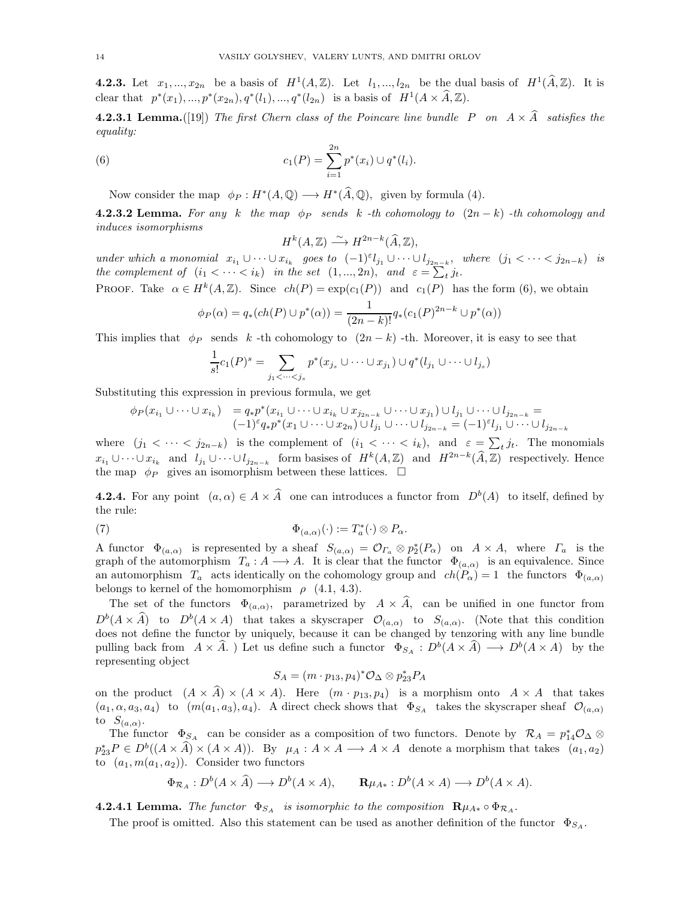**4.2.3.** Let  $x_1, ..., x_{2n}$  be a basis of  $H^1(A, \mathbb{Z})$ . Let  $l_1, ..., l_{2n}$  be the dual basis of  $H^1(\hat{A}, \mathbb{Z})$ . It is clear that  $p^*(x_1), ..., p^*(x_{2n}), q^*(l_1), ..., q^*(l_{2n})$  is a basis of  $H^1(A \times \hat{A}, \mathbb{Z})$ .

**4.2.3.1 Lemma.**([19]) The first Chern class of the Poincare line bundle P on  $A \times \hat{A}$  satisfies the equality:

(6) 
$$
c_1(P) = \sum_{i=1}^{2n} p^*(x_i) \cup q^*(l_i).
$$

Now consider the map  $\phi_P: H^*(A, \mathbb{Q}) \longrightarrow H^*(\widehat{A}, \mathbb{Q})$ , given by formula (4).

**4.2.3.2 Lemma.** For any k the map  $\phi_P$  sends k -th cohomology to  $(2n - k)$  -th cohomology and induces isomorphisms

$$
H^k(A,\mathbb{Z}) \xrightarrow{\sim} H^{2n-k}(\widehat{A},\mathbb{Z}),
$$

under which a monomial  $x_{i_1} \cup \cdots \cup x_{i_k}$  goes to  $(-1)^{\varepsilon} l_{j_1} \cup \cdots \cup l_{j_{2n-k}}$ , where  $(j_1 < \cdots < j_{2n-k})$  is the complement of  $(i_1 < \cdots < i_k)$  in the set  $(1, ..., 2n)$ , and  $\varepsilon = \sum_t j_t$ .

**PROOF.** Take  $\alpha \in H^k(A, \mathbb{Z})$ . Since  $ch(P) = \exp(c_1(P))$  and  $c_1(P)$  has the form (6), we obtain

$$
\phi_P(\alpha) = q_*(ch(P) \cup p^*(\alpha)) = \frac{1}{(2n-k)!} q_*(c_1(P)^{2n-k} \cup p^*(\alpha))
$$

This implies that  $\phi_P$  sends k -th cohomology to  $(2n-k)$  -th. Moreover, it is easy to see that

$$
\frac{1}{s!}c_1(P)^s = \sum_{j_1 < \dots < j_s} p^*(x_{j_s} \cup \dots \cup x_{j_1}) \cup q^*(l_{j_1} \cup \dots \cup l_{j_s})
$$

Substituting this expression in previous formula, we get

$$
\phi_P(x_{i_1} \cup \dots \cup x_{i_k}) = q_* p^*(x_{i_1} \cup \dots \cup x_{i_k} \cup x_{j_{2n-k}} \cup \dots \cup x_{j_1}) \cup l_{j_1} \cup \dots \cup l_{j_{2n-k}} =
$$
  

$$
(-1)^{\varepsilon} q_* p^*(x_1 \cup \dots \cup x_{2n}) \cup l_{j_1} \cup \dots \cup l_{j_{2n-k}} = (-1)^{\varepsilon} l_{j_1} \cup \dots \cup l_{j_{2n-k}}
$$

where  $(j_1 < \cdots < j_{2n-k})$  is the complement of  $(i_1 < \cdots < i_k)$ , and  $\varepsilon = \sum_i j_i$ . The monomials  $x_{i_1} \cup \cdots \cup x_{i_k}$  and  $l_{j_1} \cup \cdots \cup l_{j_{2n-k}}$  form basises of  $H^k(A, \mathbb{Z})$  and  $H^{2n-k}(\hat{A}, \mathbb{Z})$  respectively. Hence the map  $\phi_P$  gives an isomorphism between these lattices.  $\Box$ 

**4.2.4.** For any point  $(a, \alpha) \in A \times \widehat{A}$  one can introduces a functor from  $D^b(A)$  to itself, defined by the rule:

(7) 
$$
\Phi_{(a,\alpha)}(\cdot) := T_a^*(\cdot) \otimes P_\alpha.
$$

A functor  $\Phi_{(a,\alpha)}$  is represented by a sheaf  $S_{(a,\alpha)} = \mathcal{O}_{\Gamma_a} \otimes p_2^*(P_\alpha)$  on  $A \times A$ , where  $\Gamma_a$  is the graph of the automorphism  $T_a: A \longrightarrow A$ . It is clear that the functor  $\Phi_{(a,\alpha)}$  is an equivalence. Since an automorphism  $T_a$  acts identically on the cohomology group and  $ch(P_\alpha) = 1$  the functors  $\Phi_{(a,\alpha)}$ belongs to kernel of the homomorphism  $\rho$  (4.1, 4.3).

The set of the functors  $\Phi_{(a,\alpha)}$ , parametrized by  $A \times A$ , can be unified in one functor from  $D^b(A \times \hat{A})$  to  $D^b(A \times A)$  that takes a skyscraper  $\mathcal{O}_{(a,\alpha)}$  to  $S_{(a,\alpha)}$ . (Note that this condition does not define the functor by uniquely, because it can be changed by tenzoring with any line bundle pulling back from  $A \times \hat{A}$ . Elet us define such a functor  $\Phi_{S_A} : D^b(A \times \hat{A}) \longrightarrow D^b(A \times A)$  by the representing object

$$
S_A = (m \cdot p_{13}, p_4)^* \mathcal{O}_{\Delta} \otimes p_{23}^* P_A
$$

on the product  $(A \times \hat{A}) \times (A \times A)$ . Here  $(m \cdot p_{13}, p_4)$  is a morphism onto  $A \times A$  that takes  $(a_1, \alpha, a_3, a_4)$  to  $(m(a_1, a_3), a_4)$ . A direct check shows that  $\Phi_{SA}$  takes the skyscraper sheaf  $\mathcal{O}_{(a,\alpha)}$ to  $S_{(a,\alpha)}$ .

The functor  $\Phi_{S_A}$  can be consider as a composition of two functors. Denote by  $\mathcal{R}_A = p_A^* \mathcal{O}_{\Delta} \otimes$  $p_{23}^*P \in D^b((A \times \hat{A}) \times (A \times A))$ . By  $\mu_A : A \times A \longrightarrow A \times A$  denote a morphism that takes  $(a_1, a_2)$ to  $(a_1, m(a_1, a_2))$ . Consider two functors

$$
\Phi_{\mathcal{R}_A}: D^b(A \times \widehat{A}) \longrightarrow D^b(A \times A), \qquad \mathbf{R}\mu_{A*}: D^b(A \times A) \longrightarrow D^b(A \times A).
$$

**4.2.4.1 Lemma.** The functor  $\Phi_{S_A}$  is isomorphic to the composition  $\mathbf{R}\mu_{A*} \circ \Phi_{\mathcal{R}_A}$ .

The proof is omitted. Also this statement can be used as another definition of the functor  $\Phi_{S_A}$ .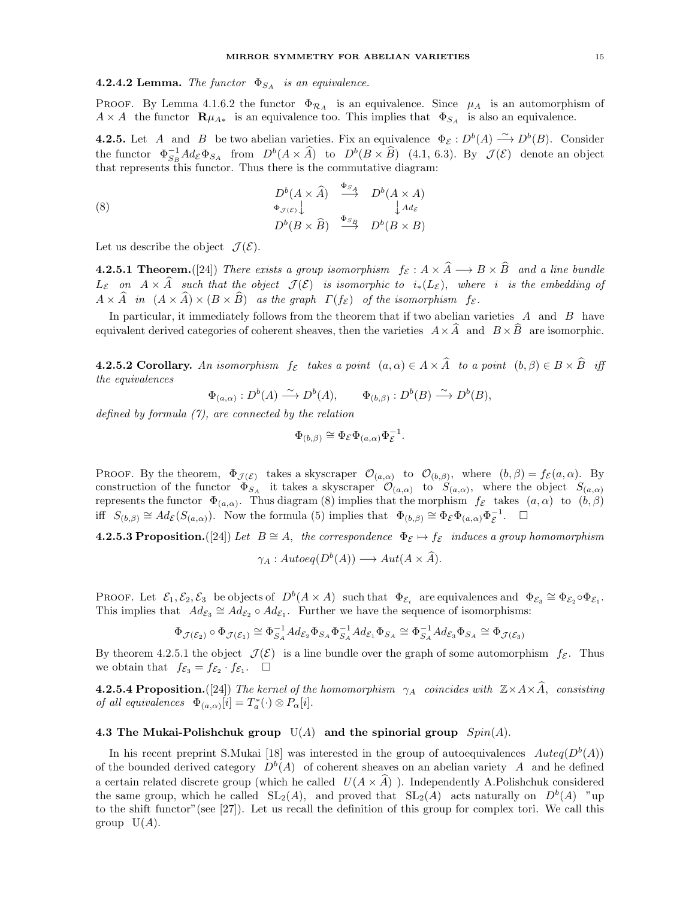**4.2.4.2 Lemma.** The functor  $\Phi_{S_A}$  is an equivalence.

PROOF. By Lemma 4.1.6.2 the functor  $\Phi_{\mathcal{R}_A}$  is an equivalence. Since  $\mu_A$  is an automorphism of  $A \times A$  the functor  $\mathbf{R}\mu_{A*}$  is an equivalence too. This implies that  $\Phi_{SA}$  is also an equivalence.

**4.2.5.** Let A and B be two abelian varieties. Fix an equivalence  $\Phi_{\mathcal{E}}: D^b(A) \longrightarrow D^b(B)$ . Consider the functor  $\Phi_{S_B}^{-1}Ad_{\mathcal{E}}\Phi_{S_A}$  from  $D^b(A \times \hat{A})$  to  $D^b(B \times \hat{B})$  (4.1, 6.3). By  $\mathcal{J}(\mathcal{E})$  denote an object that represents this functor. Thus there is the commutative diagram:

(8) 
$$
D^{b}(A \times \widehat{A}) \stackrel{\Phi_{S_A}}{\longrightarrow} D^{b}(A \times A)
$$

$$
\Phi_{\mathcal{J}(\varepsilon)} \downarrow \qquad \qquad \downarrow Ad_{\varepsilon}
$$

$$
D^{b}(B \times \widehat{B}) \stackrel{\Phi_{S_B}}{\longrightarrow} D^{b}(B \times B)
$$

Let us describe the object  $\mathcal{J}(\mathcal{E})$ .

**4.2.5.1 Theorem.**([24]) There exists a group isomorphism  $f_{\mathcal{E}}: A \times \hat{A} \longrightarrow B \times \hat{B}$  and a line bundle  $L_{\mathcal{E}}$  on  $A \times \widehat{A}$  such that the object  $\mathcal{J}(\mathcal{E})$  is isomorphic to  $i_*(L_{\mathcal{E}})$ , where i is the embedding of  $A \times \hat{A}$  in  $(A \times \hat{A}) \times (B \times \hat{B})$  as the graph  $\Gamma(f_{\mathcal{E}})$  of the isomorphism f<sub>E</sub>.

In particular, it immediately follows from the theorem that if two abelian varieties  $A$  and  $B$  have equivalent derived categories of coherent sheaves, then the varieties  $A \times \hat{A}$  and  $B \times \hat{B}$  are isomorphic.

**4.2.5.2 Corollary.** An isomorphism  $f_{\mathcal{E}}$  takes a point  $(a, \alpha) \in A \times \widehat{A}$  to a point  $(b, \beta) \in B \times \widehat{B}$  iff the equivalences

$$
\Phi_{(a,\alpha)}: D^b(A) \xrightarrow{\sim} D^b(A), \qquad \Phi_{(b,\beta)}: D^b(B) \xrightarrow{\sim} D^b(B),
$$

defined by formula  $(7)$ , are connected by the relation

$$
\Phi_{(b,\beta)} \cong \Phi_{\mathcal{E}} \Phi_{(a,\alpha)} \Phi_{\mathcal{E}}^{-1}.
$$

PROOF. By the theorem,  $\Phi_{\mathcal{J}(\mathcal{E})}$  takes a skyscraper  $\mathcal{O}_{(a,\alpha)}$  to  $\mathcal{O}_{(b,\beta)}$ , where  $(b,\beta) = f_{\mathcal{E}}(a,\alpha)$ . By construction of the functor  $\Phi_{S_A}$  it takes a skyscraper  $\mathcal{O}_{(a,\alpha)}$  to  $S_{(a,\alpha)}$ , where the object  $S_{(a,\alpha)}$ represents the functor  $\Phi_{(a,\alpha)}$ . Thus diagram (8) implies that the morphism  $f_{\mathcal{E}}$  takes  $(a,\alpha)$  to  $(b,\beta)$ iff  $S_{(b,\beta)} \cong Ad_{\mathcal{E}}(S_{(a,\alpha)})$ . Now the formula (5) implies that  $\Phi_{(b,\beta)} \cong \Phi_{\mathcal{E}} \Phi_{(a,\alpha)} \Phi_{\mathcal{E}}^{-1}$ .  $\Box$ 

**4.2.5.3 Proposition.**([24]) Let  $B \cong A$ , the correspondence  $\Phi_{\mathcal{E}} \mapsto f_{\mathcal{E}}$  induces a group homomorphism

$$
\gamma_A: Autoeq(D^b(A)) \longrightarrow Aut(A \times \widehat{A}).
$$

PROOF. Let  $\mathcal{E}_1, \mathcal{E}_2, \mathcal{E}_3$  be objects of  $D^b(A \times A)$  such that  $\Phi_{\mathcal{E}_i}$  are equivalences and  $\Phi_{\mathcal{E}_3} \cong \Phi_{\mathcal{E}_2} \circ \Phi_{\mathcal{E}_1}$ . This implies that  $Ad_{\mathcal{E}_3} \cong Ad_{\mathcal{E}_2} \circ Ad_{\mathcal{E}_1}$ . Further we have the sequence of isomorphisms:

$$
\Phi_{\mathcal{J}(\mathcal{E}_2)}\circ \Phi_{\mathcal{J}(\mathcal{E}_1)}\cong \Phi_{S_A}^{-1}Ad_{\mathcal{E}_2}\Phi_{S_A}\Phi_{S_A}^{-1}Ad_{\mathcal{E}_1}\Phi_{S_A}\cong \Phi_{S_A}^{-1}Ad_{\mathcal{E}_3}\Phi_{S_A}\cong \Phi_{\mathcal{J}(\mathcal{E}_3)}
$$

By theorem 4.2.5.1 the object  $\mathcal{J}(\mathcal{E})$  is a line bundle over the graph of some automorphism  $f_{\mathcal{E}}$ . Thus we obtain that  $f_{\mathcal{E}_3} = f_{\mathcal{E}_2} \cdot f_{\mathcal{E}_1}$ .  $\Box$ 

**4.2.5.4 Proposition.**([24]) The kernel of the homomorphism  $\gamma_A$  coincides with  $\mathbb{Z} \times A \times \hat{A}$ , consisting of all equivalences  $\Phi_{(a,\alpha)}[i] = T_a^*(\cdot) \otimes P_\alpha[i].$ 

### 4.3 The Mukai-Polishchuk group  $U(A)$  and the spinorial group  $Spin(A)$ .

In his recent preprint S.Mukai [18] was interested in the group of autoequivalences  $Aut eq(D^b(A))$ of the bounded derived category  $D^b(A)$  of coherent sheaves on an abelian variety A and he defined a certain related discrete group (which he called  $U(A \times \hat{A})$ ). Independently A.Polishchuk considered the same group, which he called  $SL_2(A)$ , and proved that  $SL_2(A)$  acts naturally on  $D^b(A)$  "up to the shift functor"(see [27]). Let us recall the definition of this group for complex tori. We call this group  $U(A)$ .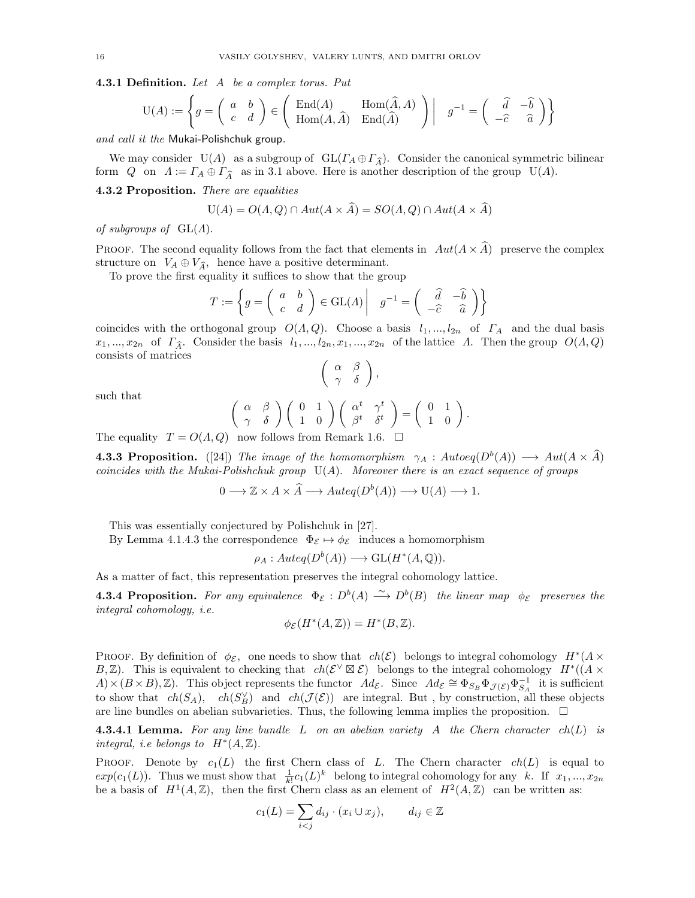**4.3.1 Definition.** Let A be a complex torus. Put

$$
\mathrm{U}(A):=\left\{g=\left(\begin{array}{cc}a&b\\c&d\end{array}\right)\in\left(\begin{array}{cc}\mathrm{End}(A)&\mathrm{Hom}(\widehat{A},A)\\ \mathrm{Hom}(A,\widehat{A})&\mathrm{End}(\widehat{A})\end{array}\right)\Bigg|\quad g^{-1}=\left(\begin{array}{cc}\widehat{d}&-\widehat{b}\\-\widehat{c}&\widehat{a}\end{array}\right)\right\}
$$

and call it the Mukai-Polishchuk group.

We may consider  $U(A)$  as a subgroup of  $GL(T_A \oplus T_{\widehat{A}})$ . Consider the canonical symmetric bilinear form  $Q$  on  $\Lambda := \Gamma_A \oplus \Gamma_{\widehat{A}}$  as in 3.1 above. Here is another description of the group  $U(A)$ .

4.3.2 Proposition. There are equalities

$$
U(A) = O(A, Q) \cap Aut(A \times \widehat{A}) = SO(A, Q) \cap Aut(A \times \widehat{A})
$$

of subgroups of  $GL(\Lambda)$ .

PROOF. The second equality follows from the fact that elements in  $Aut(A \times \hat{A})$  preserve the complex structure on  $V_A \oplus V_{\widehat{A}}$ , hence have a positive determinant.

To prove the first equality it suffices to show that the group

$$
T := \left\{ g = \left( \begin{array}{cc} a & b \\ c & d \end{array} \right) \in \text{GL}(A) \middle| \quad g^{-1} = \left( \begin{array}{cc} \widehat{d} & -\widehat{b} \\ -\widehat{c} & \widehat{a} \end{array} \right) \right\}
$$

coincides with the orthogonal group  $O(A, Q)$ . Choose a basis  $l_1, ..., l_{2n}$  of  $\Gamma_A$  and the dual basis  $x_1, ..., x_{2n}$  of  $\Gamma_{\widehat{A}}$ . Consider the basis  $l_1, ..., l_{2n}, x_1, ..., x_{2n}$  of the lattice Λ. Then the group  $O(A, Q)$ consists of matrices

$$
\left(\begin{array}{cc} \alpha & \beta \\ \gamma & \delta \end{array}\right),
$$

such that

$$
\left(\begin{array}{cc} \alpha & \beta \\ \gamma & \delta \end{array}\right) \left(\begin{array}{cc} 0 & 1 \\ 1 & 0 \end{array}\right) \left(\begin{array}{cc} \alpha^t & \gamma^t \\ \beta^t & \delta^t \end{array}\right) = \left(\begin{array}{cc} 0 & 1 \\ 1 & 0 \end{array}\right).
$$

The equality  $T = O(\Lambda, Q)$  now follows from Remark 1.6.  $\Box$ 

**4.3.3 Proposition.** ([24]) The image of the homomorphism  $\gamma_A$ : Autoeq( $D^b(A)$ )  $\longrightarrow$  Aut( $A \times \hat{A}$ ) coincides with the Mukai-Polishchuk group  $U(A)$ . Moreover there is an exact sequence of groups

$$
0 \longrightarrow \mathbb{Z} \times A \times \widehat{A} \longrightarrow Auteq(D^{b}(A)) \longrightarrow U(A) \longrightarrow 1.
$$

This was essentially conjectured by Polishchuk in [27].

By Lemma 4.1.4.3 the correspondence  $\Phi_{\mathcal{E}} \mapsto \phi_{\mathcal{E}}$  induces a homomorphism

$$
\rho_A: Aut eq(D^b(A)) \longrightarrow GL(H^*(A, \mathbb{Q})).
$$

As a matter of fact, this representation preserves the integral cohomology lattice.

**4.3.4 Proposition.** For any equivalence  $\Phi_{\mathcal{E}}: D^b(A) \longrightarrow D^b(B)$  the linear map  $\phi_{\mathcal{E}}$  preserves the integral cohomology, i.e.

$$
\phi_{\mathcal{E}}(H^*(A,\mathbb{Z})) = H^*(B,\mathbb{Z}).
$$

PROOF. By definition of  $\phi_{\mathcal{E}}$ , one needs to show that  $ch(\mathcal{E})$  belongs to integral cohomology  $H^*(A \times$ B, Z). This is equivalent to checking that  $ch(\mathcal{E} \vee \boxtimes \mathcal{E})$  belongs to the integral cohomology  $H^*((A \times$  $A) \times (B \times B)$ ,  $\mathbb{Z}$ ). This object represents the functor  $Ad_{\mathcal{E}}$ . Since  $Ad_{\mathcal{E}} \cong \Phi_{S_B} \Phi_{\mathcal{J}(\mathcal{E})} \Phi_{S_A}^{-1}$  it is sufficient to show that  $ch(S_A)$ ,  $ch(S_B^{\vee})$  and  $ch(\mathcal{J}(\mathcal{E}))$  are integral. But, by construction, all these objects are line bundles on abelian subvarieties. Thus, the following lemma implies the proposition.  $\Box$ 

**4.3.4.1 Lemma.** For any line bundle L on an abelian variety A the Chern character  $ch(L)$  is integral, i.e belongs to  $H^*(A,\mathbb{Z})$ .

PROOF. Denote by  $c_1(L)$  the first Chern class of L. The Chern character  $ch(L)$  is equal to  $exp(c_1(L))$ . Thus we must show that  $\frac{1}{k!}c_1(L)^k$  belong to integral cohomology for any k. If  $x_1, ..., x_{2n}$ be a basis of  $H^1(A,\mathbb{Z})$ , then the first Chern class as an element of  $H^2(A,\mathbb{Z})$  can be written as:

$$
c_1(L) = \sum_{i < j} d_{ij} \cdot (x_i \cup x_j), \qquad d_{ij} \in \mathbb{Z}
$$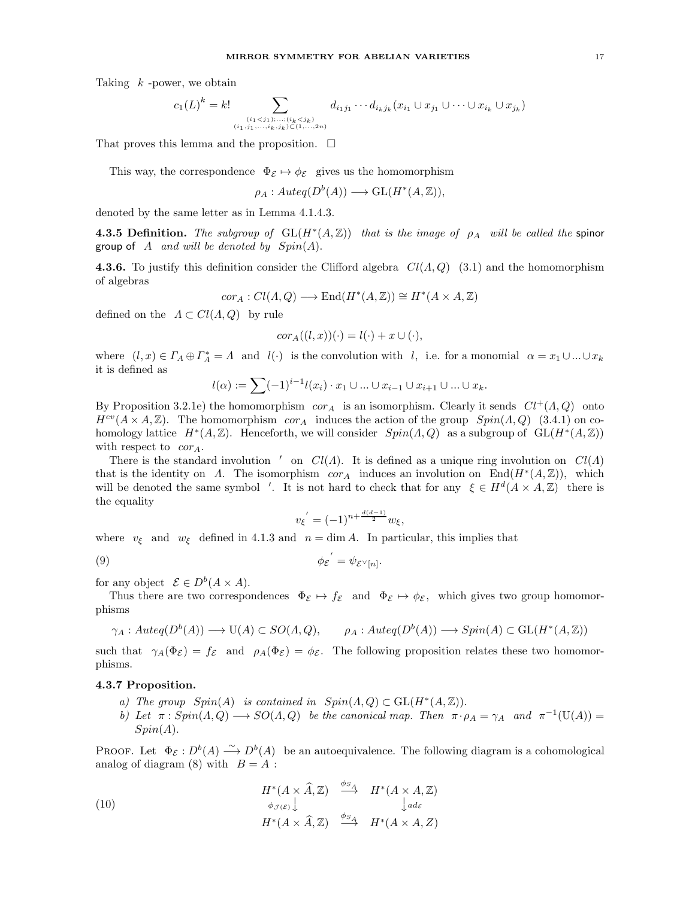Taking  $k$  -power, we obtain

$$
c_1(L)^k = k! \sum_{\substack{(i_1 < j_1), \dots, (i_k < j_k) \\ (i_1, j_1, \dots, i_k, j_k) \subset (1, \dots, 2n)}} d_{i_1 j_1} \cdots d_{i_k j_k} (x_{i_1} \cup x_{j_1} \cup \dots \cup x_{i_k} \cup x_{j_k})
$$

That proves this lemma and the proposition.  $\Box$ 

This way, the correspondence  $\Phi_{\mathcal{E}} \mapsto \phi_{\mathcal{E}}$  gives us the homomorphism

$$
\rho_A: Auteq(D^b(A)) \longrightarrow GL(H^*(A, \mathbb{Z})),
$$

denoted by the same letter as in Lemma 4.1.4.3.

**4.3.5 Definition.** The subgroup of  $GL(H^*(A, \mathbb{Z}))$  that is the image of  $\rho_A$  will be called the spinor group of A and will be denoted by  $Spin(A)$ .

**4.3.6.** To justify this definition consider the Clifford algebra  $Cl(A, Q)$  (3.1) and the homomorphism of algebras

$$
cor_A: Cl(A, Q) \longrightarrow End(H^*(A, \mathbb{Z})) \cong H^*(A \times A, \mathbb{Z})
$$

defined on the  $\Lambda \subset Cl(\Lambda, Q)$  by rule

$$
cor_A((l, x))(\cdot) = l(\cdot) + x \cup (\cdot),
$$

where  $(l, x) \in \Gamma_A \oplus \Gamma_A^* = \Lambda$  and  $l(\cdot)$  is the convolution with  $l$ , i.e. for a monomial  $\alpha = x_1 \cup ... \cup x_k$ it is defined as

$$
l(\alpha) := \sum (-1)^{i-1} l(x_i) \cdot x_1 \cup \ldots \cup x_{i-1} \cup x_{i+1} \cup \ldots \cup x_k.
$$

By Proposition 3.2.1e) the homomorphism  $cor_A$  is an isomorphism. Clearly it sends  $Cl^+(A, Q)$  onto  $H^{ev}(A \times A, \mathbb{Z})$ . The homomorphism  $cor_A$  induces the action of the group  $Spin(A, Q)$  (3.4.1) on cohomology lattice  $H^*(A, \mathbb{Z})$ . Henceforth, we will consider  $Spin(\Lambda, Q)$  as a subgroup of  $GL(H^*(A, \mathbb{Z}))$ with respect to  $cor_A$ .

There is the standard involution  $'$  on  $Cl(\Lambda)$ . It is defined as a unique ring involution on  $Cl(\Lambda)$ that is the identity on A. The isomorphism  $cor_A$  induces an involution on  $\text{End}(H^*(A,\mathbb{Z}))$ , which will be denoted the same symbol  $\prime$ . It is not hard to check that for any  $\xi \in H^d(A \times A, \mathbb{Z})$  there is the equality

$$
v_{\xi}^{'} = (-1)^{n + \frac{d(d-1)}{2}} w_{\xi},
$$

where  $v_{\xi}$  and  $w_{\xi}$  defined in 4.1.3 and  $n = \dim A$ . In particular, this implies that

$$
\phi_{\mathcal{E}}' = \psi_{\mathcal{E}^{\vee}[n]}.
$$

for any object  $\mathcal{E} \in D^b(A \times A)$ .

Thus there are two correspondences  $\Phi_{\mathcal{E}} \mapsto f_{\mathcal{E}}$  and  $\Phi_{\mathcal{E}} \mapsto \phi_{\mathcal{E}}$ , which gives two group homomorphisms

$$
\gamma_A: Auteq(D^b(A)) \longrightarrow U(A) \subset SO(A, Q), \qquad \rho_A: Auteq(D^b(A)) \longrightarrow Spin(A) \subset GL(H^*(A, \mathbb{Z}))
$$

such that  $\gamma_A(\Phi_{\mathcal{E}}) = f_{\mathcal{E}}$  and  $\rho_A(\Phi_{\mathcal{E}}) = \phi_{\mathcal{E}}$ . The following proposition relates these two homomorphisms.

### 4.3.7 Proposition.

- a) The group  $Spin(A)$  is contained in  $Spin(A,Q) \subset GL(H^*(A,\mathbb{Z}))$ .
- b) Let  $\pi : Spin(A, Q) \longrightarrow SO(A, Q)$  be the canonical map. Then  $\pi \cdot \rho_A = \gamma_A$  and  $\pi^{-1}(U(A)) =$  $Spin(A).$

**PROOF.** Let  $\Phi_{\mathcal{E}}: D^b(A) \longrightarrow D^b(A)$  be an autoequivalence. The following diagram is a cohomological analog of diagram (8) with  $B = A$ :

(10)  
\n
$$
H^*(A \times \widehat{A}, \mathbb{Z}) \xrightarrow{\phi_{S_A}} H^*(A \times A, \mathbb{Z})
$$
\n
$$
\downarrow_{ad_{\mathcal{E}}} \downarrow_{ad_{\mathcal{E}}} H^*(A \times \widehat{A}, \mathbb{Z}) \xrightarrow{\phi_{S_A}} H^*(A \times A, \mathbb{Z})
$$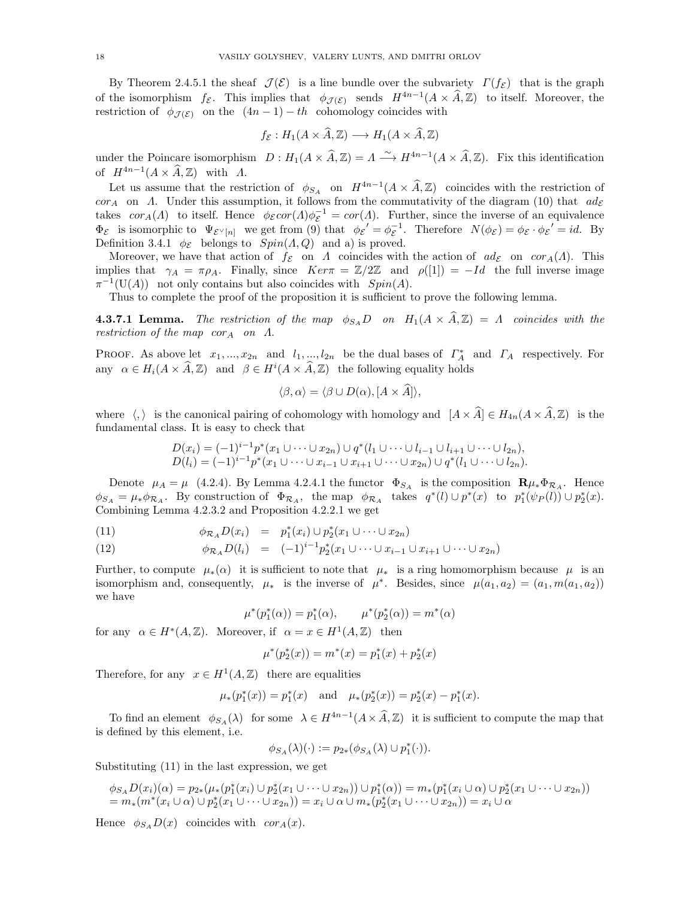By Theorem 2.4.5.1 the sheaf  $\mathcal{J}(\mathcal{E})$  is a line bundle over the subvariety  $\Gamma(f_{\mathcal{E}})$  that is the graph of the isomorphism  $f_{\mathcal{E}}$ . This implies that  $\phi_{\mathcal{J}(\mathcal{E})}$  sends  $H^{4n-1}(A \times \widehat{A}, \mathbb{Z})$  to itself. Moreover, the restriction of  $\phi_{\mathcal{J}(\mathcal{E})}$  on the  $(4n-1) - th$  cohomology coincides with

$$
f_{\mathcal{E}}: H_1(A \times \widehat{A}, \mathbb{Z}) \longrightarrow H_1(A \times \widehat{A}, \mathbb{Z})
$$

under the Poincare isomorphism  $D: H_1(A \times \widehat{A}, \mathbb{Z}) = A \longrightarrow H^{4n-1}(A \times \widehat{A}, \mathbb{Z})$ . Fix this identification of  $H^{4n-1}(A \times \widehat{A}, \mathbb{Z})$  with  $\Lambda$ .

Let us assume that the restriction of  $\phi_{SA}$  on  $H^{4n-1}(A \times \hat{A}, \mathbb{Z})$  coincides with the restriction of cor<sub>A</sub> on *A*. Under this assumption, it follows from the commutativity of the diagram (10) that  $ad_{\mathcal{E}}$ takes  $cor_A(\Lambda)$  to itself. Hence  $\phi_{\mathcal{E}} cor(\Lambda) \phi_{\mathcal{E}}^{-1} = cor(\Lambda)$ . Further, since the inverse of an equivalence  $\Phi_{\mathcal{E}}$  is isomorphic to  $\Psi_{\mathcal{E} \vee [n]}$  we get from (9) that  $\phi_{\mathcal{E}}' = \phi_{\mathcal{E}}^{-1}$ . Therefore  $N(\phi_{\mathcal{E}}) = \phi_{\mathcal{E}} \cdot \phi_{\mathcal{E}}' = id$ . By Definition 3.4.1  $\phi_{\mathcal{E}}$  belongs to  $Spin(A, Q)$  and a) is proved.

Moreover, we have that action of  $f_{\mathcal{E}}$  on  $\Lambda$  coincides with the action of  $ad_{\mathcal{E}}$  on  $cor_A(\Lambda)$ . This implies that  $\gamma_A = \pi \rho_A$ . Finally, since  $Ker \pi = \mathbb{Z}/2\mathbb{Z}$  and  $\rho([1]) = -Id$  the full inverse image  $\pi^{-1}(\mathcal{U}(A))$  not only contains but also coincides with  $Spin(A)$ .

Thus to complete the proof of the proposition it is sufficient to prove the following lemma.

**4.3.7.1 Lemma.** The restriction of the map  $\phi_{S_A}D$  on  $H_1(A \times \hat{A}, \mathbb{Z}) = A$  coincides with the restriction of the map  $cor_A$  on  $\Lambda$ .

**PROOF.** As above let  $x_1, ..., x_{2n}$  and  $l_1, ..., l_{2n}$  be the dual bases of  $\Gamma_A^*$  and  $\Gamma_A$  respectively. For any  $\alpha \in H_i(A \times \hat{A}, \mathbb{Z})$  and  $\beta \in H^i(A \times \hat{A}, \mathbb{Z})$  the following equality holds

$$
\langle \beta, \alpha \rangle = \langle \beta \cup D(\alpha), [A \times \hat{A}],
$$

where  $\langle, \rangle$  is the canonical pairing of cohomology with homology and  $[A \times \hat{A}] \in H_{4n}(A \times \hat{A}, \mathbb{Z})$  is the fundamental class. It is easy to check that

$$
D(x_i) = (-1)^{i-1} p^*(x_1 \cup \dots \cup x_{2n}) \cup q^*(l_1 \cup \dots \cup l_{i-1} \cup l_{i+1} \cup \dots \cup l_{2n}),
$$
  
\n
$$
D(l_i) = (-1)^{i-1} p^*(x_1 \cup \dots \cup x_{i-1} \cup x_{i+1} \cup \dots \cup x_{2n}) \cup q^*(l_1 \cup \dots \cup l_{2n}).
$$

Denote  $\mu_A = \mu$  (4.2.4). By Lemma 4.2.4.1 the functor  $\Phi_{SA}$  is the composition  $\mathbf{R} \mu_* \Phi_{RA}$ . Hence  $\phi_{S_A} = \mu_* \phi_{\mathcal{R}_A}$ . By construction of  $\Phi_{\mathcal{R}_A}$ , the map  $\phi_{\mathcal{R}_A}$  takes  $q^*(l) \cup p^*(x)$  to  $p_1^*(\psi_P(l)) \cup p_2^*(x)$ . Combining Lemma 4.2.3.2 and Proposition 4.2.2.1 we get

(11) 
$$
\phi_{\mathcal{R}_A} D(x_i) = p_1^*(x_i) \cup p_2^*(x_1 \cup \dots \cup x_{2n})
$$

(12) 
$$
\phi_{\mathcal{R}_A} D(l_i) = (-1)^{i-1} p_2^*(x_1 \cup \dots \cup x_{i-1} \cup x_{i+1} \cup \dots \cup x_{2n})
$$

Further, to compute  $\mu_*(\alpha)$  it is sufficient to note that  $\mu_*$  is a ring homomorphism because  $\mu$  is an isomorphism and, consequently,  $\mu_*$  is the inverse of  $\mu^*$ . Besides, since  $\mu(a_1, a_2) = (a_1, m(a_1, a_2))$ we have

$$
\mu^*(p_1^*(\alpha)) = p_1^*(\alpha), \qquad \mu^*(p_2^*(\alpha)) = m^*(\alpha)
$$

for any  $\alpha \in H^*(A, \mathbb{Z})$ . Moreover, if  $\alpha = x \in H^1(A, \mathbb{Z})$  then

$$
\mu^*(p_2^*(x)) = m^*(x) = p_1^*(x) + p_2^*(x)
$$

Therefore, for any  $x \in H^1(A,\mathbb{Z})$  there are equalities

$$
\mu_*(p_1^*(x)) = p_1^*(x)
$$
 and  $\mu_*(p_2^*(x)) = p_2^*(x) - p_1^*(x)$ .

To find an element  $\phi_{S_A}(\lambda)$  for some  $\lambda \in H^{4n-1}(A \times \widehat{A}, \mathbb{Z})$  it is sufficient to compute the map that is defined by this element, i.e.

$$
\phi_{S_A}(\lambda)(\cdot) := p_{2*}(\phi_{S_A}(\lambda) \cup p_1^*(\cdot)).
$$

Substituting (11) in the last expression, we get

$$
\phi_{S_A} D(x_i)(\alpha) = p_{2*}(\mu_*(p_1^*(x_i) \cup p_2^*(x_1 \cup \dots \cup x_{2n})) \cup p_1^*(\alpha)) = m_*(p_1^*(x_i \cup \alpha) \cup p_2^*(x_1 \cup \dots \cup x_{2n}))
$$
  
=  $m_*(m^*(x_i \cup \alpha) \cup p_2^*(x_1 \cup \dots \cup x_{2n})) = x_i \cup \alpha \cup m_*(p_2^*(x_1 \cup \dots \cup x_{2n})) = x_i \cup \alpha$ 

Hence  $\phi_{S_A} D(x)$  coincides with  $cor_A(x)$ .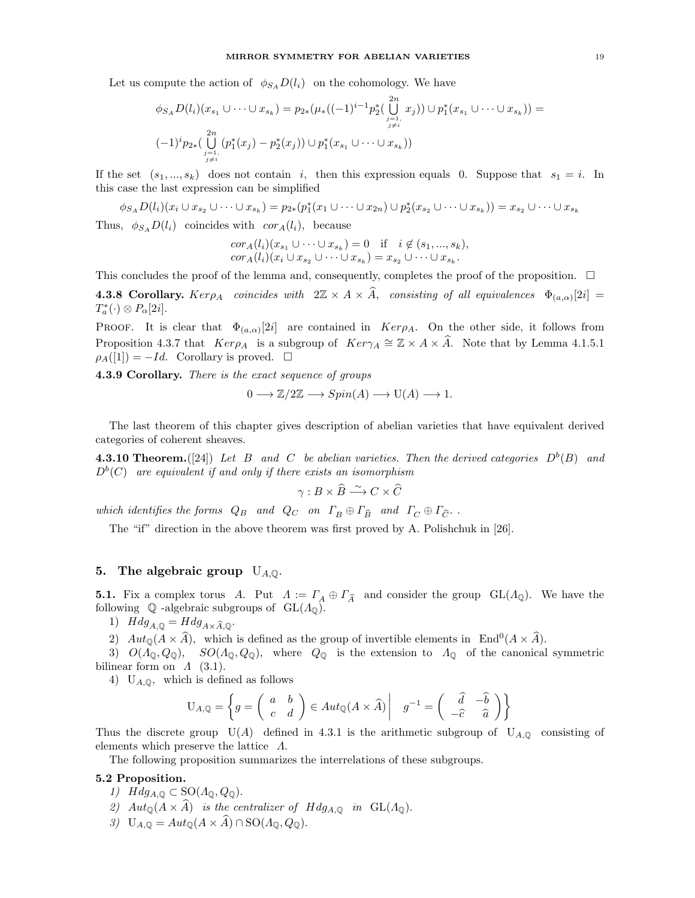#### MIRROR SYMMETRY FOR ABELIAN VARIETIES 19

Let us compute the action of  $\phi_{S_A} D(l_i)$  on the cohomology. We have

$$
\phi_{S_A} D(l_i)(x_{s_1} \cup \dots \cup x_{s_k}) = p_{2*}(\mu_*((-1)^{i-1} p_2^*(\bigcup_{\substack{j=1, \\ j \neq i}}^{2n} x_j)) \cup p_1^*(x_{s_1} \cup \dots \cup x_{s_k})) =
$$
  

$$
(-1)^i p_{2*}(\bigcup_{\substack{j=1, \\ j \neq i}}^{2n} (p_1^*(x_j) - p_2^*(x_j)) \cup p_1^*(x_{s_1} \cup \dots \cup x_{s_k}))
$$

If the set  $(s_1, ..., s_k)$  does not contain i, then this expression equals 0. Suppose that  $s_1 = i$ . In this case the last expression can be simplified

$$
\phi_{S_A} D(l_i)(x_i \cup x_{s_2} \cup \dots \cup x_{s_k}) = p_{2*}(p_1^*(x_1 \cup \dots \cup x_{2n}) \cup p_2^*(x_{s_2} \cup \dots \cup x_{s_k})) = x_{s_2} \cup \dots \cup x_{s_k}
$$

Thus,  $\phi_{S_A} D(l_i)$  coincides with  $cor_A(l_i)$ , because

$$
cor_A(l_i)(x_{s_1} \cup \cdots \cup x_{s_k}) = 0 \quad \text{if} \quad i \notin (s_1, ..., s_k),\n
$$
cor_A(l_i)(x_i \cup x_{s_2} \cup \cdots \cup x_{s_k}) = x_{s_2} \cup \cdots \cup x_{s_k}.
$$
$$

This concludes the proof of the lemma and, consequently, completes the proof of the proposition.  $\Box$ 

**4.3.8 Corollary.**  $Ker \rho_A$  coincides with  $2\mathbb{Z} \times A \times A$ , consisting of all equivalences  $\Phi_{(a,\alpha)}[2i] =$  $T_a^*(\cdot) \otimes P_\alpha[2i].$ 

PROOF. It is clear that  $\Phi_{(a,\alpha)}[2i]$  are contained in  $Ker \rho_A$ . On the other side, it follows from Proposition 4.3.7 that  $Ker\rho_A$  is a subgroup of  $Ker\gamma_A \cong \mathbb{Z} \times A \times \hat{A}$ . Note that by Lemma 4.1.5.1  $\rho_A([1]) = -Id$ . Corollary is proved.  $\square$ 

4.3.9 Corollary. There is the exact sequence of groups

$$
0 \longrightarrow \mathbb{Z}/2\mathbb{Z} \longrightarrow Spin(A) \longrightarrow U(A) \longrightarrow 1.
$$

The last theorem of this chapter gives description of abelian varieties that have equivalent derived categories of coherent sheaves.

**4.3.10 Theorem.** ([24]) Let B and C be abelian varieties. Then the derived categories  $D^b(B)$  and  $D<sup>b</sup>(C)$  are equivalent if and only if there exists an isomorphism

$$
\gamma: B \times \widehat{B} \xrightarrow{\sim} C \times \widehat{C}
$$

which identifies the forms  $Q_B$  and  $Q_C$  on  $\Gamma_B \oplus \Gamma_{\widehat{B}}$  and  $\Gamma_C \oplus \Gamma_{\widehat{C}}$ .

The "if" direction in the above theorem was first proved by A. Polishchuk in [26].

# 5. The algebraic group  $U_{A, \mathbb{Q}}$ .

**5.1.** Fix a complex torus A. Put  $\Lambda := \Gamma_A \oplus \Gamma_{\widehat{A}}$  and consider the group  $GL(\Lambda_{\mathbb{Q}})$ . We have the following  $\mathbb Q$  -algebraic subgroups of  $GL(\Lambda_{\mathbb Q})$ .

1)  $H dg_{A,\mathbb{Q}} = H dg_{A \times \widehat{A},\mathbb{Q}}.$ 

2)  $Aut_{\mathbb{Q}}(A \times \hat{A})$ , which is defined as the group of invertible elements in  $End^0(A \times \hat{A})$ .

3)  $O(A_{\mathbb{Q}}, Q_{\mathbb{Q}})$ ,  $SO(A_{\mathbb{Q}}, Q_{\mathbb{Q}})$ , where  $Q_{\mathbb{Q}}$  is the extension to  $A_{\mathbb{Q}}$  of the canonical symmetric bilinear form on  $\Lambda$  (3.1).

4)  $U_{A,Q}$ , which is defined as follows

$$
U_{A,Q} = \left\{ g = \begin{pmatrix} a & b \\ c & d \end{pmatrix} \in Aut_{\mathbb{Q}}(A \times \widehat{A}) \middle| g^{-1} = \begin{pmatrix} \widehat{d} & -\widehat{b} \\ -\widehat{c} & \widehat{a} \end{pmatrix} \right\}
$$

Thus the discrete group  $U(A)$  defined in 4.3.1 is the arithmetic subgroup of  $U_{A,Q}$  consisting of elements which preserve the lattice  $\Lambda$ .

The following proposition summarizes the interrelations of these subgroups.

#### 5.2 Proposition.

- 1)  $Hdg_{A,\mathbb{Q}} \subset SO(\Lambda_{\mathbb{Q}},Q_{\mathbb{Q}}).$
- 2)  $Aut_{\mathbb{Q}}(A \times \hat{A})$  is the centralizer of  $Hdg_{A,\mathbb{Q}}$  in  $GL(\Lambda_{\mathbb{Q}})$ .
- 3)  $U_{A,Q} = Aut_{\mathbb{Q}}(A \times \widehat{A}) \cap SO(A_{\mathbb{Q}}, Q_{\mathbb{Q}}).$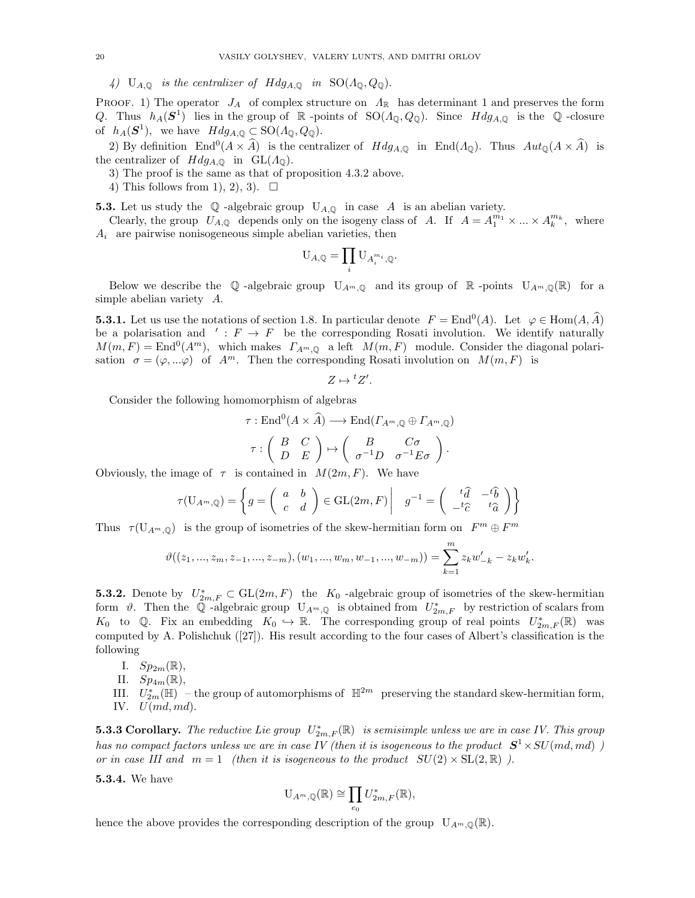4)  $U_{A,Q}$  is the centralizer of  $Hdg_{A,Q}$  in  $SO(\Lambda_{\mathbb Q}, Q_{\mathbb Q}).$ 

PROOF. 1) The operator  $J_A$  of complex structure on  $\Lambda_{\mathbb{R}}$  has determinant 1 and preserves the form Q. Thus  $h_A(\mathbf{S}^1)$  lies in the group of  $\mathbb R$  -points of  $SO(\Lambda_{\mathbb Q}, Q_{\mathbb Q})$ . Since  $Hdg_{A,\mathbb Q}$  is the  $\mathbb Q$  -closure of  $h_A(\mathbf{S}^1)$ , we have  $Hdg_{A,\mathbb{Q}} \subset SO(\Lambda_{\mathbb{Q}}, Q_{\mathbb{Q}})$ .

2) By definition  $\text{End}^0(A \times \hat{A})$  is the centralizer of  $Hdg_{A,Q}$  in  $\text{End}(\Lambda_{\mathbb{Q}})$ . Thus  $Aut_{\mathbb{Q}}(A \times \hat{A})$  is the centralizer of  $Hdg_{A,\mathbb{Q}}$  in  $GL(\Lambda_{\mathbb{Q}})$ .

- 3) The proof is the same as that of proposition 4.3.2 above.
- 4) This follows from 1, 2, 3).  $\Box$

**5.3.** Let us study the  $\mathbb{Q}$  -algebraic group  $U_{A,\mathbb{Q}}$  in case A is an abelian variety.

Clearly, the group  $U_{A,\mathbb{Q}}$  depends only on the isogeny class of A. If  $A = A_1^{m_1} \times ... \times A_k^{m_k}$ , where  $A_i$  are pairwise nonisogeneous simple abelian varieties, then

$$
\mathbf{U}_{A,\mathbb{Q}}=\prod_i \mathbf{U}_{A_i^{m_i},\mathbb{Q}}.
$$

Below we describe the Q -algebraic group  $U_{A^m,Q}$  and its group of  $\mathbb R$  -points  $U_{A^m,Q}(\mathbb R)$  for a simple abelian variety A.

**5.3.1.** Let us use the notations of section 1.8. In particular denote  $F = \text{End}^0(A)$ . Let  $\varphi \in \text{Hom}(A, \widehat{A})$ be a polarisation and  $' : F \to F$  be the corresponding Rosati involution. We identify naturally  $M(m, F) = \text{End}^{0}(A^{m}),$  which makes  $\Gamma_{A^{m}, \mathbb{Q}}$  a left  $M(m, F)$  module. Consider the diagonal polarisation  $\sigma = (\varphi, \ldots \varphi)$  of  $A^m$ . Then the corresponding Rosati involution on  $M(m, F)$  is

$$
Z \mapsto {}^tZ'.
$$

Consider the following homomorphism of algebras

$$
\tau : \text{End}^0(A \times \widehat{A}) \longrightarrow \text{End}(I_{A^m, \mathbb{Q}} \oplus I_{A^m, \mathbb{Q}})
$$

$$
\tau : \begin{pmatrix} B & C \\ D & E \end{pmatrix} \mapsto \begin{pmatrix} B & C\sigma \\ \sigma^{-1}D & \sigma^{-1}E\sigma \end{pmatrix}.
$$

Obviously, the image of  $\tau$  is contained in  $M(2m, F)$ . We have

$$
\tau(\mathbf{U}_{A^m,\mathbb{Q}}) = \left\{ g = \begin{pmatrix} a & b \\ c & d \end{pmatrix} \in \text{GL}(2m,F) \middle| \quad g^{-1} = \begin{pmatrix} t\hat{d} & -t\hat{b} \\ -t\hat{c} & t\hat{a} \end{pmatrix} \right\}
$$

Thus  $\tau(\mathbf{U}_{A^m,Q})$  is the group of isometries of the skew-hermitian form on  $F^m \oplus F^m$ 

$$
\vartheta((z_1, ..., z_m, z_{-1}, ..., z_{-m}), (w_1, ..., w_m, w_{-1}, ..., w_{-m})) = \sum_{k=1}^m z_k w'_{-k} - z_k w'_k.
$$

**5.3.2.** Denote by  $U^*_{2m,F} \subset GL(2m,F)$  the  $K_0$ -algebraic group of isometries of the skew-hermitian form  $\vartheta$ . Then the Q -algebraic group  $U_{A^m,Q}$  is obtained from  $U^*_{2m,F}$  by restriction of scalars from  $K_0$  to Q. Fix an embedding  $K_0 \hookrightarrow \mathbb{R}$ . The corresponding group of real points  $U^*_{2m,F}(\mathbb{R})$  was computed by A. Polishchuk ([27]). His result according to the four cases of Albert's classification is the following

- I.  $Sp_{2m}(\mathbb{R}),$
- II.  $Sp_{4m}(\mathbb{R}),$

III.  $U_{2m}^*(\mathbb{H})$  – the group of automorphisms of  $\mathbb{H}^{2m}$  preserving the standard skew-hermitian form, IV.  $U(md, md)$ .

**5.3.3 Corollary.** The reductive Lie group  $U^*_{2m,F}(\mathbb{R})$  is semisimple unless we are in case IV. This group has no compact factors unless we are in case IV (then it is isogeneous to the product  $S^1 \times SU(md, md)$  ) or in case III and  $m = 1$  (then it is isogeneous to the product  $SU(2) \times SL(2, \mathbb{R})$ ).

5.3.4. We have

$$
\mathbf{U}_{A^m,\mathbb{Q}}(\mathbb{R})\cong \prod_{e_0}U_{2m,F}^*(\mathbb{R}),
$$

hence the above provides the corresponding description of the group  $U_{A^m,Q}(\mathbb{R})$ .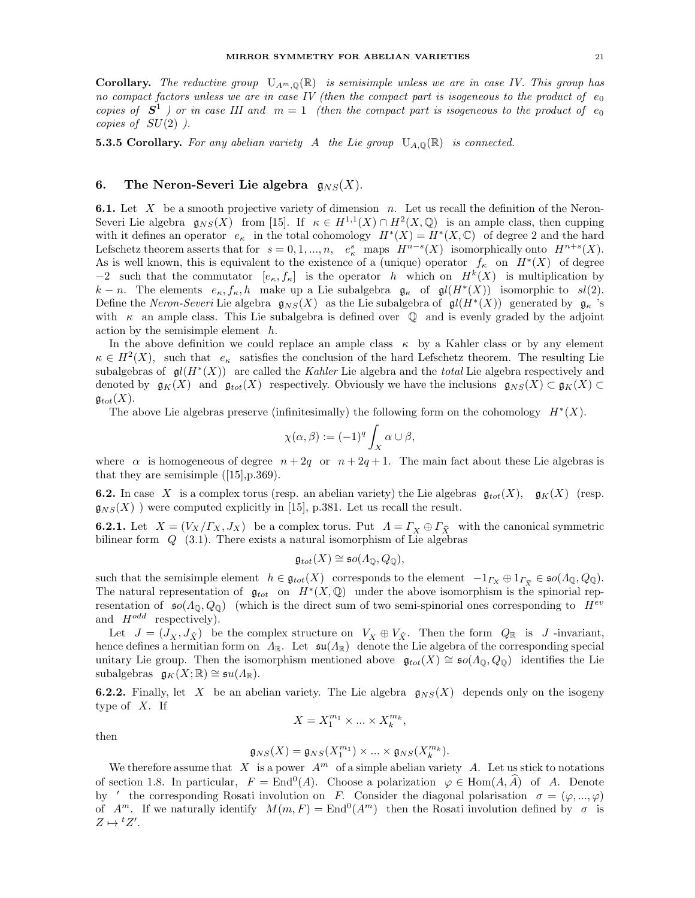**Corollary.** The reductive group  $U_{A^m,Q}(\mathbb{R})$  is semisimple unless we are in case IV. This group has no compact factors unless we are in case IV (then the compact part is isogeneous to the product of  $e_0$ copies of  $S^1$ ) or in case III and  $m = 1$  (then the compact part is isogeneous to the product of  $e_0$ copies of  $SU(2)$ ).

**5.3.5 Corollary.** For any abelian variety A the Lie group  $U_{A,Q}(\mathbb{R})$  is connected.

# 6. The Neron-Severi Lie algebra  $\mathfrak{g}_{NS}(X)$ .

**6.1.** Let X be a smooth projective variety of dimension n. Let us recall the definition of the Neron-Severi Lie algebra  $\mathfrak{g}_{NS}(X)$  from [15]. If  $\kappa \in H^{1,1}(X) \cap H^2(X,\mathbb{Q})$  is an ample class, then cupping with it defines an operator  $e_{\kappa}$  in the total cohomology  $H^*(X) = H^*(X, \mathbb{C})$  of degree 2 and the hard Lefschetz theorem asserts that for  $s = 0, 1, ..., n$ ,  $e_{\kappa}^{s}$  maps  $H^{n-s}(X)$  isomorphically onto  $H^{n+s}(X)$ . As is well known, this is equivalent to the existence of a (unique) operator  $f_{\kappa}$  on  $H^*(X)$  of degree  $-2$  such that the commutator  $[e_\kappa, f_\kappa]$  is the operator h which on  $H^k(X)$  is multiplication by k − n. The elements  $e_{\kappa}, f_{\kappa}, h$  make up a Lie subalgebra  $\mathfrak{g}_{\kappa}$  of  $\mathfrak{gl}(H^*(X))$  isomorphic to  $sl(2)$ . Define the Neron-Severi Lie algebra  $\mathfrak{g}_{NS}(X)$  as the Lie subalgebra of  $\mathfrak{gl}(H^*(X))$  generated by  $\mathfrak{g}_{\kappa}$  's with  $\kappa$  an ample class. This Lie subalgebra is defined over  $\mathbb Q$  and is evenly graded by the adjoint action by the semisimple element  $h$ .

In the above definition we could replace an ample class  $\kappa$  by a Kahler class or by any element  $\kappa \in H^2(X)$ , such that  $e_{\kappa}$  satisfies the conclusion of the hard Lefschetz theorem. The resulting Lie subalgebras of  $\mathfrak{gl}(H^*(X))$  are called the Kahler Lie algebra and the total Lie algebra respectively and denoted by  $\mathfrak{g}_K(X)$  and  $\mathfrak{g}_{tot}(X)$  respectively. Obviously we have the inclusions  $\mathfrak{g}_{NS}(X) \subset \mathfrak{g}_K(X)$  $\mathfrak{g}_{tot}(X)$ .

The above Lie algebras preserve (infinitesimally) the following form on the cohomology  $H^*(X)$ .

$$
\chi(\alpha,\beta):=(-1)^q\int_X\alpha\cup\beta,
$$

where  $\alpha$  is homogeneous of degree  $n + 2q$  or  $n + 2q + 1$ . The main fact about these Lie algebras is that they are semisimple ([15],p.369).

**6.2.** In case X is a complex torus (resp. an abelian variety) the Lie algebras  $\mathfrak{g}_{tot}(X)$ ,  $\mathfrak{g}_K(X)$  (resp.  $\mathfrak{g}_{NS}(X)$ ) were computed explicitly in [15], p.381. Let us recall the result.

**6.2.1.** Let  $X = (V_X / \Gamma_X, J_X)$  be a complex torus. Put  $\Lambda = \Gamma_X \oplus \Gamma_{\hat{X}}$  with the canonical symmetric bilinear form  $Q(3.1)$ . There exists a natural isomorphism of Lie algebras

$$
\mathfrak{g}_{tot}(X) \cong \mathfrak{so}(A_{\mathbb{Q}}, Q_{\mathbb{Q}}),
$$

such that the semisimple element  $h \in \mathfrak{g}_{tot}(X)$  corresponds to the element  $-1_{\Gamma_X} \oplus 1_{\Gamma_{\widehat{X}}} \in \mathfrak{so}(\Lambda_{\mathbb{Q}}, Q_{\mathbb{Q}}).$ The natural representation of  $\mathfrak{g}_{tot}$  on  $H^*(X,\mathbb{Q})$  under the above isomorphism is the spinorial representation of  $\mathfrak{so}(A_0, Q_0)$  (which is the direct sum of two semi-spinorial ones corresponding to  $H^{ev}$ and  $H^{odd}$  respectively).

Let  $J = (J_X, J_{\widehat{X}})$  be the complex structure on  $V_X \oplus V_{\widehat{X}}$ . Then the form  $Q_{\mathbb{R}}$  is J -invariant, hence defines a hermitian form on  $\Lambda_{\mathbb{R}}$ . Let  $\mathfrak{su}(\Lambda_{\mathbb{R}})$  denote the Lie algebra of the corresponding special unitary Lie group. Then the isomorphism mentioned above  $\mathfrak{g}_{tot}(X) \cong \mathfrak{so}(\Lambda_{\mathbb{Q}}, Q_{\mathbb{Q}})$  identifies the Lie subalgebras  $\mathfrak{g}_K(X;\mathbb{R}) \cong \mathfrak{su}(\Lambda_{\mathbb{R}}).$ 

**6.2.2.** Finally, let X be an abelian variety. The Lie algebra  $\mathfrak{g}_{NS}(X)$  depends only on the isogeny type of  $X$ . If

$$
X=X_1^{m_1}\times \ldots \times X_k^{m_k},
$$

then

$$
\mathfrak{g}_{NS}(X)=\mathfrak{g}_{NS}(X_1^{m_1})\times\ldots\times\mathfrak{g}_{NS}(X_k^{m_k}).
$$

We therefore assume that  $X$  is a power  $A^m$  of a simple abelian variety A. Let us stick to notations of section 1.8. In particular,  $F = \text{End}^0(A)$ . Choose a polarization  $\varphi \in \text{Hom}(A, \hat{A})$  of A. Denote by ' the corresponding Rosati involution on F. Consider the diagonal polarisation  $\sigma = (\varphi, ..., \varphi)$ of  $A^m$ . If we naturally identify  $M(m, F) = \text{End}^0(A^m)$  then the Rosati involution defined by  $\sigma$  is  $Z \mapsto {}^tZ'.$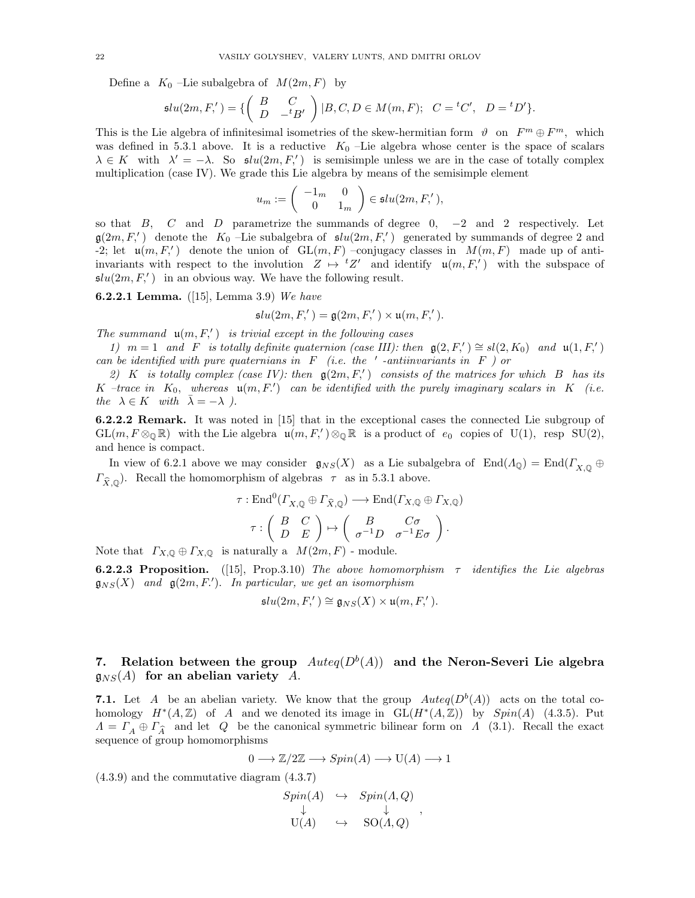Define a  $K_0$  –Lie subalgebra of  $M(2m, F)$  by

$$
\mathfrak slu(2m,F,')=\{\left(\begin{array}{cc} B & C \\ D & -^t B'\end{array}\right)|B,C,D\in M(m,F);\hspace{2mm}C={}^tC',\hspace{2mm}D={}^tD'\}.
$$

This is the Lie algebra of infinitesimal isometries of the skew-hermitian form  $\vartheta$  on  $F^m \oplus F^m$ , which was defined in 5.3.1 above. It is a reductive  $K_0$  –Lie algebra whose center is the space of scalars  $\lambda \in K$  with  $\lambda' = -\lambda$ . So  $\mathfrak{slu}(2m, F,')$  is semisimple unless we are in the case of totally complex multiplication (case IV). We grade this Lie algebra by means of the semisimple element

$$
u_m := \left( \begin{array}{cc} -1_m & 0 \\ 0 & 1_m \end{array} \right) \in \mathfrak slu(2m, F,'),
$$

so that B, C and D parametrize the summands of degree  $0$ ,  $-2$  and 2 respectively. Let  $\mathfrak{g}(2m, F,')$  denote the  $K_0$  -Lie subalgebra of  $\mathfrak{slu}(2m, F,')$  generated by summands of degree 2 and -2; let  $\mathfrak{u}(m, F,')$  denote the union of  $GL(m, F)$  -conjugacy classes in  $M(m, F)$  made up of antiinvariants with respect to the involution  $Z \mapsto {}^tZ'$  and identify  $\mathfrak{u}(m, F,')$  with the subspace of  $slu(2m, F, ' )$  in an obvious way. We have the following result.

6.2.2.1 Lemma. ([15], Lemma 3.9) We have

$$
\mathfrak{sl}u(2m,F,')=\mathfrak{g}(2m,F,')\times\mathfrak{u}(m,F,').
$$

The summand  $\mathfrak{u}(m, F, ' )$  is trivial except in the following cases

1)  $m = 1$  and F is totally definite quaternion (case III): then  $\mathfrak{g}(2, F,') \cong sl(2, K_0)$  and  $\mathfrak{u}(1, F,')$ can be identified with pure quaternians in  $F$  (i.e. the  $'$ -antiinvariants in  $F$ ) or

2) K is totally complex (case IV): then  $\mathfrak{g}(2m, F,')$  consists of the matrices for which B has its K -trace in  $K_0$ , whereas  $\mathfrak{u}(m, F')$  can be identified with the purely imaginary scalars in K (i.e. the  $\lambda \in K$  with  $\bar{\lambda} = -\lambda$ ).

6.2.2.2 Remark. It was noted in [15] that in the exceptional cases the connected Lie subgroup of  $GL(m, F \otimes_{\mathbb{Q}} \mathbb{R})$  with the Lie algebra  $\mathfrak{u}(m, F, ')\otimes_{\mathbb{Q}} \mathbb{R}$  is a product of  $e_0$  copies of U(1), resp SU(2), and hence is compact.

In view of 6.2.1 above we may consider  $\mathfrak{g}_{NS}(X)$  as a Lie subalgebra of  $\text{End}(A_{\mathbb{Q}}) = \text{End}(\Gamma_{X,\mathbb{Q}} \oplus$  $\Gamma_{\widehat{X},\mathbb{Q}}$ . Recall the homomorphism of algebras  $\tau$  as in 5.3.1 above.

$$
\tau: \text{End}^0(\Gamma_{X,\mathbb{Q}} \oplus \Gamma_{\widehat{X},\mathbb{Q}}) \longrightarrow \text{End}(\Gamma_{X,\mathbb{Q}} \oplus \Gamma_{X,\mathbb{Q}})
$$

$$
\tau: \begin{pmatrix} B & C \\ D & E \end{pmatrix} \mapsto \begin{pmatrix} B & C\sigma \\ \sigma^{-1}D & \sigma^{-1}E\sigma \end{pmatrix}.
$$

Note that  $\Gamma_{X,\mathbb{Q}} \oplus \Gamma_{X,\mathbb{Q}}$  is naturally a  $M(2m,F)$  - module.

**6.2.2.3 Proposition.** ([15], Prop.3.10) The above homomorphism  $\tau$  identifies the Lie algebras  $\mathfrak{g}_{NS}(X)$  and  $\mathfrak{g}(2m, F')$ . In particular, we get an isomorphism

$$
\mathfrak slu(2m,F')\cong \mathfrak g_{NS}(X)\times \mathfrak u(m,F').
$$

# 7. Relation between the group  $\text{Auteq}(D^b(A))$  and the Neron-Severi Lie algebra  $\mathfrak{g}_{NS}(A)$  for an abelian variety A.

7.1. Let A be an abelian variety. We know that the group  $Auteq(D^b(A))$  acts on the total cohomology  $H^*(A, \mathbb{Z})$  of A and we denoted its image in  $GL(H^*(A, \mathbb{Z}))$  by  $Spin(A)$  (4.3.5). Put  $\Lambda = \Gamma_A \oplus \Gamma_{\widehat{A}}$  and let Q be the canonical symmetric bilinear form on  $\Lambda$  (3.1). Recall the exact sequence of group homomorphisms

$$
0 \longrightarrow \mathbb{Z}/2\mathbb{Z} \longrightarrow Spin(A) \longrightarrow U(A) \longrightarrow 1
$$

(4.3.9) and the commutative diagram (4.3.7)

$$
Spin(A) \leftrightarrow Spin(A, Q)
$$
  
\n
$$
\downarrow \qquad \qquad \downarrow
$$
  
\n
$$
U(A) \leftrightarrow SO(A, Q)
$$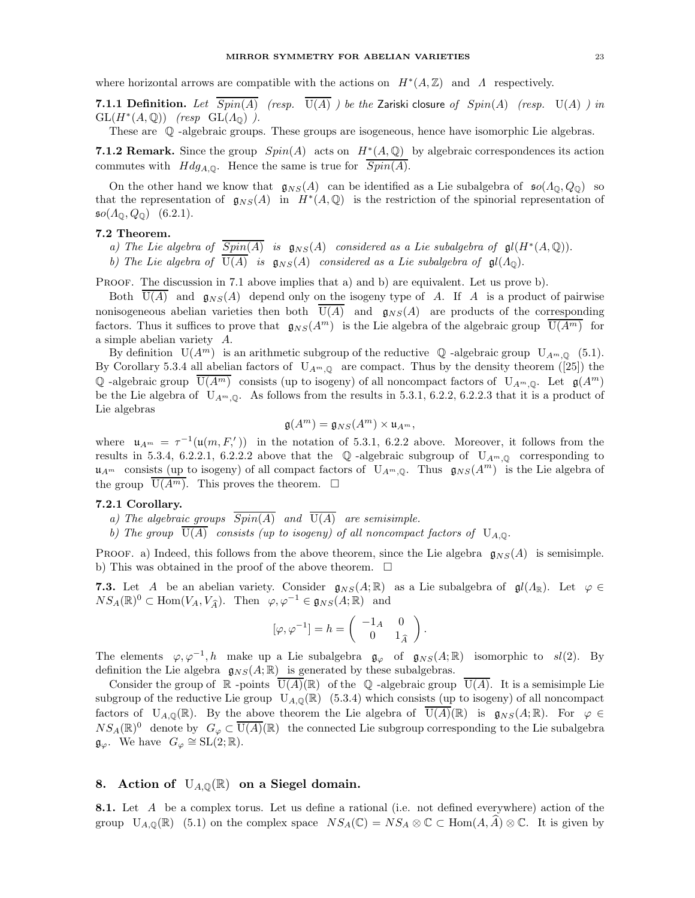where horizontal arrows are compatible with the actions on  $H^*(A, \mathbb{Z})$  and  $\Lambda$  respectively.

**7.1.1 Definition.** Let  $\overline{Spin(A)}$  (resp.  $\overline{U(A)}$ ) be the Zariski closure of  $Spin(A)$  (resp.  $U(A)$ ) in  $GL(H^*(A, \mathbb{Q}))$  (resp  $GL(\Lambda_{\mathbb{Q}})$ ).

These are Q -algebraic groups. These groups are isogeneous, hence have isomorphic Lie algebras.

**7.1.2 Remark.** Since the group  $Spin(A)$  acts on  $H^*(A, \mathbb{Q})$  by algebraic correspondences its action commutes with  $Hdg_{A,\mathbb{Q}}$ . Hence the same is true for  $Spin(A)$ .

On the other hand we know that  $\mathfrak{g}_{NS}(A)$  can be identified as a Lie subalgebra of  $\mathfrak{so}(A_{\mathbb{Q}},Q_{\mathbb{Q}})$  so that the representation of  $\mathfrak{g}_{NS}(A)$  in  $H^*(A,\mathbb{Q})$  is the restriction of the spinorial representation of  $\mathfrak{so}(A_{\mathbb{Q}},Q_{\mathbb{Q}})$  (6.2.1).

# 7.2 Theorem.

a) The Lie algebra of  $\overline{Spin(A)}$  is  $\mathfrak{g}_{NS}(A)$  considered as a Lie subalgebra of  $\mathfrak{gl}(H^*(A,\mathbb{Q}))$ .

b) The Lie algebra of  $\overline{U(A)}$  is  $\mathfrak{g}_{NS}(A)$  considered as a Lie subalgebra of  $\mathfrak{gl}(A_{\mathbb{O}})$ .

PROOF. The discussion in 7.1 above implies that a) and b) are equivalent. Let us prove b).

Both  $U(A)$  and  $\mathfrak{g}_{NS}(A)$  depend only on the isogeny type of A. If A is a product of pairwise nonisogeneous abelian varieties then both  $\overline{U(A)}$  and  $g_{NS}(A)$  are products of the corresponding factors. Thus it suffices to prove that  $\mathfrak{g}_{NS}(A^m)$  is the Lie algebra of the algebraic group  $\overline{U(A^m)}$  for a simple abelian variety A.

By definition  $U(A^m)$  is an arithmetic subgroup of the reductive Q -algebraic group  $U_{A^m,0}$  (5.1). By Corollary 5.3.4 all abelian factors of  $U_{A^m, \mathbb{Q}}$  are compact. Thus by the density theorem ([25]) the  $\mathbb{Q}$  -algebraic group  $\overline{U(A^m)}$  consists (up to isogeny) of all noncompact factors of  $U_{A^m, \mathbb{Q}}$ . Let  $\mathfrak{g}(A^m)$ be the Lie algebra of  $U_{A^m, \mathbb{Q}}$ . As follows from the results in 5.3.1, 6.2.2, 6.2.2.3 that it is a product of Lie algebras

$$
\mathfrak{g}(A^m) = \mathfrak{g}_{NS}(A^m) \times \mathfrak{u}_{A^m},
$$

where  $\mathfrak{u}_{A^m} = \tau^{-1}(\mathfrak{u}(m, F,'))$  in the notation of 5.3.1, 6.2.2 above. Moreover, it follows from the results in 5.3.4, 6.2.2.1, 6.2.2.2 above that the  $\mathbb Q$  -algebraic subgroup of  $U_{A^m, \mathbb Q}$  corresponding to  $\mathfrak{u}_{A^m}$  consists (up to isogeny) of all compact factors of  $U_{A^m, \mathbb{Q}}$ . Thus  $\mathfrak{g}_{NS}(A^m)$  is the Lie algebra of the group  $\overline{U(A^m)}$ . This proves the theorem.  $\Box$ 

#### 7.2.1 Corollary.

- a) The algebraic groups  $\overline{Spin(A)}$  and  $\overline{U(A)}$  are semisimple.
- b) The group  $U(A)$  consists (up to isogeny) of all noncompact factors of  $U_{A,0}$ .

PROOF. a) Indeed, this follows from the above theorem, since the Lie algebra  $g_{NS}(A)$  is semisimple. b) This was obtained in the proof of the above theorem.  $\Box$ 

**7.3.** Let A be an abelian variety. Consider  $g_{NS}(A;\mathbb{R})$  as a Lie subalgebra of  $gl(A_{\mathbb{R}})$ . Let  $\varphi \in$  $NS_A(\mathbb{R})^0 \subset \text{Hom}(V_A, V_{\widehat{A}}).$  Then  $\varphi, \varphi^{-1} \in \mathfrak{g}_{NS}(A; \mathbb{R})$  and

$$
[\varphi,\varphi^{-1}]=h=\left(\begin{array}{cc}-1_A&0\\0&1_{\widehat{A}}\end{array}\right)
$$

.

The elements  $\varphi, \varphi^{-1}, h$  make up a Lie subalgebra  $\mathfrak{g}_{\varphi}$  of  $\mathfrak{g}_{NS}(A;\mathbb{R})$  isomorphic to  $sl(2)$ . By definition the Lie algebra  $\mathfrak{g}_{NS}(A;\mathbb{R})$  is generated by these subalgebras.

Consider the group of  $\mathbb R$  -points  $U(A)(\mathbb R)$  of the Q -algebraic group  $U(A)$ . It is a semisimple Lie subgroup of the reductive Lie group  $U_{A,\mathbb{Q}}(\mathbb{R})$  (5.3.4) which consists (up to isogeny) of all noncompact factors of  $U_{A,Q}(\mathbb{R})$ . By the above theorem the Lie algebra of  $\overline{U(A)}(\mathbb{R})$  is  $\mathfrak{g}_{NS}(A;\mathbb{R})$ . For  $\varphi \in$  $NS_A(\mathbb{R})^0$  denote by  $G_{\varphi} \subset \overline{U(A)}(\mathbb{R})$  the connected Lie subgroup corresponding to the Lie subalgebra  $\mathfrak{g}_{\varphi}$ . We have  $G_{\varphi} \cong SL(2;\mathbb{R})$ .

# 8. Action of  $U_{A,\mathbb{Q}}(\mathbb{R})$  on a Siegel domain.

8.1. Let A be a complex torus. Let us define a rational (i.e. not defined everywhere) action of the group  $U_{A,Q}(\mathbb{R})$  (5.1) on the complex space  $NS_A(\mathbb{C}) = NS_A \otimes \mathbb{C} \subset Hom(A, \widehat{A}) \otimes \mathbb{C}$ . It is given by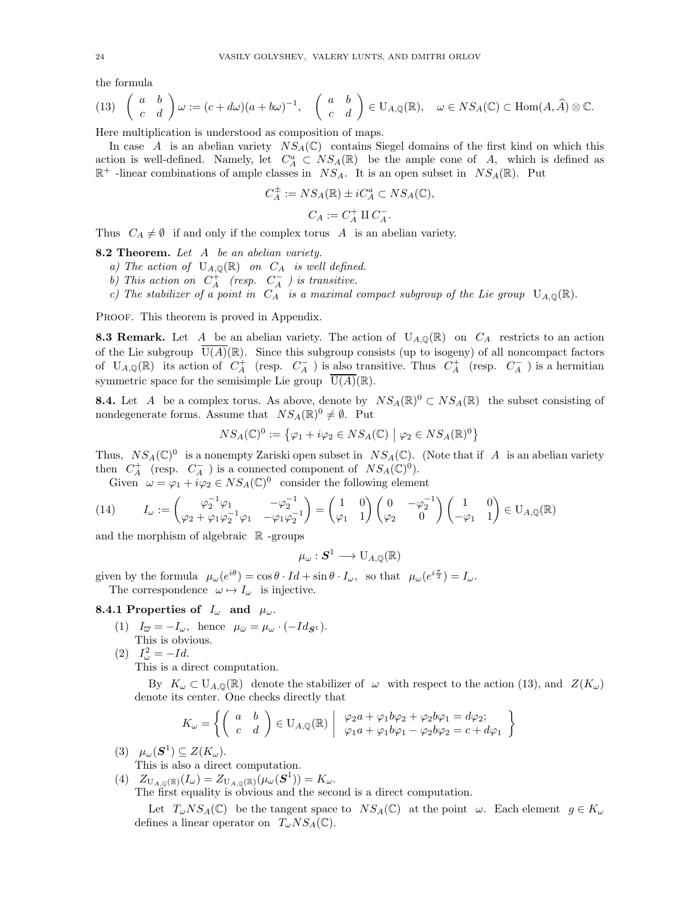the formula

$$
(13)\quad \left(\begin{array}{cc} a & b \\ c & d \end{array}\right)\omega := (c+d\omega)(a+b\omega)^{-1}, \quad \left(\begin{array}{cc} a & b \\ c & d \end{array}\right) \in \mathrm{U}_{A,\mathbb{Q}}(\mathbb{R}), \quad \omega \in NS_A(\mathbb{C}) \subset \mathrm{Hom}(A,\widehat{A}) \otimes \mathbb{C}.
$$

Here multiplication is understood as composition of maps.

In case A is an abelian variety  $NS_A(\mathbb{C})$  contains Siegel domains of the first kind on which this action is well-defined. Namely, let  $C_A^a \subset NS_A(\mathbb{R})$  be the ample cone of A, which is defined as  $\mathbb{R}^+$ -linear combinations of ample classes in  $NS_A$ . It is an open subset in  $NS_A(\mathbb{R})$ . Put

$$
C_A^{\pm} := NS_A(\mathbb{R}) \pm iC_A^a \subset NS_A(\mathbb{C}),
$$

$$
C_A := C_A^+ \amalg C_A^-.
$$

Thus  $C_A \neq \emptyset$  if and only if the complex torus A is an abelian variety.

**8.2 Theorem.** Let A be an abelian variety.

- a) The action of  $U_{A,Q}(\mathbb{R})$  on  $C_A$  is well defined.
- b) This action on  $C_A^+$  (resp.  $C_A^-$ ) is transitive.
- c) The stabilizer of a point in  $C_A$  is a maximal compact subgroup of the Lie group  $U_{A, \mathbb{Q}}(\mathbb{R})$ .

PROOF. This theorem is proved in Appendix.

**8.3 Remark.** Let A be an abelian variety. The action of  $U_{A,Q}(\mathbb{R})$  on  $C_A$  restricts to an action of the Lie subgroup  $U(A)(\mathbb{R})$ . Since this subgroup consists (up to isogeny) of all noncompact factors of  $U_{A,Q}(\mathbb{R})$  its action of  $C_A^+$  (resp.  $C_A^-$ ) is also transitive. Thus  $C_A^+$  (resp.  $C_A^-$ ) is a hermitian symmetric space for the semisimple Lie group  $U(A)(\mathbb{R})$ .

**8.4.** Let A be a complex torus. As above, denote by  $NS_A(\mathbb{R})^0 \subset NS_A(\mathbb{R})$  the subset consisting of nondegenerate forms. Assume that  $NS_A(\mathbb{R})^0 \neq \emptyset$ . Put

$$
NS_A(\mathbb{C})^0 := \left\{ \varphi_1 + i\varphi_2 \in NS_A(\mathbb{C}) \; \middle| \; \varphi_2 \in NS_A(\mathbb{R})^0 \right\}
$$

Thus,  $NS_A(\mathbb{C})^0$  is a nonempty Zariski open subset in  $NS_A(\mathbb{C})$ . (Note that if A is an abelian variety then  $C_A^+$  (resp.  $C_A^-$ ) is a connected component of  $NS_A(\mathbb{C})^0$ ).

Given  $\omega = \varphi_1 + i\varphi_2 \in NS_A(\mathbb{C})^0$  consider the following element

$$
(14) \qquad I_{\omega} := \begin{pmatrix} \varphi_2^{-1} \varphi_1 & -\varphi_2^{-1} \\ \varphi_2 + \varphi_1 \varphi_2^{-1} \varphi_1 & -\varphi_1 \varphi_2^{-1} \end{pmatrix} = \begin{pmatrix} 1 & 0 \\ \varphi_1 & 1 \end{pmatrix} \begin{pmatrix} 0 & -\varphi_2^{-1} \\ \varphi_2 & 0 \end{pmatrix} \begin{pmatrix} 1 & 0 \\ -\varphi_1 & 1 \end{pmatrix} \in U_{A,\mathbb{Q}}(\mathbb{R})
$$

and the morphism of algebraic  $\mathbb R$  -groups

$$
\mu_\omega : \bm{S}^1 \longrightarrow \mathrm{U}_{A, \mathbb{Q}}(\mathbb{R})
$$

given by the formula  $\mu_{\omega}(e^{i\theta}) = \cos \theta \cdot Id + \sin \theta \cdot I_{\omega}$ , so that  $\mu_{\omega}(e^{i\frac{\pi}{2}}) = I_{\omega}$ . The correspondence  $\omega \mapsto I_{\omega}$  is injective.

# 8.4.1 Properties of  $I_{\omega}$  and  $\mu_{\omega}$ .

(1)  $I_{\overline{\omega}} = -I_{\omega}$ , hence  $\mu_{\overline{\omega}} = \mu_{\omega} \cdot (-Id_{\mathcal{S}^1})$ . This is obvious.

(2)  $I_{\omega}^2 = -Id.$ 

This is a direct computation.

By  $K_{\omega} \subset U_{A,\mathbb{Q}}(\mathbb{R})$  denote the stabilizer of  $\omega$  with respect to the action (13), and  $Z(K_{\omega})$ denote its center. One checks directly that

$$
K_{\omega} = \left\{ \left( \begin{array}{cc} a & b \\ c & d \end{array} \right) \in \mathrm{U}_{A,\mathbb{Q}}(\mathbb{R}) \middle| \begin{array}{c} \varphi_2 a + \varphi_1 b \varphi_2 + \varphi_2 b \varphi_1 = d \varphi_2; \\ \varphi_1 a + \varphi_1 b \varphi_1 - \varphi_2 b \varphi_2 = c + d \varphi_1 \end{array} \right\}
$$

- (3)  $\mu_{\omega}(\mathbf{S}^1) \subseteq Z(K_{\omega}).$
- This is also a direct computation. (4)  $Z_{\mathrm{U}_{A,\mathbb{Q}}(\mathbb{R})}(I_{\omega})=Z_{\mathrm{U}_{A,\mathbb{Q}}(\mathbb{R})}(\mu_{\omega}(\mathbf{S}^1))=K_{\omega}.$

The first equality is obvious and the second is a direct computation.

Let  $T_{\omega}NS_A(\mathbb{C})$  be the tangent space to  $NS_A(\mathbb{C})$  at the point  $\omega$ . Each element  $g \in K_{\omega}$ defines a linear operator on  $T_{\omega}NS_{A}(\mathbb{C}).$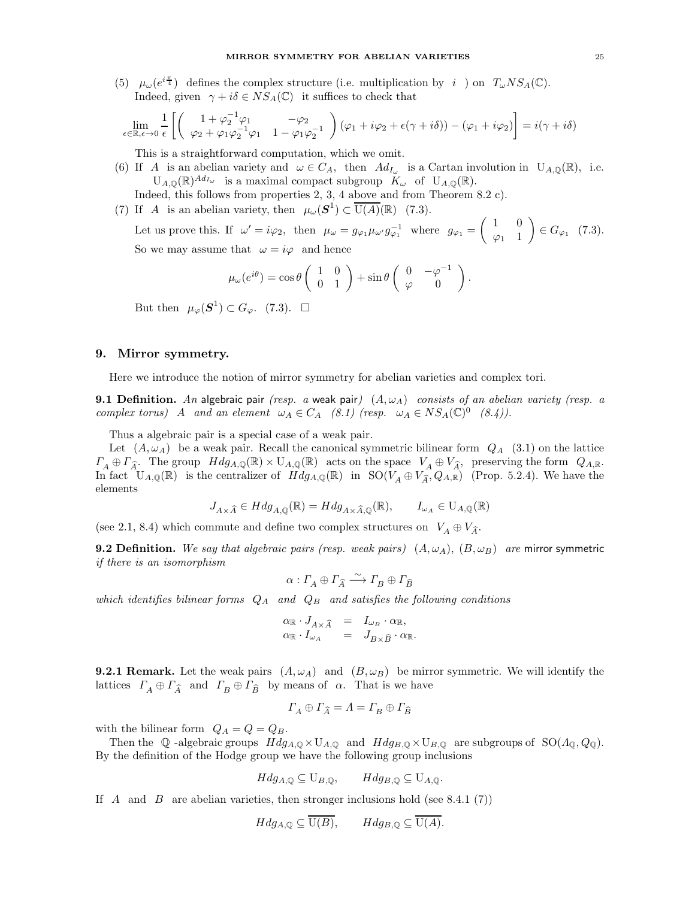#### MIRROR SYMMETRY FOR ABELIAN VARIETIES 25

(5)  $\mu_{\omega}(e^{i\frac{\pi}{4}})$  defines the complex structure (i.e. multiplication by i) on  $T_{\omega}NS_A(\mathbb{C})$ . Indeed, given  $\gamma + i\delta \in NS_A(\mathbb{C})$  it suffices to check that

$$
\lim_{\epsilon \in \mathbb{R}, \epsilon \to 0} \frac{1}{\epsilon} \left[ \begin{pmatrix} 1 + \varphi_2^{-1} \varphi_1 & -\varphi_2 \\ \varphi_2 + \varphi_1 \varphi_2^{-1} \varphi_1 & 1 - \varphi_1 \varphi_2^{-1} \end{pmatrix} (\varphi_1 + i \varphi_2 + \epsilon(\gamma + i\delta)) - (\varphi_1 + i \varphi_2) \right] = i(\gamma + i\delta)
$$

This is a straightforward computation, which we omit.

(6) If A is an abelian variety and  $\omega \in C_A$ , then  $Ad_{I_\omega}$  is a Cartan involution in  $U_{A,Q}(\mathbb{R})$ , i.e.  $U_{A,\mathbb{Q}}(\mathbb{R})^{Ad_{I_{\omega}}}$  is a maximal compact subgroup  $K_{\omega}$  of  $U_{A,\mathbb{Q}}(\mathbb{R})$ .

Indeed, this follows from properties 2, 3, 4 above and from Theorem 8.2 c).

(7) If A is an abelian variety, then  $\mu_\omega(\mathbf{S}^1) \subset \overline{\mathrm{U}(A)}(\mathbb{R})$  (7.3).

Let us prove this. If  $\omega' = i\varphi_2$ , then  $\mu_\omega = g_{\varphi_1} \mu_{\omega'} g_{\varphi_1}^{-1}$  where  $g_{\varphi_1} =$  $(1 \ 0)$  $\varphi_1$  1  $\overline{ }$  $\in G_{\varphi_1}$  (7.3). So we may assume that  $\omega = i\varphi$  and hence

$$
\mu_{\omega}(e^{i\theta}) = \cos \theta \begin{pmatrix} 1 & 0 \\ 0 & 1 \end{pmatrix} + \sin \theta \begin{pmatrix} 0 & -\varphi^{-1} \\ \varphi & 0 \end{pmatrix}.
$$

But then  $\mu_{\varphi}(\mathbf{S}^1) \subset G_{\varphi}$ . (7.3).  $\Box$ 

# 9. Mirror symmetry.

Here we introduce the notion of mirror symmetry for abelian varieties and complex tori.

**9.1 Definition.** An algebraic pair (resp. a weak pair)  $(A, \omega_A)$  consists of an abelian variety (resp. a complex torus) A and an element  $\omega_A \in C_A$  (8.1) (resp.  $\omega_A \in NS_A(\mathbb{C})^0$  (8.4)).

Thus a algebraic pair is a special case of a weak pair.

Let  $(A, \omega_A)$  be a weak pair. Recall the canonical symmetric bilinear form  $Q_A$  (3.1) on the lattice  $\Gamma_A \oplus \Gamma_{\widehat{A}}$ . The group  $Hdg_{A,\mathbb{Q}}(\mathbb{R}) \times U_{A,\mathbb{Q}}(\mathbb{R})$  acts on the space  $V_A \oplus V_{\widehat{A}}$ , preserving the form  $Q_{A,\mathbb{R}}$ . In fact  $U_{A,\mathbb{Q}}(\mathbb{R})$  is the centralizer of  $Hdg_{A,\mathbb{Q}}(\mathbb{R})$  in  $SO(V_A \oplus V_{\widehat{A}}, Q_{A,\mathbb{R}})$  (Prop. 5.2.4). We have the elements

$$
J_{A \times \widehat{A}} \in H dg_{A,\mathbb{Q}}(\mathbb{R}) = H dg_{A \times \widehat{A},\mathbb{Q}}(\mathbb{R}), \qquad I_{\omega_A} \in \mathcal{U}_{A,\mathbb{Q}}(\mathbb{R})
$$

(see 2.1, 8.4) which commute and define two complex structures on  $V_A \oplus V_A^2$ .

**9.2 Definition.** We say that algebraic pairs (resp. weak pairs)  $(A, \omega_A)$ ,  $(B, \omega_B)$  are mirror symmetric if there is an isomorphism

$$
\alpha:\varGamma_A\oplus\varGamma_{\widehat{A}}\stackrel{\sim}{\longrightarrow}\varGamma_B\oplus\varGamma_{\widehat{B}}
$$

which identifies bilinear forms  $Q_A$  and  $Q_B$  and satisfies the following conditions

$$
\begin{array}{rcl}\alpha_{\mathbb R} \cdot J_{A\times \widehat A}&=&I_{\omega_B} \cdot \alpha_{\mathbb R},\\ \alpha_{\mathbb R} \cdot I_{\omega_A}&=&J_{B\times \widehat B} \cdot \alpha_{\mathbb R}.\end{array}
$$

**9.2.1 Remark.** Let the weak pairs  $(A, \omega_A)$  and  $(B, \omega_B)$  be mirror symmetric. We will identify the lattices  $\Gamma_A \oplus \Gamma_{\widehat{A}}$  and  $\Gamma_B \oplus \Gamma_{\widehat{B}}$  by means of  $\alpha$ . That is we have

$$
\varGamma_A \oplus \varGamma_{\widehat{A}} = \varLambda = \varGamma_B \oplus \varGamma_{\widehat{B}}
$$

with the bilinear form  $Q_A = Q = Q_B$ .

Then the Q -algebraic groups  $Hdg_{A,\mathbb{Q}} \times U_{A,\mathbb{Q}}$  and  $Hdg_{B,\mathbb{Q}} \times U_{B,\mathbb{Q}}$  are subgroups of  $SO(\Lambda_{\mathbb{Q}}, Q_{\mathbb{Q}})$ . By the definition of the Hodge group we have the following group inclusions

$$
H dg_{A,\mathbb{Q}} \subseteq U_{B,\mathbb{Q}}, \qquad H dg_{B,\mathbb{Q}} \subseteq U_{A,\mathbb{Q}}.
$$

If A and B are abelian varieties, then stronger inclusions hold (see 8.4.1  $(7)$ )

$$
H dg_{A,Q} \subseteq \overline{U(B)}, \qquad H dg_{B,Q} \subseteq \overline{U(A)}.
$$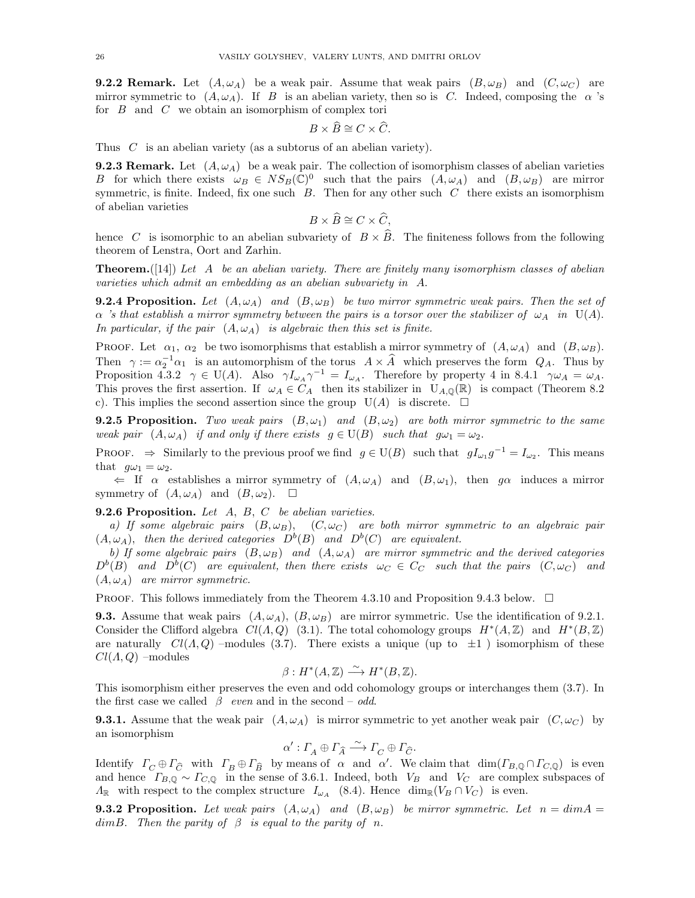**9.2.2 Remark.** Let  $(A, \omega_A)$  be a weak pair. Assume that weak pairs  $(B, \omega_B)$  and  $(C, \omega_C)$  are mirror symmetric to  $(A, \omega_A)$ . If B is an abelian variety, then so is C. Indeed, composing the  $\alpha$ 's for  $B$  and  $C$  we obtain an isomorphism of complex tori

$$
B \times \widehat{B} \cong C \times \widehat{C}.
$$

Thus C is an abelian variety (as a subtorus of an abelian variety).

**9.2.3 Remark.** Let  $(A, \omega_A)$  be a weak pair. The collection of isomorphism classes of abelian varieties B for which there exists  $\omega_B \in NS_B(\mathbb{C})^0$  such that the pairs  $(A, \omega_A)$  and  $(B, \omega_B)$  are mirror symmetric, is finite. Indeed, fix one such  $B$ . Then for any other such  $C$  there exists an isomorphism of abelian varieties

$$
B \times \widehat{B} \cong C \times \widehat{C},
$$

hence C is isomorphic to an abelian subvariety of  $B \times \widehat{B}$ . The finiteness follows from the following theorem of Lenstra, Oort and Zarhin.

**Theorem.**([14]) Let A be an abelian variety. There are finitely many isomorphism classes of abelian varieties which admit an embedding as an abelian subvariety in A.

**9.2.4 Proposition.** Let  $(A, \omega_A)$  and  $(B, \omega_B)$  be two mirror symmetric weak pairs. Then the set of  $\alpha$  's that establish a mirror symmetry between the pairs is a torsor over the stabilizer of  $\omega_A$  in U(A). In particular, if the pair  $(A, \omega_A)$  is algebraic then this set is finite.

PROOF. Let  $\alpha_1, \alpha_2$  be two isomorphisms that establish a mirror symmetry of  $(A, \omega_A)$  and  $(B, \omega_B)$ . Then  $\gamma := \alpha_2^{-1} \alpha_1$  is an automorphism of the torus  $A \times \widehat{A}$  which preserves the form  $Q_A$ . Thus by Proposition 4.3.2  $\gamma \in U(A)$ . Also  $\gamma I_{\omega_A} \gamma^{-1} = I_{\omega_A}$ . Therefore by property 4 in 8.4.1  $\gamma \omega_A = \omega_A$ . This proves the first assertion. If  $\omega_A \in C_A$  then its stabilizer in  $U_{A,Q}(\mathbb{R})$  is compact (Theorem 8.2) c). This implies the second assertion since the group  $U(A)$  is discrete.  $\Box$ 

**9.2.5 Proposition.** Two weak pairs  $(B, \omega_1)$  and  $(B, \omega_2)$  are both mirror symmetric to the same weak pair  $(A, \omega_A)$  if and only if there exists  $g \in U(B)$  such that  $g\omega_1 = \omega_2$ .

PROOF.  $\Rightarrow$  Similarly to the previous proof we find  $g \in U(B)$  such that  $gI_{\omega_1}g^{-1} = I_{\omega_2}$ . This means that  $g\omega_1 = \omega_2$ .

 $\Leftarrow$  If  $\alpha$  establishes a mirror symmetry of  $(A, \omega_A)$  and  $(B, \omega_1)$ , then  $g\alpha$  induces a mirror symmetry of  $(A, \omega_A)$  and  $(B, \omega_2)$ .  $\square$ 

**9.2.6 Proposition.** Let  $A$ ,  $B$ ,  $C$  be abelian varieties.

a) If some algebraic pairs  $(B, \omega_B)$ ,  $(C, \omega_C)$  are both mirror symmetric to an algebraic pair  $(A, \omega_A)$ , then the derived categories  $D^b(B)$  and  $D^b(C)$  are equivalent.

b) If some algebraic pairs  $(B, \omega_B)$  and  $(A, \omega_A)$  are mirror symmetric and the derived categories  $D^{b}(B)$  and  $D^{b}(C)$  are equivalent, then there exists  $\omega_{C} \in C_{C}$  such that the pairs  $(C, \omega_{C})$  and  $(A, \omega_A)$  are mirror symmetric.

PROOF. This follows immediately from the Theorem 4.3.10 and Proposition 9.4.3 below.  $\Box$ 

**9.3.** Assume that weak pairs  $(A, \omega_A)$ ,  $(B, \omega_B)$  are mirror symmetric. Use the identification of 9.2.1. Consider the Clifford algebra  $Cl(A, Q)$  (3.1). The total cohomology groups  $H^*(A, \mathbb{Z})$  and  $H^*(B, \mathbb{Z})$ are naturally  $Cl(A, Q)$  –modules (3.7). There exists a unique (up to  $\pm 1$ ) isomorphism of these  $Cl(A, Q)$  –modules

$$
\beta: H^*(A, \mathbb{Z}) \xrightarrow{\sim} H^*(B, \mathbb{Z}).
$$

This isomorphism either preserves the even and odd cohomology groups or interchanges them (3.7). In the first case we called  $\beta$  even and in the second – odd.

**9.3.1.** Assume that the weak pair  $(A, \omega_A)$  is mirror symmetric to yet another weak pair  $(C, \omega_C)$  by an isomorphism

$$
\alpha':\varGamma_A\oplus\varGamma_{\widehat A}\stackrel{\sim}{\longrightarrow}\varGamma_C\oplus\varGamma_{\widehat C}.
$$

Identify  $\Gamma_{\mathcal{C}} \oplus \Gamma_{\widehat{\mathcal{C}}}$  with  $\Gamma_B \oplus \Gamma_{\widehat{B}}$  by means of  $\alpha$  and  $\alpha'$ . We claim that  $\dim(\Gamma_{B,\mathbb{Q}} \cap \Gamma_{\mathcal{C},\mathbb{Q}})$  is even and hence  $\Gamma_{B,Q} \sim \Gamma_{C,Q}$  in the sense of 3.6.1. Indeed, both  $V_B$  and  $V_C$  are complex subspaces of  $\Lambda_{\mathbb{R}}$  with respect to the complex structure  $I_{\omega_A}$  (8.4). Hence  $\dim_{\mathbb{R}}(V_B \cap V_C)$  is even.

**9.3.2 Proposition.** Let weak pairs  $(A, \omega_A)$  and  $(B, \omega_B)$  be mirror symmetric. Let  $n = dim A =$ dimB. Then the parity of  $\beta$  is equal to the parity of n.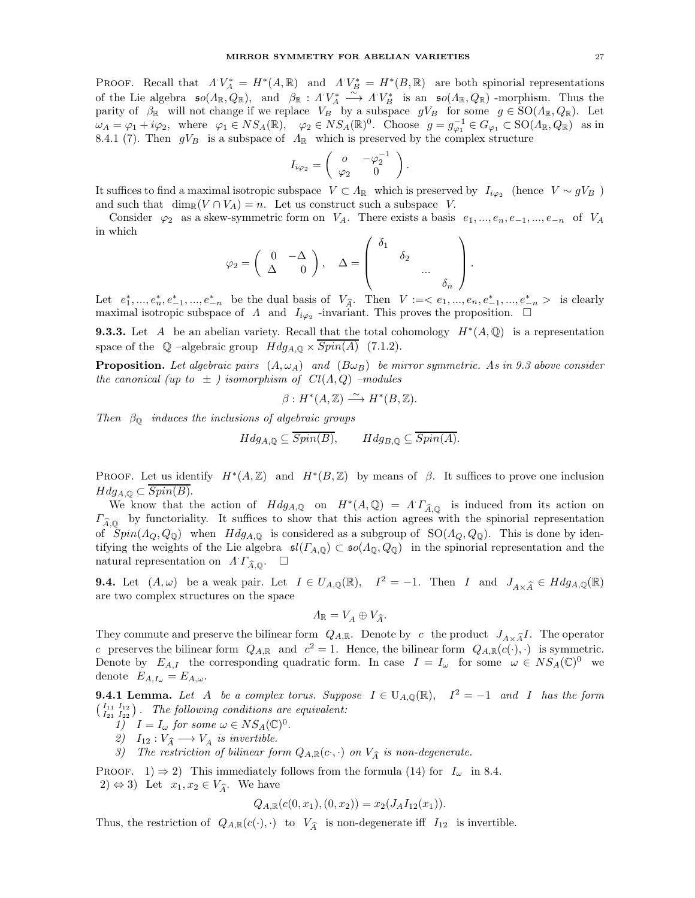PROOF. Recall that  $\Lambda V_A^* = H^*(A, \mathbb{R})$  and  $\Lambda V_B^* = H^*(B, \mathbb{R})$  are both spinorial representations of the Lie algebra  $\mathfrak{so}(A_{\mathbb{R}}, Q_{\mathbb{R}})$ , and  $\beta_{\mathbb{R}} : \Lambda^r V_A^* \stackrel{\sim}{\longrightarrow} \Lambda^r V_B^*$  is an  $\mathfrak{so}(A_{\mathbb{R}}, Q_{\mathbb{R}})$ -morphism. Thus the parity of  $\beta_{\mathbb{R}}$  will not change if we replace  $V_B$  by a subspace  $gV_B$  for some  $g \in SO(\Lambda_{\mathbb{R}}, Q_{\mathbb{R}})$ . Let  $\omega_A = \varphi_1 + i\varphi_2$ , where  $\varphi_1 \in NS_A(\mathbb{R})$ ,  $\varphi_2 \in NS_A(\mathbb{R})^0$ . Choose  $g = g_{\varphi_1}^{-1} \in G_{\varphi_1} \subset SO(\Lambda_{\mathbb{R}}, Q_{\mathbb{R}})$  as in 8.4.1 (7). Then  $gV_B$  is a subspace of  $\Lambda_{\mathbb{R}}$  which is preserved by the complex structure

$$
I_{i\varphi_2} = \begin{pmatrix} 0 & -\varphi_2^{-1} \\ \varphi_2 & 0 \end{pmatrix}.
$$

It suffices to find a maximal isotropic subspace  $V \subset \Lambda_{\mathbb{R}}$  which is preserved by  $I_{i\varphi_2}$  (hence  $V \sim gV_B$ ) and such that  $\dim_{\mathbb{R}}(V \cap V_A) = n$ . Let us construct such a subspace V.

Consider  $\varphi_2$  as a skew-symmetric form on  $V_A$ . There exists a basis  $e_1, ..., e_n, e_{-1}, ..., e_{-n}$  of  $V_A$ in which

$$
\varphi_2 = \begin{pmatrix} 0 & -\Delta \\ \Delta & 0 \end{pmatrix}, \quad \Delta = \begin{pmatrix} \delta_1 & & \\ & \delta_2 & \\ & & \dots & \\ & & & \delta_n \end{pmatrix}.
$$

Let  $e_1^*,...,e_n^*,e_{-1}^*,...,e_{-n}^*$  be the dual basis of  $V_{\hat{A}}$ . Then  $V :=$  is clearly maximal isotropic subspace of  $\Lambda$  and  $I_{i\varphi_2}$ -invariant. This proves the proposition.  $\Box$ 

**9.3.3.** Let A be an abelian variety. Recall that the total cohomology  $H^*(A, \mathbb{Q})$  is a representation space of the  $\mathbb{Q}$  –algebraic group  $Hdg_{A,\mathbb{Q}} \times \overline{Spin(A)}$  (7.1.2).

**Proposition.** Let algebraic pairs  $(A, \omega_A)$  and  $(B\omega_B)$  be mirror symmetric. As in 9.3 above consider the canonical (up to  $\pm$  ) isomorphism of  $Cl(A, Q)$  –modules

$$
\beta: H^*(A, \mathbb{Z}) \xrightarrow{\sim} H^*(B, \mathbb{Z}).
$$

Then  $\beta_{\mathbb{Q}}$  induces the inclusions of algebraic groups

$$
Hdg_{A,\mathbb{Q}} \subseteq \overline{Spin(B)}, \qquad Hdg_{B,\mathbb{Q}} \subseteq \overline{Spin(A)}.
$$

PROOF. Let us identify  $H^*(A, \mathbb{Z})$  and  $H^*(B, \mathbb{Z})$  by means of  $\beta$ . It suffices to prove one inclusion  $Hdg_{A,\mathbb{Q}} \subset Spin(B).$ 

We know that the action of  $Hdg_{A,Q}$  on  $H^*(A,Q) = \Lambda^T\hat{A}_Q$  is induced from its action on  $\Gamma_{\widehat{A},\mathbb{Q}}$  by functoriality. It suffices to show that this action agrees with the spinorial representation of  $Spin(\Lambda_Q, Q_{\mathbb{Q}})$  when  $Hdg_{A,\mathbb{Q}}$  is considered as a subgroup of  $SO(\Lambda_Q, Q_{\mathbb{Q}})$ . This is done by identifying the weights of the Lie algebra  $\mathfrak{sl}(T_{A,\mathbb{Q}}) \subset \mathfrak{so}(\Lambda_{\mathbb{Q}},Q_{\mathbb{Q}})$  in the spinorial representation and the natural representation on  $\Lambda \Gamma_{\widehat{A},\mathbb{Q}}$ .  $\square$ 

**9.4.** Let  $(A, \omega)$  be a weak pair. Let  $I \in U_{A, \mathbb{Q}}(\mathbb{R})$ ,  $I^2 = -1$ . Then I and  $J_{A \times \widehat{A}} \in H dg_{A, \mathbb{Q}}(\mathbb{R})$ are two complex structures on the space

$$
\varLambda_{\mathbb{R}}=V_A\oplus V_{\widehat{A}}.
$$

They commute and preserve the bilinear form  $Q_{A,\mathbb{R}}$ . Denote by c the product  $J_{A\times\widehat{A}}I$ . The operator c preserves the bilinear form  $Q_{A,\mathbb{R}}$  and  $c^2 = 1$ . Hence, the bilinear form  $Q_{A,\mathbb{R}}(c(\cdot),\cdot)$  is symmetric. Denote by  $E_{A,I}$  the corresponding quadratic form. In case  $I = I_{\omega}$  for some  $\omega \in NS_A(\mathbb{C})^0$  we denote  $E_{A,I_{\omega}} = E_{A,\omega}$ .

**9.4.1 Lemma.** Let A be a complex torus. Suppose  $I \in U_{A,Q}(\mathbb{R})$ ,  $I^2 = -1$  and I has the form  $\begin{pmatrix} I_{11} & I_{12} \\ I_{21} & I_{22} \end{pmatrix}$ . The following conditions are equivalent:

- 1)  $I = I_{\omega}$  for some  $\omega \in NS_A(\mathbb{C})^0$ .
- 2)  $I_{12}: V_{\widehat{A}} \longrightarrow V_A$  is invertible.
- 3) The restriction of bilinear form  $Q_{A,\mathbb{R}}(c\cdot, \cdot)$  on  $V_{\widehat{A}}$  is non-degenerate.

PROOF. 1)  $\Rightarrow$  2) This immediately follows from the formula (14) for  $I_{\omega}$  in 8.4. 2)  $\Leftrightarrow$  3) Let  $x_1, x_2 \in V_{\widehat{A}}$ . We have

$$
Q_{A,\mathbb{R}}(c(0,x_1),(0,x_2))=x_2(J_AI_{12}(x_1)).
$$

Thus, the restriction of  $Q_{A,\mathbb{R}}(c(\cdot),\cdot)$  to  $V_{\widehat{A}}$  is non-degenerate iff  $I_{12}$  is invertible.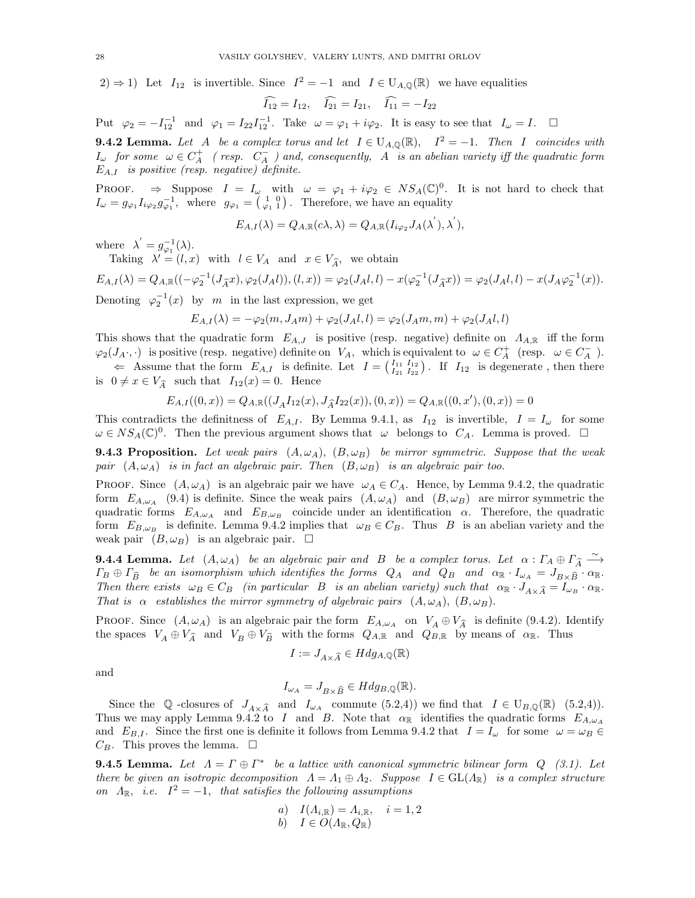2) ⇒ 1) Let  $I_{12}$  is invertible. Since  $I^2 = -1$  and  $I \in U_{A,\mathbb{Q}}(\mathbb{R})$  we have equalities

$$
\widehat{I_{12}} = I_{12}, \quad \widehat{I_{21}} = I_{21}, \quad \widehat{I_{11}} = -I_{22}
$$

Put  $\varphi_2 = -I_{12}^{-1}$  and  $\varphi_1 = I_{22}I_{12}^{-1}$ . Take  $\omega = \varphi_1 + i\varphi_2$ . It is easy to see that  $I_{\omega} = I$ .  $\Box$ 

**9.4.2 Lemma.** Let A be a complex torus and let  $I \in U_{A,0}(\mathbb{R})$ ,  $I^2 = -1$ . Then I coincides with  $I_\omega$  for some  $\omega \in C_A^+$  (resp.  $C_A^-$ ) and, consequently, A is an abelian variety iff the quadratic form  $E_{A,I}$  is positive (resp. negative) definite.

PROOF.  $\Rightarrow$  Suppose  $I = I_{\omega}$  with  $\omega = \varphi_1 + i\varphi_2 \in NS_A(\mathbb{C})^0$ . It is not hard to check that  $I_{\omega} = g_{\varphi_1} I_{i\varphi_2} g_{\varphi_1}^{-1}$ , where  $g_{\varphi_1} = \begin{pmatrix} 1 & 0 \\ \varphi_1 & 1 \end{pmatrix}$ . Therefore, we have an equality

$$
E_{A,I}(\lambda) = Q_{A,\mathbb{R}}(c\lambda,\lambda) = Q_{A,\mathbb{R}}(I_{i\varphi_2}J_A(\lambda^{'}),\lambda^{'}),
$$

where  $\lambda' = g_{\varphi_1}^{-1}(\lambda)$ .

Taking  $\lambda' = (l, x)$  with  $l \in V_A$  and  $x \in V_{\widehat{A}}$ , we obtain

 $E_{A,I}(\lambda) = Q_{A,\mathbb{R}}((-\varphi_2^{-1}(J_{\widehat{A}}x), \varphi_2(J_{A}l)),(l,x)) = \varphi_2(J_{A}l, l) - x(\varphi_2^{-1}(J_{\widehat{A}}x)) = \varphi_2(J_{A}l, l) - x(J_{A}\varphi_2^{-1}(x)).$ Denoting  $\varphi_2^{-1}(x)$  by m in the last expression, we get

 $E_{A,I}(\lambda) = -\varphi_2(m, J_A m) + \varphi_2(J_A l, l) = \varphi_2(J_A m, m) + \varphi_2(J_A l, l)$ 

This shows that the quadratic form 
$$
E_{A,J}
$$
 is positive (resp. negative) definite on  $A_{A,\mathbb{R}}$  iff the form  $\varphi_2(J_A \cdot, \cdot)$  is positive (resp. negative) definite on  $V_A$ , which is equivalent to  $\omega \in C_A^+$  (resp.  $\omega \in C_A^-$ ).

 $\Leftarrow$  Assume that the form  $E_{A,I}$  is definite. Let  $I = \begin{pmatrix} I_{11} & I_{12} \\ I_{21} & I_{22} \end{pmatrix}$ . If  $I_{12}$  is degenerate, then there is  $0 \neq x \in V_{\widehat{\mathfrak{A}}}$  such that  $I_{12}(x) = 0$ . Hence

$$
E_{A,I}((0,x))=Q_{A,\mathbb{R}}((J_A I_{12}(x),J_{\widehat{A}} I_{22}(x)),(0,x))=Q_{A,\mathbb{R}}((0,x'),(0,x))=0
$$

This contradicts the definitness of  $E_{A,I}$ . By Lemma 9.4.1, as  $I_{12}$  is invertible,  $I = I_{\omega}$  for some  $\omega \in NS_A(\mathbb{C})^0$ . Then the previous argument shows that  $\omega$  belongs to  $C_A$ . Lemma is proved.  $\square$ 

**9.4.3 Proposition.** Let weak pairs  $(A, \omega_A)$ ,  $(B, \omega_B)$  be mirror symmetric. Suppose that the weak pair  $(A, \omega_A)$  is in fact an algebraic pair. Then  $(B, \omega_B)$  is an algebraic pair too.

PROOF. Since  $(A, \omega_A)$  is an algebraic pair we have  $\omega_A \in C_A$ . Hence, by Lemma 9.4.2, the quadratic form  $E_{A,\omega_A}$  (9.4) is definite. Since the weak pairs  $(A,\omega_A)$  and  $(B,\omega_B)$  are mirror symmetric the quadratic forms  $E_{A,\omega_A}$  and  $E_{B,\omega_B}$  coincide under an identification  $\alpha$ . Therefore, the quadratic form  $E_{B,\omega_B}$  is definite. Lemma 9.4.2 implies that  $\omega_B \in C_B$ . Thus B is an abelian variety and the weak pair  $(B, \omega_B)$  is an algebraic pair.  $\square$ 

**9.4.4 Lemma.** Let  $(A, \omega_A)$  be an algebraic pair and B be a complex torus. Let  $\alpha : \Gamma_A \oplus \Gamma_{\widehat{A}} \longrightarrow$  $\Gamma_B \oplus \Gamma_{\widehat{B}}$  be an isomorphism which identifies the forms  $Q_A$  and  $Q_B$  and  $\alpha_{\mathbb{R}} \cdot I_{\omega_A} = J_{B \times \widehat{B}} \cdot \alpha_{\mathbb{R}}$ . Then there exists  $\omega_B \in C_B$  (in particular B is an abelian variety) such that  $\alpha_{\mathbb{R}} \cdot J_{A \times \widehat{A}} = I_{\omega_B} \cdot \alpha_{\mathbb{R}}$ . That is  $\alpha$  establishes the mirror symmetry of algebraic pairs  $(A, \omega_A), (B, \omega_B)$ .

PROOF. Since  $(A, \omega_A)$  is an algebraic pair the form  $E_{A, \omega_A}$  on  $V_A \oplus V_{\widehat{A}}$  is definite (9.4.2). Identify the spaces  $V_A \oplus V_{\widehat{A}}$  and  $V_B \oplus V_{\widehat{B}}$  with the forms  $Q_{A,\mathbb{R}}$  and  $Q_{B,\mathbb{R}}$  by means of  $\alpha_{\mathbb{R}}$ . Thus

$$
I := J_{A \times \widehat{A}} \in H dg_{A,\mathbb{Q}}(\mathbb{R})
$$

and

$$
I_{\omega_A} = J_{B \times \widehat{B}} \in H dg_{B, \mathbb{Q}}(\mathbb{R}).
$$

Since the Q -closures of  $J_{A\times\widehat{A}}$  and  $I_{\omega_A}$  commute (5.2,4)) we find that  $I \in U_{B,Q}(\mathbb{R})$  (5.2,4)). Thus we may apply Lemma 9.4.2 to I and B. Note that  $\alpha_{\mathbb{R}}$  identifies the quadratic forms  $E_{A,\omega_A}$ and  $E_{B,I}$ . Since the first one is definite it follows from Lemma 9.4.2 that  $I = I_{\omega}$  for some  $\omega = \omega_B \in$  $C_B$ . This proves the lemma.  $\square$ 

**9.4.5 Lemma.** Let  $\Lambda = \Gamma \oplus \Gamma^*$  be a lattice with canonical symmetric bilinear form  $Q$  (3.1). Let there be given an isotropic decomposition  $\Lambda = \Lambda_1 \oplus \Lambda_2$ . Suppose  $I \in GL(\Lambda_{\mathbb{R}})$  is a complex structure on  $\Lambda_{\mathbb{R}}$ , i.e.  $I^2 = -1$ , that satisfies the following assumptions

a) 
$$
I(A_{i,\mathbb{R}}) = A_{i,\mathbb{R}}, \quad i = 1, 2
$$
  
b) 
$$
I \in O(A_{\mathbb{R}}, Q_{\mathbb{R}})
$$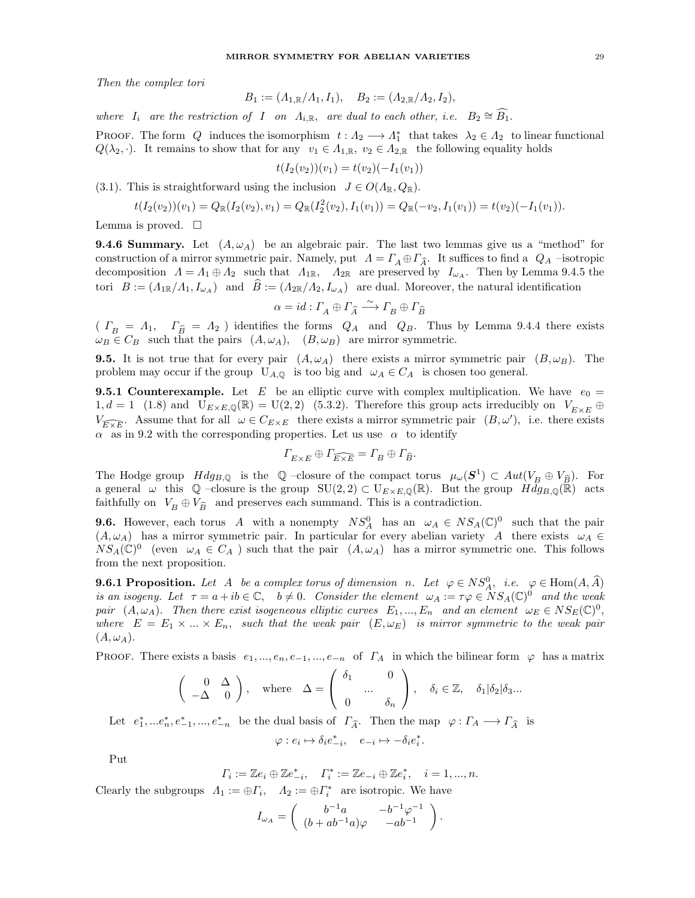Then the complex tori

$$
B_1 := (A_{1,\mathbb{R}}/A_1, I_1), \quad B_2 := (A_{2,\mathbb{R}}/A_2, I_2),
$$

where  $I_i$  are the restriction of  $I$  on  $\Lambda_{i,\mathbb{R}}$ , are dual to each other, i.e.  $B_2 \cong \widehat{B_1}$ . PROOF. The form Q induces the isomorphism  $t: A_2 \longrightarrow A_1^*$  that takes  $\lambda_2 \in A_2$  to linear functional  $Q(\lambda_2, \cdot)$ . It remains to show that for any  $v_1 \in \Lambda_{1,\mathbb{R}}$ ,  $v_2 \in \Lambda_{2,\mathbb{R}}$  the following equality holds

$$
t(I_2(v_2))(v_1) = t(v_2)(-I_1(v_1))
$$

(3.1). This is straightforward using the inclusion  $J \in O(\Lambda_{\mathbb{R}}, Q_{\mathbb{R}})$ .

$$
t(I_2(v_2))(v_1) = Q_{\mathbb{R}}(I_2(v_2), v_1) = Q_{\mathbb{R}}(I_2^2(v_2), I_1(v_1)) = Q_{\mathbb{R}}(-v_2, I_1(v_1)) = t(v_2)(-I_1(v_1)).
$$

Lemma is proved.  $\square$ 

**9.4.6 Summary.** Let  $(A, \omega_A)$  be an algebraic pair. The last two lemmas give us a "method" for construction of a mirror symmetric pair. Namely, put  $\Lambda = \Gamma_A \oplus \Gamma_{\widehat{A}}$ . It suffices to find a  $Q_A$  –isotropic decomposition  $\Lambda = \Lambda_1 \oplus \Lambda_2$  such that  $\Lambda_{1\mathbb{R}}$ ,  $\Lambda_{2\mathbb{R}}$  are preserved by  $I_{\omega_A}$ . Then by Lemma 9.4.5 the tori  $B := (A_{1\mathbb{R}}/A_1, I_{\omega_A})$  and  $\hat{B} := (A_{2\mathbb{R}}/A_2, I_{\omega_A})$  are dual. Moreover, the natural identification

$$
\alpha = id : \varGamma_A \oplus \varGamma_{\widehat{A}} \xrightarrow{\sim} \varGamma_B \oplus \varGamma_{\widehat{B}}
$$

 $\left(\right)$   $\Gamma_B = \Lambda_1$ ,  $\Gamma_{\widehat{B}} = \Lambda_2$  ) identifies the forms  $Q_A$  and  $Q_B$ . Thus by Lemma 9.4.4 there exists  $\omega_B \in C_B$  such that the pairs  $(A, \omega_A)$ ,  $(B, \omega_B)$  are mirror symmetric.

**9.5.** It is not true that for every pair  $(A, \omega_A)$  there exists a mirror symmetric pair  $(B, \omega_B)$ . The problem may occur if the group  $U_{A,Q}$  is too big and  $\omega_A \in C_A$  is chosen too general.

**9.5.1 Counterexample.** Let E be an elliptic curve with complex multiplication. We have  $e_0 =$  $1, d = 1$  (1.8) and  $U_{E \times E, \mathbb{Q}}(\mathbb{R}) = U(2, 2)$  (5.3.2). Therefore this group acts irreducibly on  $V_{E \times E}$   $\oplus$  $V_{\widehat{E\times E}}$ . Assume that for all  $\omega \in C_{E\times E}$  there exists a mirror symmetric pair  $(B, \omega')$ , i.e. there exists  $\alpha$  as in 9.2 with the corresponding properties. Let us use  $\alpha$  to identify

$$
\varGamma_{E\times E}\oplus\varGamma_{\widehat{E\times E}}=\varGamma_B\oplus\varGamma_{\widehat{B}}.
$$

The Hodge group  $Hdg_{B,Q}$  is the Q –closure of the compact torus  $\mu_\omega(\mathbf{S}^1) \subset Aut(V_B \oplus V_{\widehat{B}})$ . For a general  $\omega$  this  $\mathbb{Q}$  –closure is the group  $SU(2, 2) \subset U_{E \times E, \mathbb{Q}}(\mathbb{R})$ . But the group  $Hdg_{B,\mathbb{Q}}(\mathbb{R})$  acts faithfully on  $V_B \oplus V_{\widehat{B}}$  and preserves each summand. This is a contradiction.

**9.6.** However, each torus A with a nonempty  $NS_A^0$  has an  $\omega_A \in NS_A(\mathbb{C})^0$  such that the pair  $(A, \omega_A)$  has a mirror symmetric pair. In particular for every abelian variety A there exists  $\omega_A \in$  $NS_A(\mathbb{C})^0$  (even  $\omega_A \in C_A$ ) such that the pair  $(A, \omega_A)$  has a mirror symmetric one. This follows from the next proposition.

**9.6.1 Proposition.** Let A be a complex torus of dimension n. Let  $\varphi \in NS_A^0$ , i.e.  $\varphi \in \text{Hom}(A, \widehat{A})$ is an isogeny. Let  $\tau = a + ib \in \mathbb{C}$ ,  $b \neq 0$ . Consider the element  $\omega_A := \tau \varphi \in NS_A(\mathbb{C})^0$  and the weak pair  $(A, \omega_A)$ . Then there exist isogeneous elliptic curves  $E_1, ..., E_n$  and an element  $\omega_E \in NS_E(\mathbb{C})^0$ , where  $E = E_1 \times ... \times E_n$ , such that the weak pair  $(E, \omega_E)$  is mirror symmetric to the weak pair  $(A, \omega_A).$ 

PROOF. There exists a basis  $e_1, ..., e_n, e_{-1}, ..., e_{-n}$  of  $\Gamma_A$  in which the bilinear form  $\varphi$  has a matrix

$$
\begin{pmatrix} 0 & \Delta \\ -\Delta & 0 \end{pmatrix}
$$
, where  $\Delta = \begin{pmatrix} \delta_1 & 0 \\ 0 & \cdots \\ 0 & \delta_n \end{pmatrix}$ ,  $\delta_i \in \mathbb{Z}$ ,  $\delta_1 |\delta_2 |\delta_3 \dots$ 

Let  $e_1^*,...e_n^*,e_{-1}^*,...,e_{-n}^*$  be the dual basis of  $\Gamma_{\widehat{A}}$ . Then the map  $\varphi:\Gamma_A\longrightarrow\Gamma_{\widehat{A}}$  is

 $\varphi: e_i \mapsto \delta_i e_{-i}^*, \quad e_{-i} \mapsto -\delta_i e_i^*.$ 

Put

$$
\varGamma_i:=\mathbb{Z} e_i\oplus \mathbb{Z} e_{-i}^*,\quad \varGamma_i^*:=\mathbb{Z} e_{-i}\oplus \mathbb{Z} e_i^*,\quad i=1,...,n.
$$

Clearly the subgroups  $\Lambda_1 := \bigoplus F_i$ ,  $\Lambda_2 := \bigoplus F_i^*$  are isotropic. We have

$$
I_{\omega_A} = \begin{pmatrix} b^{-1}a & -b^{-1}\varphi^{-1} \\ (b+ab^{-1}a)\varphi & -ab^{-1} \end{pmatrix}.
$$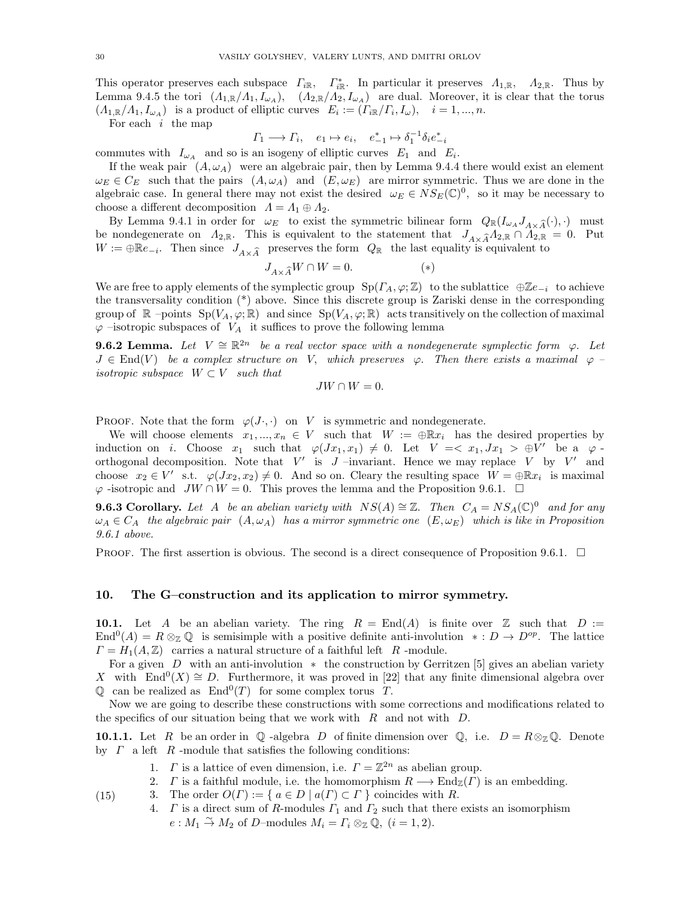This operator preserves each subspace  $\Gamma_{i\mathbb{R}}$ ,  $\Gamma_{i\mathbb{R}}^*$ . In particular it preserves  $\Lambda_{1,\mathbb{R}}$ ,  $\Lambda_{2,\mathbb{R}}$ . Thus by Lemma 9.4.5 the tori  $(A_{1,\mathbb{R}}/A_1, I_{\omega_A}), (A_{2,\mathbb{R}}/A_2, I_{\omega_A})$  are dual. Moreover, it is clear that the torus  $(A_{1,\mathbb{R}}/A_1, I_{\omega_A})$  is a product of elliptic curves  $E_i := ( \Gamma_{i\mathbb{R}}/I_i, I_{\omega}), \quad i = 1, ..., n.$ 

For each  $i$  the map

$$
\Gamma_1 \longrightarrow \Gamma_i
$$
,  $e_1 \mapsto e_i$ ,  $e_{-1}^* \mapsto \delta_1^{-1} \delta_i e_{-i}^*$ 

commutes with  $I_{\omega_A}$  and so is an isogeny of elliptic curves  $E_1$  and  $E_i$ .

If the weak pair  $(A, \omega_A)$  were an algebraic pair, then by Lemma 9.4.4 there would exist an element  $\omega_E \in C_E$  such that the pairs  $(A, \omega_A)$  and  $(E, \omega_E)$  are mirror symmetric. Thus we are done in the algebraic case. In general there may not exist the desired  $\omega_E \in NS_E(\mathbb{C})^0$ , so it may be necessary to choose a different decomposition  $\Lambda = \Lambda_1 \oplus \Lambda_2$ .

By Lemma 9.4.1 in order for  $\omega_E$  to exist the symmetric bilinear form  $Q_{\mathbb{R}}(I_{\omega_A}J_{A\times\hat{A}}(\cdot),\cdot)$  must be nondegenerate on  $\Lambda_{2,\mathbb{R}}$ . This is equivalent to the statement that  $J_{A\times\widehat{A}}\Lambda_{2,\mathbb{R}}\cap\Lambda_{2,\mathbb{R}}=0$ . Put  $W := \bigoplus \mathbb{R} e_{-i}$ . Then since  $J_{A \times \widehat{A}}$  preserves the form  $Q_{\mathbb{R}}$  the last equality is equivalent to

$$
J_{A\times \widehat A}W\cap W=0.\qquad \qquad (*)
$$

We are free to apply elements of the symplectic group  $Sp(\Gamma_A, \varphi; \mathbb{Z})$  to the sublattice  $\oplus \mathbb{Z}e_{-i}$  to achieve the transversality condition (\*) above. Since this discrete group is Zariski dense in the corresponding group of  $\mathbb{R}$  –points  $Sp(V_A, \varphi; \mathbb{R})$  and since  $Sp(V_A, \varphi; \mathbb{R})$  acts transitively on the collection of maximal  $\varphi$  –isotropic subspaces of  $V_A$  it suffices to prove the following lemma

**9.6.2 Lemma.** Let  $V \cong \mathbb{R}^{2n}$  be a real vector space with a nondegenerate symplectic form  $\varphi$ . Let  $J \in \text{End}(V)$  be a complex structure on V, which preserves  $\varphi$ . Then there exists a maximal  $\varphi$  – isotropic subspace  $W \subset V$  such that

$$
JW \cap W = 0.
$$

PROOF. Note that the form  $\varphi(J \cdot, \cdot)$  on V is symmetric and nondegenerate.

We will choose elements  $x_1, ..., x_n \in V$  such that  $W := \bigoplus \mathbb{R} x_i$  has the desired properties by induction on *i*. Choose  $x_1$  such that  $\varphi(Jx_1, x_1) \neq 0$ . Let  $V = \langle x_1, Jx_1 \rangle \oplus V'$  be a  $\varphi$ orthogonal decomposition. Note that  $V'$  is  $J$ -invariant. Hence we may replace  $V$  by  $V'$  and choose  $x_2 \in V'$  s.t.  $\varphi(Jx_2, x_2) \neq 0$ . And so on. Cleary the resulting space  $W = \bigoplus \mathbb{R}x_i$  is maximal  $\varphi$ -isotropic and JW ∩ W = 0. This proves the lemma and the Proposition 9.6.1.  $\Box$ 

**9.6.3 Corollary.** Let A be an abelian variety with  $NS(A) \cong \mathbb{Z}$ . Then  $C_A = NS_A(\mathbb{C})^0$  and for any  $\omega_A \in C_A$  the algebraic pair  $(A, \omega_A)$  has a mirror symmetric one  $(E, \omega_E)$  which is like in Proposition 9.6.1 above.

PROOF. The first assertion is obvious. The second is a direct consequence of Proposition 9.6.1.  $\Box$ 

#### 10. The G–construction and its application to mirror symmetry.

10.1. Let A be an abelian variety. The ring  $R = \text{End}(A)$  is finite over Z such that  $D :=$  $\text{End}^0(A) = R \otimes_{\mathbb{Z}} \mathbb{Q}$  is semisimple with a positive definite anti-involution  $* : D \to D^{op}$ . The lattice  $\Gamma = H_1(A, \mathbb{Z})$  carries a natural structure of a faithful left R-module.

For a given D with an anti-involution  $*$  the construction by Gerritzen [5] gives an abelian variety X with  $\text{End}^0(X) \cong D$ . Furthermore, it was proved in [22] that any finite dimensional algebra over Q can be realized as  $\text{End}^0(T)$  for some complex torus T.

Now we are going to describe these constructions with some corrections and modifications related to the specifics of our situation being that we work with  $R$  and not with  $D$ .

10.1.1. Let R be an order in  $\mathbb Q$  -algebra D of finite dimension over  $\mathbb Q$ , i.e.  $D = R \otimes_{\mathbb Z} \mathbb Q$ . Denote by  $\Gamma$  a left  $R$  -module that satisfies the following conditions:

- 1. *Γ* is a lattice of even dimension, i.e.  $\Gamma = \mathbb{Z}^{2n}$  as abelian group.
- 2.  $\Gamma$  is a faithful module, i.e. the homomorphism  $R \longrightarrow \text{End}_{\mathbb{Z}}(\Gamma)$  is an embedding.

(15) 3. The order 
$$
O(\Gamma) := \{ a \in D \mid a(\Gamma) \subset \Gamma \}
$$
 coincides with R.

4.  $\Gamma$  is a direct sum of R-modules  $\Gamma_1$  and  $\Gamma_2$  such that there exists an isomorphism  $e: M_1 \overset{\sim}{\rightarrow} M_2$  of D-modules  $M_i = \Gamma_i \otimes_{\mathbb{Z}} \mathbb{Q}$ ,  $(i = 1, 2)$ .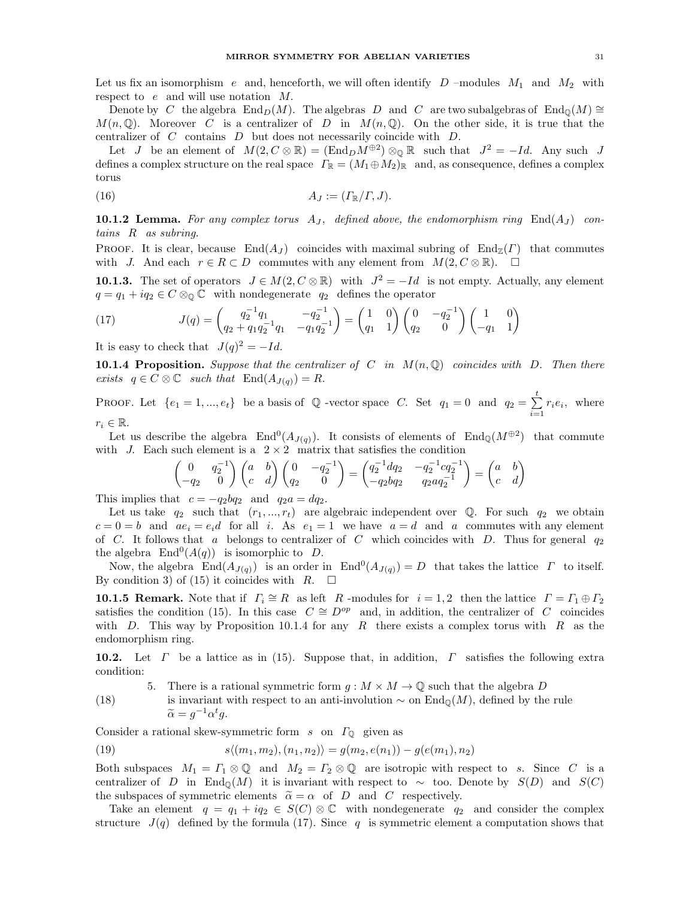Let us fix an isomorphism e and, henceforth, we will often identify  $D$  –modules  $M_1$  and  $M_2$  with respect to e and will use notation M.

Denote by C the algebra End<sub>D</sub>(M). The algebras D and C are two subalgebras of End<sub>Q</sub>(M) ≅  $M(n, \mathbb{Q})$ . Moreover C is a centralizer of D in  $M(n, \mathbb{Q})$ . On the other side, it is true that the centralizer of C contains D but does not necessarily coincide with D.

Let J be an element of  $M(2, C \otimes \mathbb{R}) = (\text{End}_D M^{\oplus 2}) \otimes_{\mathbb{Q}} \mathbb{R}$  such that  $J^2 = -Id$ . Any such J defines a complex structure on the real space  $\Gamma_{\mathbb{R}} = (M_1 \oplus M_2)_{\mathbb{R}}$  and, as consequence, defines a complex torus

$$
(16) \t\t A_J := (\Gamma_{\mathbb{R}}/\Gamma, J).
$$

10.1.2 Lemma. For any complex torus  $A_J$ , defined above, the endomorphism ring  $\text{End}(A_J)$  contains R as subring.

PROOF. It is clear, because End $(A_J)$  coincides with maximal subring of End<sub>Z</sub>(Γ) that commutes with J. And each  $r \in R \subset D$  commutes with any element from  $M(2, C \otimes \mathbb{R})$ .

**10.1.3.** The set of operators  $J \in M(2, C \otimes \mathbb{R})$  with  $J^2 = -Id$  is not empty. Actually, any element  $q = q_1 + iq_2 \in C \otimes_{\mathbb{Q}} \mathbb{C}$  with nondegenerate  $q_2$  defines the operator

(17) 
$$
J(q) = \begin{pmatrix} q_2^{-1}q_1 & -q_2^{-1} \\ q_2 + q_1q_2^{-1}q_1 & -q_1q_2^{-1} \end{pmatrix} = \begin{pmatrix} 1 & 0 \\ q_1 & 1 \end{pmatrix} \begin{pmatrix} 0 & -q_2^{-1} \\ q_2 & 0 \end{pmatrix} \begin{pmatrix} 1 & 0 \\ -q_1 & 1 \end{pmatrix}
$$

It is easy to check that  $J(q)^2 = -Id$ .

10.1.4 Proposition. Suppose that the centralizer of  $C$  in  $M(n, \mathbb{Q})$  coincides with D. Then there exists  $q \in C \otimes \mathbb{C}$  such that  $\text{End}(A_{J(q)}) = R$ .

PROOF. Let  $\{e_1 = 1, ..., e_t\}$  be a basis of Q -vector space C. Set  $q_1 = 0$  and  $q_2 = \sum^t$  $\sum_{i=1} r_i e_i$ , where  $r_i \in \mathbb{R}$ .

Let us describe the algebra  $\text{End}^0(A_{J(q)})$ . It consists of elements of  $\text{End}_{\mathbb{Q}}(M^{\oplus 2})$  that commute with J. Each such element is a  $2 \times 2$  matrix that satisfies the condition

$$
\begin{pmatrix} 0 & q_2^{-1} \\ -q_2 & 0 \end{pmatrix} \begin{pmatrix} a & b \\ c & d \end{pmatrix} \begin{pmatrix} 0 & -q_2^{-1} \\ q_2 & 0 \end{pmatrix} = \begin{pmatrix} q_2^{-1}dq_2 & -q_2^{-1}cq_2^{-1} \\ -q_2bq_2 & q_2aq_2^{-1} \end{pmatrix} = \begin{pmatrix} a & b \\ c & d \end{pmatrix}
$$

This implies that  $c = -q_2bq_2$  and  $q_2a = dq_2$ .

Let us take  $q_2$  such that  $(r_1, ..., r_t)$  are algebraic independent over Q. For such  $q_2$  we obtain  $c = 0 = b$  and  $ae_i = e_i d$  for all i. As  $e_1 = 1$  we have  $a = d$  and a commutes with any element of C. It follows that a belongs to centralizer of C which coincides with D. Thus for general  $q_2$ the algebra  $\text{End}^0(A(q))$  is isomorphic to D.

Now, the algebra  $\text{End}(A_{J(q)})$  is an order in  $\text{End}^0(A_{J(q)})=D$  that takes the lattice  $\Gamma$  to itself. By condition 3) of (15) it coincides with  $R$ .  $\Box$ 

**10.1.5 Remark.** Note that if  $\Gamma_i \cong R$  as left R -modules for  $i = 1, 2$  then the lattice  $\Gamma = \Gamma_1 \oplus \Gamma_2$ satisfies the condition (15). In this case  $C \cong D^{op}$  and, in addition, the centralizer of C coincides with D. This way by Proposition 10.1.4 for any R there exists a complex torus with R as the endomorphism ring.

**10.2.** Let  $\Gamma$  be a lattice as in (15). Suppose that, in addition,  $\Gamma$  satisfies the following extra condition:

- 5. There is a rational symmetric form  $g : M \times M \to \mathbb{Q}$  such that the algebra D
- (18) is invariant with respect to an anti-involution  $\sim$  on End<sub>Q</sub>(M), defined by the rule  $\widetilde{\alpha} = g^{-1} \alpha^t g.$

Consider a rational skew-symmetric form s on  $\Gamma_{\mathbb{Q}}$  given as

(19) 
$$
s\langle (m_1, m_2), (n_1, n_2) \rangle = g(m_2, e(n_1)) - g(e(m_1), n_2)
$$

Both subspaces  $M_1 = \Gamma_1 \otimes \mathbb{Q}$  and  $M_2 = \Gamma_2 \otimes \mathbb{Q}$  are isotropic with respect to s. Since C is a centralizer of D in End<sub>Q</sub>(M) it is invariant with respect to  $\sim$  too. Denote by  $S(D)$  and  $S(C)$ the subspaces of symmetric elements  $\tilde{\alpha} = \alpha$  of D and C respectively.

Take an element  $q = q_1 + iq_2 \in S(C) \otimes \mathbb{C}$  with nondegenerate  $q_2$  and consider the complex structure  $J(q)$  defined by the formula (17). Since q is symmetric element a computation shows that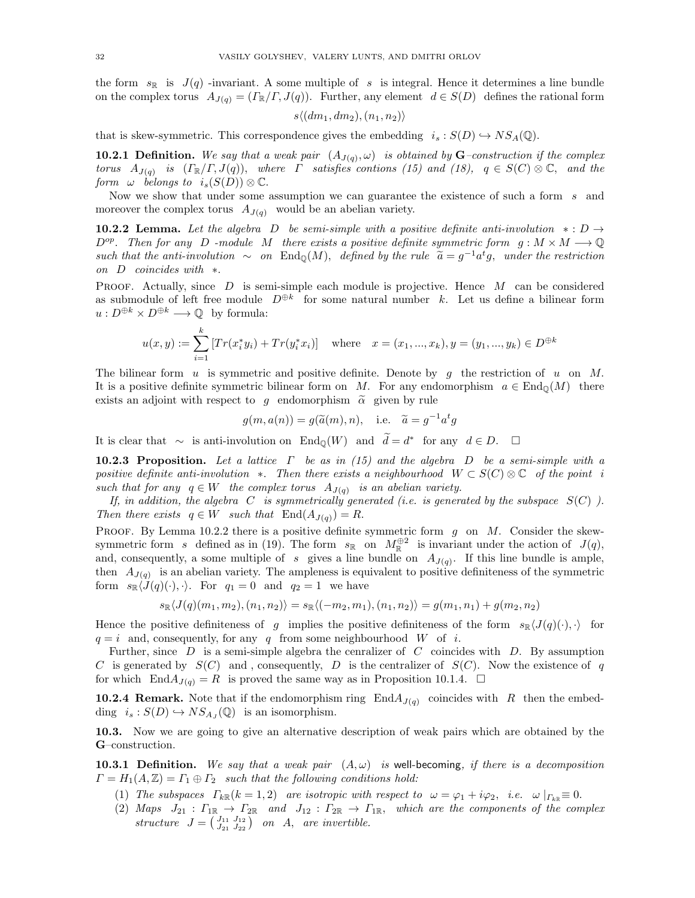the form  $s_{\mathbb{R}}$  is  $J(q)$  -invariant. A some multiple of s is integral. Hence it determines a line bundle on the complex torus  $A_{J(q)} = (\Gamma_{\mathbb{R}}/I, J(q))$ . Further, any element  $d \in S(D)$  defines the rational form

$$
s\langle (dm_1, dm_2), (n_1, n_2) \rangle
$$

that is skew-symmetric. This correspondence gives the embedding  $i_s : S(D) \hookrightarrow NS_A(\mathbb{Q})$ .

**10.2.1 Definition.** We say that a weak pair  $(A_{J(q)}, \omega)$  is obtained by **G**-construction if the complex torus  $A_{J(q)}$  is  $(\Gamma_{\mathbb{R}}/\Gamma, J(q))$ , where  $\Gamma$  satisfies contions (15) and (18),  $q \in S(C) \otimes \mathbb{C}$ , and the form  $\omega$  belongs to  $i_s(S(D)) \otimes \mathbb{C}$ .

Now we show that under some assumption we can guarantee the existence of such a form s and moreover the complex torus  $A_{J(q)}$  would be an abelian variety.

**10.2.2 Lemma.** Let the algebra D be semi-simple with a positive definite anti-involution  $* : D \rightarrow$  $D^{op}$ . Then for any D -module M there exists a positive definite symmetric form  $g : M \times M \longrightarrow \mathbb{Q}$ such that the anti-involution  $\sim$  on  $\text{End}_{\mathbb{Q}}(M)$ , defined by the rule  $\tilde{a} = g^{-1}a^t g$ , under the restriction on D coincides with ∗.

PROOF. Actually, since  $D$  is semi-simple each module is projective. Hence  $M$  can be considered as submodule of left free module  $D^{\oplus k}$  for some natural number k. Let us define a bilinear form  $u: D^{\oplus k} \times D^{\oplus k} \longrightarrow \mathbb{Q}$  by formula:

$$
u(x,y) := \sum_{i=1}^{k} \left[ Tr(x_i^* y_i) + Tr(y_i^* x_i) \right] \quad \text{where} \quad x = (x_1, ..., x_k), y = (y_1, ..., y_k) \in D^{\oplus k}
$$

The bilinear form  $u$  is symmetric and positive definite. Denote by  $g$  the restriction of  $u$  on  $M$ . It is a positive definite symmetric bilinear form on M. For any endomorphism  $a \in \text{End}_{\mathbb{Q}}(M)$  there exists an adjoint with respect to g endomorphism  $\tilde{\alpha}$  given by rule

$$
g(m, a(n)) = g(\tilde{a}(m), n),
$$
 i.e.  $\tilde{a} = g^{-1}a^{t}g$ 

It is clear that  $\sim$  is anti-involution on End<sub>Q</sub>(W) and  $\tilde{d} = d^*$  for any  $d \in D$ .  $\Box$ 

**10.2.3 Proposition.** Let a lattice  $\Gamma$  be as in (15) and the algebra  $D$  be a semi-simple with a positive definite anti-involution  $\ast$ . Then there exists a neighbourhood  $W \subset S(C) \otimes \mathbb{C}$  of the point i such that for any  $q \in W$  the complex torus  $A_{J(q)}$  is an abelian variety.

If, in addition, the algebra C is symmetrically generated (i.e. is generated by the subspace  $S(C)$ ). Then there exists  $q \in W$  such that  $\text{End}(A_{J(q)}) = R$ .

PROOF. By Lemma 10.2.2 there is a positive definite symmetric form  $g$  on M. Consider the skewsymmetric form s defined as in (19). The form  $s_{\mathbb{R}}$  on  $M_{\mathbb{R}}^{\oplus 2}$  is invariant under the action of  $J(q)$ , and, consequently, a some multiple of s gives a line bundle on  $A_{J(q)}$ . If this line bundle is ample, then  $A_{J(q)}$  is an abelian variety. The ampleness is equivalent to positive definiteness of the symmetric form  $s_{\mathbb{R}}\langle J(q)(\cdot), \cdot \rangle$ . For  $q_1 = 0$  and  $q_2 = 1$  we have

$$
s_{\mathbb{R}}\langle J(q)(m_1,m_2),(n_1,n_2)\rangle=s_{\mathbb{R}}\langle(-m_2,m_1),(n_1,n_2)\rangle=g(m_1,n_1)+g(m_2,n_2)
$$

Hence the positive definiteness of q implies the positive definiteness of the form  $s_{\mathbb{R}}\langle J(q)(\cdot), \cdot \rangle$  for  $q = i$  and, consequently, for any q from some neighbourhood W of i.

Further, since  $D$  is a semi-simple algebra the cenralizer of  $C$  coincides with  $D$ . By assumption C is generated by  $S(C)$  and, consequently, D is the centralizer of  $S(C)$ . Now the existence of q for which  $\text{End}A_{J(q)} = R$  is proved the same way as in Proposition 10.1.4.  $\Box$ 

**10.2.4 Remark.** Note that if the endomorphism ring  $\text{End}_{J(q)}$  coincides with R then the embedding  $i_s : S(D) \hookrightarrow NS_{A_J}(\mathbb{Q})$  is an isomorphism.

10.3. Now we are going to give an alternative description of weak pairs which are obtained by the G–construction.

**10.3.1 Definition.** We say that a weak pair  $(A, \omega)$  is well-becoming, if there is a decomposition  $\Gamma = H_1(A, \mathbb{Z}) = \Gamma_1 \oplus \Gamma_2$  such that the following conditions hold:

- (1) The subspaces  $\Gamma_{k\mathbb{R}}(k=1,2)$  are isotropic with respect to  $\omega = \varphi_1 + i\varphi_2$ , i.e.  $\omega|_{\Gamma_{k\mathbb{R}}}\equiv 0$ .
- (2) Maps  $J_{21}$  :  $\Gamma_{1\mathbb{R}} \to \Gamma_{2\mathbb{R}}$  and  $J_{12}$  :  $\Gamma_{2\mathbb{R}} \to \Gamma_{1\mathbb{R}}$ , which are the components of the complex structure  $J = \begin{pmatrix} J_{11} & J_{12} \\ J_{21} & J_{22} \end{pmatrix}$  on A, are invertible.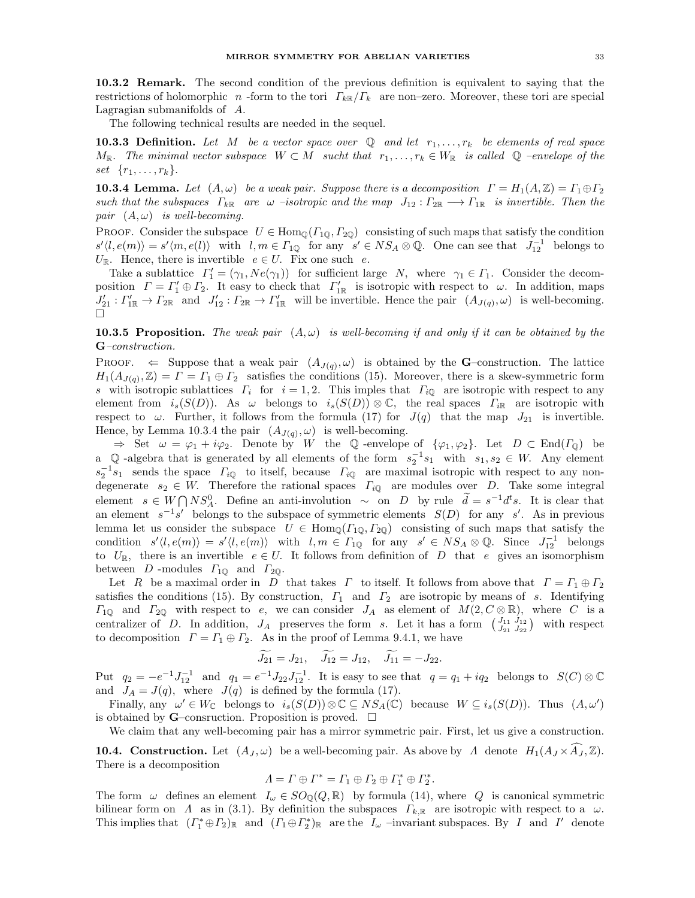10.3.2 Remark. The second condition of the previous definition is equivalent to saying that the restrictions of holomorphic n -form to the tori  $\Gamma_{k\mathbb{R}}/\Gamma_k$  are non–zero. Moreover, these tori are special Lagragian submanifolds of A.

The following technical results are needed in the sequel.

**10.3.3 Definition.** Let M be a vector space over  $\mathbb{Q}$  and let  $r_1, \ldots, r_k$  be elements of real space  $M_{\mathbb{R}}$ . The minimal vector subspace  $W \subset M$  sucht that  $r_1, \ldots, r_k \in W_{\mathbb{R}}$  is called  $\mathbb{Q}$  –envelope of the set  $\{r_1, \ldots, r_k\}.$ 

**10.3.4 Lemma.** Let  $(A, \omega)$  be a weak pair. Suppose there is a decomposition  $\Gamma = H_1(A, \mathbb{Z}) = \Gamma_1 \oplus \Gamma_2$ such that the subspaces  $\Gamma_{k\mathbb{R}}$  are  $\omega$  –isotropic and the map  $J_{12}: \Gamma_{2\mathbb{R}} \longrightarrow \Gamma_{1\mathbb{R}}$  is invertible. Then the pair  $(A, \omega)$  is well-becoming.

PROOF. Consider the subspace  $U \in \text{Hom}_{\mathbb{Q}}(r_{1\mathbb{Q}}, r_{2\mathbb{Q}})$  consisting of such maps that satisfy the condition  $s'(l, e(m)) = s'(m, e(l))$  with  $l, m \in \Gamma_{1\mathbb{Q}}$  for any  $s' \in NS_A \otimes \mathbb{Q}$ . One can see that  $J_{12}^{-1}$  belongs to  $U_{\mathbb{R}}$ . Hence, there is invertible  $e \in U$ . Fix one such e.

Take a sublattice  $\Gamma'_1 = (\gamma_1, Ne(\gamma_1))$  for sufficient large  $N$ , where  $\gamma_1 \in \Gamma_1$ . Consider the decomposition  $\Gamma = \Gamma'_1 \oplus \Gamma_2$ . It easy to check that  $\Gamma'_{1\mathbb{R}}$  is isotropic with respect to  $\omega$ . In addition, maps  $J'_{21}: \Gamma'_{1\mathbb{R}} \to \Gamma_{2\mathbb{R}}$  and  $J'_{12}: \Gamma_{2\mathbb{R}} \to \Gamma'_{1\mathbb{R}}$  will be invertible. Hence the pair  $(A_{J(q)}, \omega)$  is well-becoming. ó

**10.3.5 Proposition.** The weak pair  $(A, \omega)$  is well-becoming if and only if it can be obtained by the G–construction.

**PROOF.**  $\Leftarrow$  Suppose that a weak pair  $(A_{J(q)}, \omega)$  is obtained by the **G**-construction. The lattice  $H_1(A_{J(q)},\mathbb{Z})= \Gamma = \Gamma_1 \oplus \Gamma_2$  satisfies the conditions (15). Moreover, there is a skew-symmetric form s with isotropic sublattices  $\Gamma_i$  for  $i = 1, 2$ . This imples that  $\Gamma_i \mathbb{Q}$  are isotropic with respect to any element from  $i_s(S(D))$ . As  $\omega$  belongs to  $i_s(S(D)) \otimes \mathbb{C}$ , the real spaces  $\Gamma_{i\mathbb{R}}$  are isotropic with respect to  $\omega$ . Further, it follows from the formula (17) for  $J(q)$  that the map  $J_{21}$  is invertible. Hence, by Lemma 10.3.4 the pair  $(A_{J(q)}, \omega)$  is well-becoming.

 $\Rightarrow$  Set  $\omega = \varphi_1 + i\varphi_2$ . Denote by W the Q-envelope of  $\{\varphi_1, \varphi_2\}$ . Let  $D \subset \text{End}(\Gamma_0)$  be a  $\mathbb{Q}$  -algebra that is generated by all elements of the form  $s_2^{-1}s_1$  with  $s_1, s_2 \in W$ . Any element  $s_2^{-1}s_1$  sends the space  $\Gamma_{i\mathbb{Q}}$  to itself, because  $\Gamma_{i\mathbb{Q}}$  are maximal isotropic with respect to any nondegenerate  $s_2 \in W$ . Therefore the rational spaces  $\Gamma_{i\mathbb{Q}}$  are modules over D. Take some integral element  $s \in W \cap NS_A^0$ . Define an anti-involution  $\sim$  on D by rule  $\tilde{d} = s^{-1}d^t s$ . It is clear that an element  $s^{-1}s'$  belongs to the subspace of symmetric elements  $S(D)$  for any s'. As in previous lemma let us consider the subspace  $U \in \text{Hom}_{\mathbb{Q}}(r_{1\mathbb{Q}}, r_{2\mathbb{Q}})$  consisting of such maps that satisfy the condition  $s'(l, e(m)) = s'(l, e(m))$  with  $l, m \in \Gamma_{1\mathbb{Q}}$  for any  $s' \in NS_A \otimes \mathbb{Q}$ . Since  $J_{12}^{-1}$  belongs to  $U_{\mathbb{R}}$ , there is an invertible  $e \in U$ . It follows from definition of D that e gives an isomorphism between  $D$  -modules  $\Gamma_{1\mathbb{Q}}$  and  $\Gamma_{2\mathbb{Q}}$ .

Let R be a maximal order in D that takes  $\Gamma$  to itself. It follows from above that  $\Gamma = \Gamma_1 \oplus \Gamma_2$ satisfies the conditions (15). By construction,  $\Gamma_1$  and  $\Gamma_2$  are isotropic by means of s. Identifying  $\Gamma_{1\mathbb{Q}}$  and  $\Gamma_{2\mathbb{Q}}$  with respect to e, we can consider  $J_A$  as element of  $M(2, C \otimes \mathbb{R})$ , where C is a centralizer of D. In addition,  $J_A$  preserves the form s. Let it has a form  $\begin{pmatrix} J_{11} & J_{12} \\ J_{21} & J_{22} \end{pmatrix}$  with respect to decomposition  $\Gamma = \Gamma_1 \oplus \Gamma_2$ . As in the proof of Lemma 9.4.1, we have

$$
\widetilde{J}_{21} = J_{21}, \quad \widetilde{J}_{12} = J_{12}, \quad \widetilde{J}_{11} = -J_{22}.
$$

Put  $q_2 = -e^{-1}J_{12}^{-1}$  and  $q_1 = e^{-1}J_{22}J_{12}^{-1}$ . It is easy to see that  $q = q_1 + iq_2$  belongs to  $S(C) \otimes \mathbb{C}$ and  $J_A = J(q)$ , where  $J(q)$  is defined by the formula (17).

Finally, any  $\omega' \in W_{\mathbb{C}}$  belongs to  $i_s(S(D)) \otimes \mathbb{C} \subseteq NS_A(\mathbb{C})$  because  $W \subseteq i_s(S(D))$ . Thus  $(A, \omega')$ is obtained by **G**–consruction. Proposition is proved.  $\Box$ 

We claim that any well-becoming pair has a mirror symmetric pair. First, let us give a construction.

**10.4. Construction.** Let  $(A_J, \omega)$  be a well-becoming pair. As above by  $\Lambda$  denote  $H_1(A_J \times \widehat{A_J}, \mathbb{Z})$ . There is a decomposition

$$
\Lambda = \Gamma \oplus \Gamma^* = \Gamma_1 \oplus \Gamma_2 \oplus \Gamma_1^* \oplus \Gamma_2^*.
$$

The form  $\omega$  defines an element  $I_{\omega} \in SO_{\mathbb{Q}}(Q,\mathbb{R})$  by formula (14), where Q is canonical symmetric bilinear form on  $\Lambda$  as in (3.1). By definition the subspaces  $\Gamma_{k,\mathbb{R}}$  are isotropic with respect to a  $\omega$ . This implies that  $(\Gamma_1^* \oplus \Gamma_2)_{\mathbb{R}}$  and  $(\Gamma_1 \oplus \Gamma_2^*)_{\mathbb{R}}$  are the  $I_{\omega}$  -invariant subspaces. By I and I' denote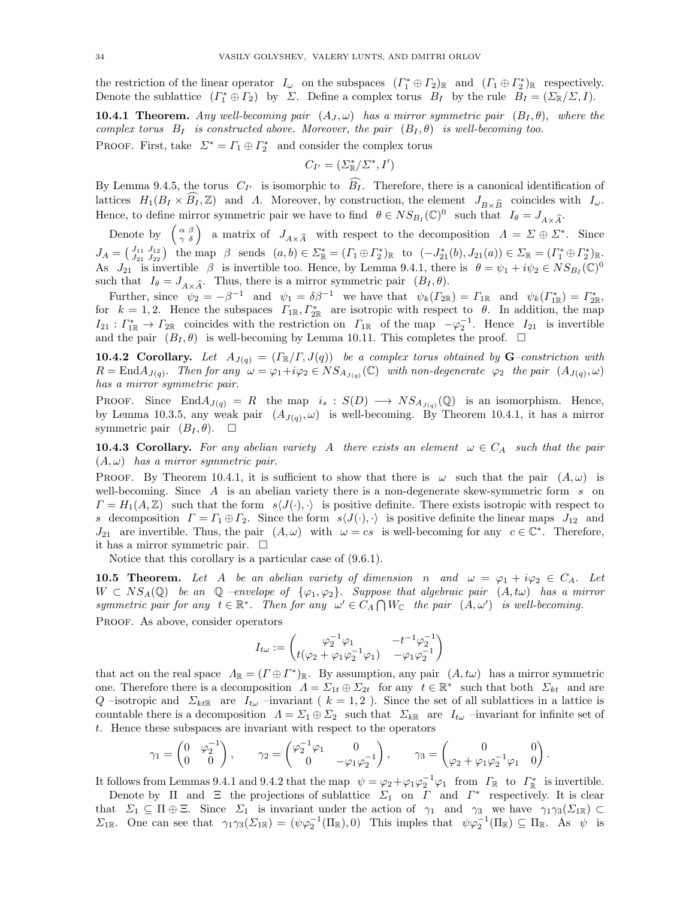the restriction of the linear operator  $I_{\omega}$  on the subspaces  $(\Gamma_1^* \oplus \Gamma_2)_{\mathbb{R}}$  and  $(\Gamma_1 \oplus \Gamma_2^*)_{\mathbb{R}}$  respectively. Denote the sublattice  $(\Gamma_1^* \oplus \Gamma_2)$  by  $\Sigma$ . Define a complex torus  $B_I$  by the rule  $B_I = (\Sigma_{\mathbb{R}}/\Sigma, I)$ .

**10.4.1 Theorem.** Any well-becoming pair  $(A_J, \omega)$  has a mirror symmetric pair  $(B_J, \theta)$ , where the complex torus  $B_I$  is constructed above. Moreover, the pair  $(B_I, \theta)$  is well-becoming too. PROOF. First, take  $\Sigma^* = \Gamma_1 \oplus \Gamma_2^*$  and consider the complex torus

$$
C_{I'}=(\Sigma^*_{\mathbb{R}}/\Sigma^*,I')
$$

By Lemma 9.4.5, the torus  $C_{I'}$  is isomorphic to  $B_I$ . Therefore, there is a canonical identification of lattices  $H_1(B_I \times \widehat{B_I}, \mathbb{Z})$  and  $\Lambda$ . Moreover, by construction, the element  $J_{B \times \widehat{B}}$  coincides with  $I_{\omega}$ . Hence, to define mirror symmetric pair we have to find  $\theta \in NS_{B_I}(\mathbb{C})^0$  such that  $I_{\theta} = J_{A \times \widehat{A}}$ .

Denote by  $\begin{pmatrix} \alpha & \beta \\ \gamma & \delta \end{pmatrix}$  a matrix of  $J_{A\times\widehat{A}}$  with respect to the decomposition  $A = \Sigma \oplus \Sigma^*$ . Since  $J_A = \begin{pmatrix} J_{11} & J_{12} \\ J_{21} & J_{22} \end{pmatrix}$  the map  $\beta$  sends  $(a, b) \in \Sigma_{\mathbb{R}}^* = (I_1 \oplus I_2^*)_{\mathbb{R}}$  to  $(-J_{21}^*(b), J_{21}(a)) \in \Sigma_{\mathbb{R}} = (I_1^* \oplus I_2^*)_{\mathbb{R}}$ . As  $J_{21}$  is invertible  $\beta$  is invertible too. Hence, by Lemma 9.4.1, there is  $\theta = \psi_1 + i\psi_2 \in NS_{B_I}(\mathbb{C})^0$ such that  $I_{\theta} = J_{A \times \widehat{A}}$ . Thus, there is a mirror symmetric pair  $(B_I, \theta)$ .

Further, since  $\psi_2 = -\beta^{-1}$  and  $\psi_1 = \delta \beta^{-1}$  we have that  $\psi_k(\Gamma_{2\mathbb{R}}) = \Gamma_{1\mathbb{R}}$  and  $\psi_k(\Gamma_{1\mathbb{R}}^*) = \Gamma_{2\mathbb{R}}^*$ , for  $k = 1, 2$ . Hence the subspaces  $\Gamma_{1\mathbb{R}}, \Gamma_{2\mathbb{R}}^*$  are isotropic with respect to  $\theta$ . In addition, the map  $I_{21}: \Gamma_{1\mathbb{R}}^* \to \Gamma_{2\mathbb{R}}$  coincides with the restriction on  $\Gamma_{1\mathbb{R}}$  of the map  $-\varphi_2^{-1}$ . Hence  $I_{21}$  is invertible and the pair  $(B_I, \theta)$  is well-becoming by Lemma 10.11. This completes the proof.  $\Box$ 

**10.4.2 Corollary.** Let  $A_{J(q)} = (\Gamma_{\mathbb{R}}/I, J(q))$  be a complex torus obtained by G-constriction with  $R = \text{End}A_{J(q)}$ . Then for any  $\omega = \varphi_1 + i\varphi_2 \in NS_{A_{J(q)}}(\mathbb{C})$  with non-degenerate  $\varphi_2$  the pair  $(A_{J(q)}, \omega)$ has a mirror symmetric pair.

PROOF. Since End $A_{J(q)} = R$  the map  $i_s : S(D) \longrightarrow NS_{A_{J(q)}}(\mathbb{Q})$  is an isomorphism. Hence, by Lemma 10.3.5, any weak pair  $(A_{J(q)}, \omega)$  is well-becoming. By Theorem 10.4.1, it has a mirror symmetric pair  $(B_I, \theta)$ .  $\Box$ 

**10.4.3 Corollary.** For any abelian variety A there exists an element  $\omega \in C_A$  such that the pair  $(A, \omega)$  has a mirror symmetric pair.

**PROOF.** By Theorem 10.4.1, it is sufficient to show that there is  $\omega$  such that the pair  $(A, \omega)$  is well-becoming. Since  $A$  is an abelian variety there is a non-degenerate skew-symmetric form  $s$  on  $\Gamma = H_1(A, \mathbb{Z})$  such that the form  $s\langle J(\cdot), \cdot \rangle$  is positive definite. There exists isotropic with respect to s decomposition  $\Gamma = \Gamma_1 \oplus \Gamma_2$ . Since the form  $s\langle J(\cdot), \cdot \rangle$  is positive definite the linear maps  $J_{12}$  and  $J_{21}$  are invertible. Thus, the pair  $(A, \omega)$  with  $\omega = cs$  is well-becoming for any  $c \in \mathbb{C}^*$ . Therefore, it has a mirror symmetric pair.  $\square$ 

Notice that this corollary is a particular case of (9.6.1).

**10.5 Theorem.** Let A be an abelian variety of dimension n and  $\omega = \varphi_1 + i\varphi_2 \in C_A$ . Let  $W \subset NS_A(\mathbb{Q})$  be an  $\mathbb{Q}$  –envelope of  $\{\varphi_1, \varphi_2\}$ . Suppose that algebraic pair  $(A, t\omega)$  has a mirror symmetric pair for any  $t \in \mathbb{R}^*$ . Then for any  $\omega' \in C_A \cap W_{\mathbb{C}}$  the pair  $(A, \omega')$  is well-becoming. PROOF. As above, consider operators

$$
I_{t\omega}:=\begin{pmatrix}\varphi_2^{-1}\varphi_1 & -t^{-1}\varphi_2^{-1} \\ t(\varphi_2+\varphi_1\varphi_2^{-1}\varphi_1) & -\varphi_1\varphi_2^{-1}\end{pmatrix}
$$

that act on the real space  $\Lambda_{\mathbb{R}} = (\Gamma \oplus \Gamma^*)_{\mathbb{R}}$ . By assumption, any pair  $(A, t\omega)$  has a mirror symmetric one. Therefore there is a decomposition  $\Lambda = \Sigma_{1t} \oplus \Sigma_{2t}$  for any  $t \in \mathbb{R}^*$  such that both  $\Sigma_{kt}$  and are Q –isotropic and  $\Sigma_{ktR}$  are  $I_{t\omega}$  –invariant ( $k = 1, 2$ ). Since the set of all sublattices in a lattice is countable there is a decomposition  $\Lambda = \Sigma_1 \oplus \Sigma_2$  such that  $\Sigma_{k\mathbb{R}}$  are  $I_{t\omega}$  –invariant for infinite set of t. Hence these subspaces are invariant with respect to the operators

$$
\gamma_1 = \begin{pmatrix} 0 & \varphi_2^{-1} \\ 0 & 0 \end{pmatrix}, \qquad \gamma_2 = \begin{pmatrix} \varphi_2^{-1} \varphi_1 & 0 \\ 0 & -\varphi_1 \varphi_2^{-1} \end{pmatrix}, \qquad \gamma_3 = \begin{pmatrix} 0 & 0 \\ \varphi_2 + \varphi_1 \varphi_2^{-1} \varphi_1 & 0 \end{pmatrix}.
$$

It follows from Lemmas 9.4.1 and 9.4.2 that the map  $\psi = \varphi_2 + \varphi_1 \varphi_2^{-1} \varphi_1$  from  $\Gamma_{\mathbb{R}}$  to  $\Gamma_{\mathbb{R}}^*$  is invertible.

Denote by  $\Pi$  and  $\Xi$  the projections of sublattice  $\Sigma_1$  on  $\Gamma$  and  $\Gamma^*$  respectively. It is clear that  $\Sigma_1 \subseteq \Pi \oplus \Xi$ . Since  $\Sigma_1$  is invariant under the action of  $\gamma_1$  and  $\gamma_3$  we have  $\gamma_1 \gamma_3(\Sigma_{1R}) \subset$  $\Sigma_{1\mathbb{R}}$ . One can see that  $\gamma_1 \gamma_3(\Sigma_{1\mathbb{R}}) = (\psi \varphi_2^{-1}(\Pi_{\mathbb{R}}), 0)$  This imples that  $\psi \varphi_2^{-1}(\Pi_{\mathbb{R}}) \subseteq \Pi_{\mathbb{R}}$ . As  $\psi$  is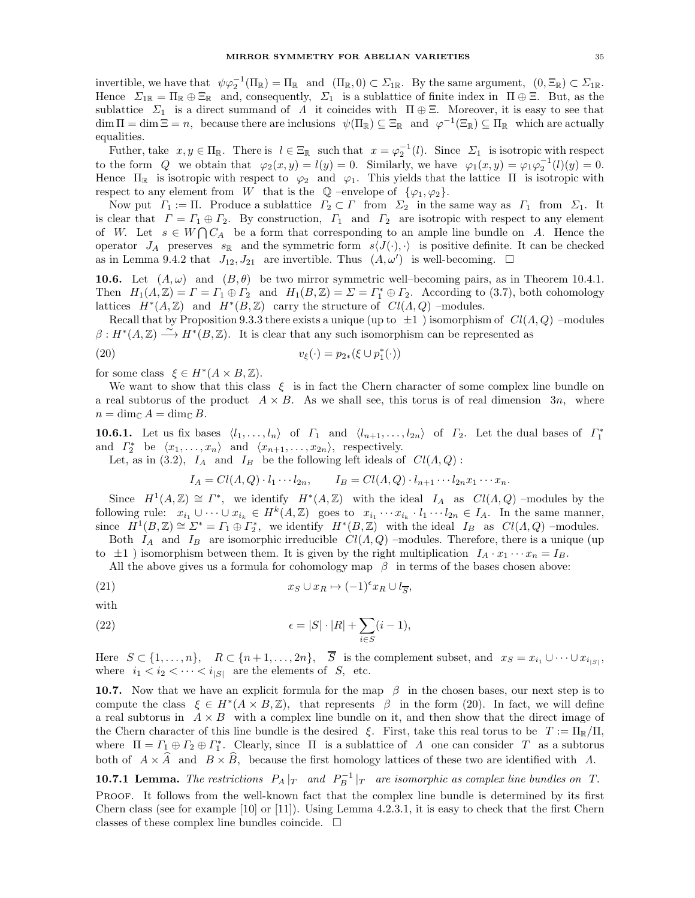invertible, we have that  $\psi \varphi_2^{-1}(\Pi_\mathbb{R}) = \Pi_\mathbb{R}$  and  $(\Pi_\mathbb{R}, 0) \subset \Sigma_{1\mathbb{R}}$ . By the same argument,  $(0, \Xi_\mathbb{R}) \subset \Sigma_{1\mathbb{R}}$ . Hence  $\Sigma_{1\mathbb{R}} = \Pi_{\mathbb{R}} \oplus \Xi_{\mathbb{R}}$  and, consequently,  $\Sigma_1$  is a sublattice of finite index in  $\Pi \oplus \Xi$ . But, as the sublattice  $\Sigma_1$  is a direct summand of  $\Lambda$  it coincides with  $\Pi \oplus \Xi$ . Moreover, it is easy to see that  $\dim \Pi = \dim \Xi = n$ , because there are inclusions  $\psi(\Pi_{\mathbb{R}}) \subseteq \Xi_{\mathbb{R}}$  and  $\varphi^{-1}(\Xi_{\mathbb{R}}) \subseteq \Pi_{\mathbb{R}}$  which are actually equalities.

Futher, take  $x, y \in \Pi_{\mathbb{R}}$ . There is  $l \in \Xi_{\mathbb{R}}$  such that  $x = \varphi_2^{-1}(l)$ . Since  $\Sigma_1$  is isotropic with respect to the form Q we obtain that  $\varphi_2(x, y) = l(y) = 0$ . Similarly, we have  $\varphi_1(x, y) = \varphi_1 \varphi_2^{-1}(l)(y) = 0$ . Hence  $\Pi_{\mathbb{R}}$  is isotropic with respect to  $\varphi_2$  and  $\varphi_1$ . This yields that the lattice  $\Pi$  is isotropic with respect to any element from W that is the  $\mathbb Q$  –envelope of  $\{\varphi_1,\varphi_2\}.$ 

Now put  $\Gamma_1 := \Pi$ . Produce a sublattice  $\Gamma_2 \subset \Gamma$  from  $\Sigma_2$  in the same way as  $\Gamma_1$  from  $\Sigma_1$ . It is clear that  $\Gamma = \Gamma_1 \oplus \Gamma_2$ . By construction,  $\Gamma_1$  and  $\Gamma_2$  are isotropic with respect to any element of W. Let  $s \in W \cap C_A$  be a form that corresponding to an ample line bundle on A. Hence the operator  $J_A$  preserves  $s_{\mathbb{R}}$  and the symmetric form  $s\langle J(\cdot), \cdot \rangle$  is positive definite. It can be checked as in Lemma 9.4.2 that  $J_{12}, J_{21}$  are invertible. Thus  $(A, \omega')$  is well-becoming.  $\Box$ 

**10.6.** Let  $(A, \omega)$  and  $(B, \theta)$  be two mirror symmetric well-becoming pairs, as in Theorem 10.4.1. Then  $H_1(A, \mathbb{Z}) = \Gamma = \Gamma_1 \oplus \Gamma_2$  and  $H_1(B, \mathbb{Z}) = \Sigma = \Gamma_1^* \oplus \Gamma_2$ . According to (3.7), both cohomology lattices  $H^*(A, \mathbb{Z})$  and  $H^*(B, \mathbb{Z})$  carry the structure of  $Cl(A, Q)$  –modules.

Recall that by Proposition 9.3.3 there exists a unique (up to  $\pm 1$ ) isomorphism of  $Cl(A, Q)$  –modules  $\beta: H^*(A, \mathbb{Z}) \longrightarrow H^*(B, \mathbb{Z})$ . It is clear that any such isomorphism can be represented as

(20) 
$$
v_{\xi}(\cdot) = p_{2*}(\xi \cup p_1^*(\cdot))
$$

for some class  $\xi \in H^*(A \times B, \mathbb{Z})$ .

We want to show that this class  $\xi$  is in fact the Chern character of some complex line bundle on a real subtorus of the product  $A \times B$ . As we shall see, this torus is of real dimension  $3n$ , where  $n = \dim_{\mathbb{C}} A = \dim_{\mathbb{C}} B.$ 

**10.6.1.** Let us fix bases  $\langle l_1, \ldots, l_n \rangle$  of  $\Gamma_1$  and  $\langle l_{n+1}, \ldots, l_{2n} \rangle$  of  $\Gamma_2$ . Let the dual bases of  $\Gamma_1^*$ and  $\Gamma_2^*$  be  $\langle x_1, \ldots, x_n \rangle$  and  $\langle x_{n+1}, \ldots, x_{2n} \rangle$ , respectively.

Let, as in (3.2),  $I_A$  and  $I_B$  be the following left ideals of  $Cl(A, Q)$ :

$$
I_A = Cl(A, Q) \cdot l_1 \cdots l_{2n}, \qquad I_B = Cl(A, Q) \cdot l_{n+1} \cdots l_{2n} x_1 \cdots x_n.
$$

Since  $H^1(A,\mathbb{Z}) \cong \Gamma^*$ , we identify  $H^*(A,\mathbb{Z})$  with the ideal  $I_A$  as  $Cl(A,Q)$  –modules by the following rule:  $x_{i_1} \cup \cdots \cup x_{i_k} \in H^k(A, \mathbb{Z})$  goes to  $x_{i_1} \cdots x_{i_k} \cdot l_1 \cdots l_{2n} \in I_A$ . In the same manner, since  $H^1(B, \mathbb{Z}) \cong \Sigma^* = \Gamma_1 \oplus \Gamma_2^*$ , we identify  $H^*(B, \mathbb{Z})$  with the ideal  $I_B$  as  $Cl(A, Q)$  -modules.

Both  $I_A$  and  $I_B$  are isomorphic irreducible  $Cl(A, Q)$  –modules. Therefore, there is a unique (up to  $\pm 1$  ) isomorphism between them. It is given by the right multiplication  $I_A \cdot x_1 \cdots x_n = I_B$ .

All the above gives us a formula for cohomology map  $\beta$  in terms of the bases chosen above:

(21) 
$$
x_S \cup x_R \mapsto (-1)^{\epsilon} x_R \cup l_{\overline{S}},
$$

with

(22) 
$$
\epsilon = |S| \cdot |R| + \sum_{i \in S} (i-1),
$$

Here  $S \subset \{1, \ldots, n\}$ ,  $R \subset \{n+1, \ldots, 2n\}$ , S is the complement subset, and  $x_S = x_{i_1} \cup \cdots \cup x_{i_{|S|}}$ , where  $i_1 < i_2 < \cdots < i_{|S|}$  are the elements of S, etc.

10.7. Now that we have an explicit formula for the map  $\beta$  in the chosen bases, our next step is to compute the class  $\xi \in H^*(A \times B, \mathbb{Z})$ , that represents  $\beta$  in the form (20). In fact, we will define a real subtorus in  $A \times B$  with a complex line bundle on it, and then show that the direct image of the Chern character of this line bundle is the desired  $\xi$ . First, take this real torus to be  $T := \Pi_{\mathbb{R}}/\Pi$ , where  $\Pi = \Gamma_1 \oplus \Gamma_2 \oplus \Gamma_1^*$ . Clearly, since  $\Pi$  is a sublattice of  $\Lambda$  one can consider  $T$  as a subtorus both of  $A \times A$  and  $B \times B$ , because the first homology lattices of these two are identified with  $\Lambda$ .

**10.7.1 Lemma.** The restrictions  $P_A|_T$  and  $P_B^{-1}|_T$  are isomorphic as complex line bundles on T. PROOF. It follows from the well-known fact that the complex line bundle is determined by its first Chern class (see for example [10] or [11]). Using Lemma 4.2.3.1, it is easy to check that the first Chern classes of these complex line bundles coincide.  $\square$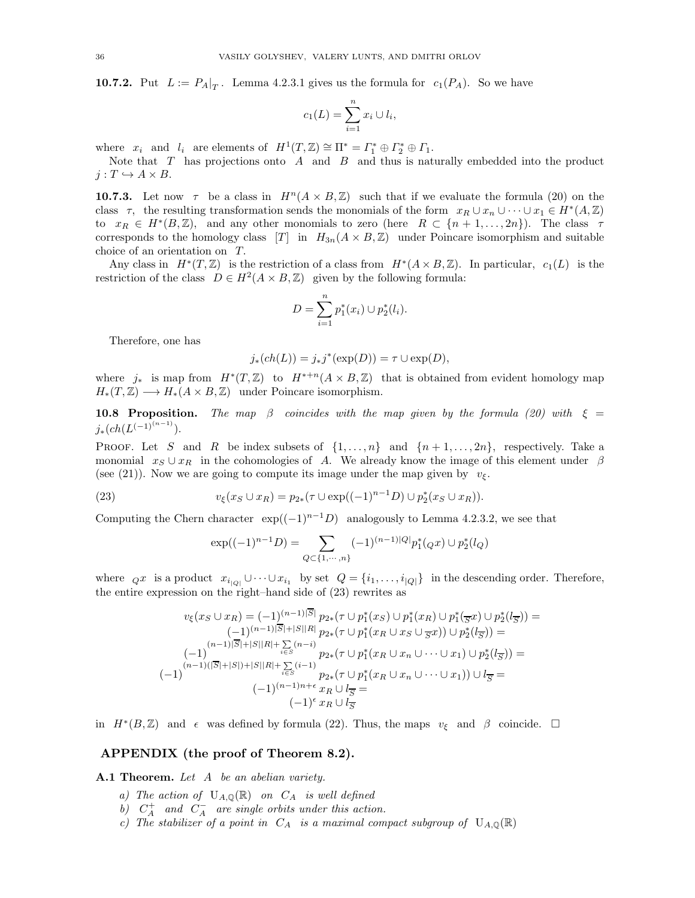**10.7.2.** Put  $L := P_A|_T$ . Lemma 4.2.3.1 gives us the formula for  $c_1(P_A)$ . So we have

$$
c_1(L) = \sum_{i=1}^n x_i \cup l_i,
$$

where  $x_i$  and  $l_i$  are elements of  $H^1(T, \mathbb{Z}) \cong \Pi^* = \Gamma_1^* \oplus \Gamma_2^* \oplus \Gamma_1$ .

Note that  $T$  has projections onto  $A$  and  $B$  and thus is naturally embedded into the product  $j: T \hookrightarrow A \times B$ .

**10.7.3.** Let now  $\tau$  be a class in  $H^n(A \times B, \mathbb{Z})$  such that if we evaluate the formula (20) on the class  $\tau$ , the resulting transformation sends the monomials of the form  $x_R \cup x_n \cup \cdots \cup x_1 \in H^*(A, \mathbb{Z})$ to  $x_R \in H^*(B, \mathbb{Z})$ , and any other monomials to zero (here  $R \subset \{n+1, \ldots, 2n\}$ ). The class  $\tau$ corresponds to the homology class [T] in  $H_{3n}(A \times B, \mathbb{Z})$  under Poincare isomorphism and suitable choice of an orientation on T.

Any class in  $H^*(T,\mathbb{Z})$  is the restriction of a class from  $H^*(A \times B, \mathbb{Z})$ . In particular,  $c_1(L)$  is the restriction of the class  $D \in H^2(A \times B, \mathbb{Z})$  given by the following formula:

$$
D = \sum_{i=1}^{n} p_1^*(x_i) \cup p_2^*(l_i).
$$

Therefore, one has

 $j_*(ch(L)) = j_*j^*(\exp(D)) = \tau \cup \exp(D),$ 

where  $j_*$  is map from  $H^*(T,\mathbb{Z})$  to  $H^{*+n}(A \times B,\mathbb{Z})$  that is obtained from evident homology map  $H_*(T, \mathbb{Z}) \longrightarrow H_*(A \times B, \mathbb{Z})$  under Poincare isomorphism.

**10.8 Proposition.** The map β coincides with the map given by the formula (20) with  $\xi =$  $j_*(ch(L^{(-1)^{(n-1)}}).$ 

**PROOF.** Let S and R be index subsets of  $\{1, \ldots, n\}$  and  $\{n+1, \ldots, 2n\}$ , respectively. Take a monomial  $x_S \cup x_R$  in the cohomologies of A. We already know the image of this element under  $\beta$ (see (21)). Now we are going to compute its image under the map given by  $v_{\xi}$ .

(23) 
$$
v_{\xi}(x_S \cup x_R) = p_{2*}(\tau \cup \exp((-1)^{n-1}D) \cup p_2^*(x_S \cup x_R)).
$$

Computing the Chern character  $\exp((-1)^{n-1}D)$  analogously to Lemma 4.2.3.2, we see that

$$
\exp((-1)^{n-1}D) = \sum_{Q \subset \{1, \cdots, n\}} (-1)^{(n-1)|Q|} p_1^*(Qx) \cup p_2^*(l_Q)
$$

where  $_{Q}x$  is a product  $x_{i_{|Q|}} \cup \cdots \cup x_{i_1}$  by set  $Q = \{i_1, \ldots, i_{|Q|}\}\$ in the descending order. Therefore, the entire expression on the right–hand side of (23) rewrites as

$$
v_{\xi}(x_{S} \cup x_{R}) = (-1)^{(n-1)|S|} p_{2*}(\tau \cup p_{1}^{*}(x_{S}) \cup p_{1}^{*}(x_{R}) \cup p_{1}^{*}(\overline{z}x) \cup p_{2}^{*}(l_{\overline{S}})) =
$$
  
\n
$$
(-1)^{(n-1)|\overline{S}|+|S||R|} p_{2*}(\tau \cup p_{1}^{*}(x_{R} \cup x_{S} \cup \overline{z}x)) \cup p_{2}^{*}(l_{\overline{S}})) =
$$
  
\n
$$
(-1)^{(n-1)|\overline{S}|+|S||R|} \sum_{i \in S} (n-i) p_{2*}(\tau \cup p_{1}^{*}(x_{R} \cup x_{n} \cup \cdots \cup x_{1}) \cup p_{2}^{*}(l_{\overline{S}})) =
$$
  
\n
$$
(-1)^{(n-1)(|\overline{S}|+|S|)+|\overline{S}||R|} \sum_{i \in S} (i-1) p_{2*}(\tau \cup p_{1}^{*}(x_{R} \cup x_{n} \cup \cdots \cup x_{1})) \cup l_{\overline{S}} =
$$
  
\n
$$
(-1)^{(n-1)n+\epsilon} x_{R} \cup l_{\overline{S}} =
$$
  
\n
$$
(-1)^{\epsilon} x_{R} \cup l_{\overline{S}} =
$$

in  $H^*(B, \mathbb{Z})$  and  $\epsilon$  was defined by formula (22). Thus, the maps  $v_{\xi}$  and  $\beta$  coincide.  $\square$ 

# APPENDIX (the proof of Theorem 8.2).

**A.1 Theorem.** Let A be an abelian variety.

- a) The action of  $U_{A,Q}(\mathbb{R})$  on  $C_A$  is well defined
- b)  $C_A^+$  and  $C_A^-$  are single orbits under this action.
- c) The stabilizer of a point in  $C_A$  is a maximal compact subgroup of  $U_{A,Q}(\mathbb{R})$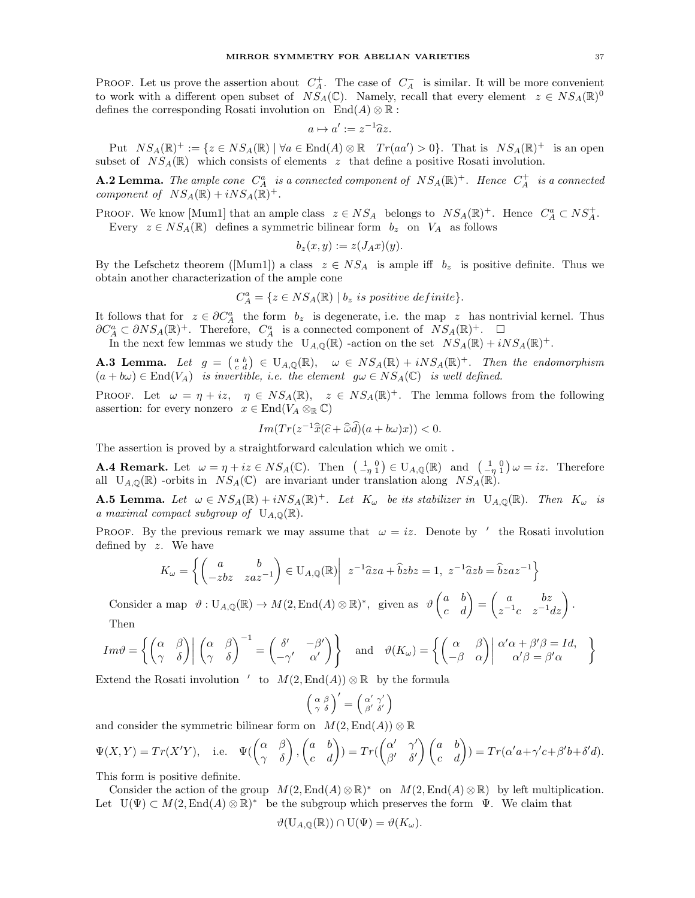**PROOF.** Let us prove the assertion about  $C_A^+$ . The case of  $C_A^-$  is similar. It will be more convenient to work with a different open subset of  $NS_A(\mathbb{C})$ . Namely, recall that every element  $z \in NS_A(\mathbb{R})^0$ defines the corresponding Rosati involution on  $\text{End}(A) \otimes \mathbb{R}$ :

$$
a \mapsto a' := z^{-1}\widehat{a}z.
$$

Put  $NS_A(\mathbb{R})^+ := \{ z \in NS_A(\mathbb{R}) \mid \forall a \in \text{End}(A) \otimes \mathbb{R} \quad Tr(aa') > 0 \}.$  That is  $NS_A(\mathbb{R})^+$  is an open subset of  $NS_A(\mathbb{R})$  which consists of elements z that define a positive Rosati involution.

**A.2 Lemma.** The ample cone  $C_A^a$  is a connected component of  $NS_A(\mathbb{R})^+$ . Hence  $C_A^+$  is a connected component of  $NS_A(\mathbb{R}) + iNS_A(\mathbb{R})^+$ .

PROOF. We know [Mum1] that an ample class  $z \in NS_A$  belongs to  $NS_A(\mathbb{R})^+$ . Hence  $C_A^a \subset NS_A^+$ . Every  $z \in NS_A(\mathbb{R})$  defines a symmetric bilinear form  $b_z$  on  $V_A$  as follows

$$
b_z(x,y) := z(J_Ax)(y).
$$

By the Lefschetz theorem ([Mum1]) a class  $z \in NS_A$  is ample iff  $b_z$  is positive definite. Thus we obtain another characterization of the ample cone

$$
C_A^a = \{ z \in NS_A(\mathbb{R}) \mid b_z \text{ is positive definite} \}.
$$

It follows that for  $z \in \partial C_A^a$  the form  $b_z$  is degenerate, i.e. the map z has nontrivial kernel. Thus  $\partial C_A^a \subset \partial NS_A(\mathbb{R})^+$ . Therefore,  $C_A^a$  is a connected component of  $NS_A(\mathbb{R})^+$ .  $\Box$ 

In the next few lemmas we study the  $U_{A,Q}(\mathbb{R})$  -action on the set  $NS_A(\mathbb{R}) + iNS_A(\mathbb{R})^+$ .

**A.3 Lemma.** Let  $g = \begin{pmatrix} a & b \\ c & d \end{pmatrix} \in U_{A,Q}(\mathbb{R}), \quad \omega \in NS_A(\mathbb{R}) + iNS_A(\mathbb{R})^+$ . Then the endomorphism  $(a + b\omega) \in \text{End}(V_A)$  is invertible, i.e. the element  $g\omega \in NS_A(\mathbb{C})$  is well defined.

PROOF. Let  $\omega = \eta + iz$ ,  $\eta \in NS_A(\mathbb{R})$ ,  $z \in NS_A(\mathbb{R})^+$ . The lemma follows from the following assertion: for every nonzero  $x \in \text{End}(V_A \otimes_{\mathbb{R}} \mathbb{C})$ 

$$
Im(Tr(z^{-1}\widehat{\overline{x}}(\widehat{c}+\widehat{\omega}\widehat{d})(a+b\omega)x))<0.
$$

The assertion is proved by a straightforward calculation which we omit .

**A.4 Remark.** Let  $\omega = \eta + iz \in NS_A(\mathbb{C})$ . Then  $\begin{pmatrix} 1 & 0 \\ -\eta & 1 \end{pmatrix} \in U_{A,\mathbb{Q}}(\mathbb{R})$  and  $\begin{pmatrix} 1 & 0 \\ -\eta & 1 \end{pmatrix} \omega = iz$ . Therefore all  $U_{A,\mathbb{Q}}(\mathbb{R})$  -orbits in  $NS_A(\mathbb{C})$  are invariant under translation along  $NS_A(\mathbb{R})$ .

**A.5 Lemma.** Let  $\omega \in NS_A(\mathbb{R}) + iNS_A(\mathbb{R})^+$ . Let  $K_{\omega}$  be its stabilizer in  $U_{A,\mathbb{Q}}(\mathbb{R})$ . Then  $K_{\omega}$  is a maximal compact subgroup of  $U_{A,\mathbb{Q}}(\mathbb{R})$ .

PROOF. By the previous remark we may assume that  $\omega = iz$ . Denote by ' the Rosati involution defined by  $z$ . We have

$$
K_{\omega} = \left\{ \begin{pmatrix} a & b \\ -zbz & za z^{-1} \end{pmatrix} \in U_{A,Q}(\mathbb{R}) \middle| z^{-1}\hat{a}za + \hat{b}zbz = 1, z^{-1}\hat{a}zb = \hat{b}zaz^{-1} \right\}
$$

Consider a map  $\vartheta : U_{A,\mathbb{Q}}(\mathbb{R}) \to M(2,\text{End}(A) \otimes \mathbb{R})^*$ , given as  $\vartheta$  $\begin{pmatrix} a & b \\ c & d \end{pmatrix} =$  $\int a$  bz  $\begin{pmatrix} a & bz \ z^{-1}c & z^{-1}dz \end{pmatrix}$ . Then

$$
Im \vartheta = \left\{ \begin{pmatrix} \alpha & \beta \\ \gamma & \delta \end{pmatrix} \middle| \begin{pmatrix} \alpha & \beta \\ \gamma & \delta \end{pmatrix}^{-1} = \begin{pmatrix} \delta' & -\beta' \\ -\gamma' & \alpha' \end{pmatrix} \right\} \text{ and } \vartheta(K_{\omega}) = \left\{ \begin{pmatrix} \alpha & \beta \\ -\beta & \alpha \end{pmatrix} \middle| \begin{pmatrix} \alpha' \alpha + \beta' \beta = Id, \\ \alpha' \beta = \beta' \alpha \end{pmatrix} \right\}
$$

Extend the Rosati involution  $'$  to  $M(2, \text{End}(A)) \otimes \mathbb{R}$  by the formula

$$
\left(\begin{array}{cc} \alpha & \beta \\ \gamma & \delta \end{array}\right)' = \left(\begin{array}{cc} \alpha' & \gamma' \\ \beta' & \delta' \end{array}\right)
$$

and consider the symmetric bilinear form on  $M(2,End(A))\otimes \mathbb{R}$ 

$$
\Psi(X,Y) = Tr(X'Y), \quad \text{i.e.} \quad \Psi(\begin{pmatrix} \alpha & \beta \\ \gamma & \delta \end{pmatrix}, \begin{pmatrix} a & b \\ c & d \end{pmatrix}) = Tr(\begin{pmatrix} \alpha' & \gamma' \\ \beta' & \delta' \end{pmatrix} \begin{pmatrix} a & b \\ c & d \end{pmatrix}) = Tr(\alpha'a + \gamma'c + \beta'b + \delta'd).
$$

This form is positive definite.

Consider the action of the group  $M(2, \text{End}(A) \otimes \mathbb{R})^*$  on  $M(2, \text{End}(A) \otimes \mathbb{R})$  by left multiplication. Let  $U(\Psi) \subset M(2, End(A) \otimes \mathbb{R})^*$  be the subgroup which preserves the form  $\Psi$ . We claim that

$$
\vartheta(\mathrm{U}_{A,\mathbb{Q}}(\mathbb{R})) \cap \mathrm{U}(\Psi) = \vartheta(K_{\omega}).
$$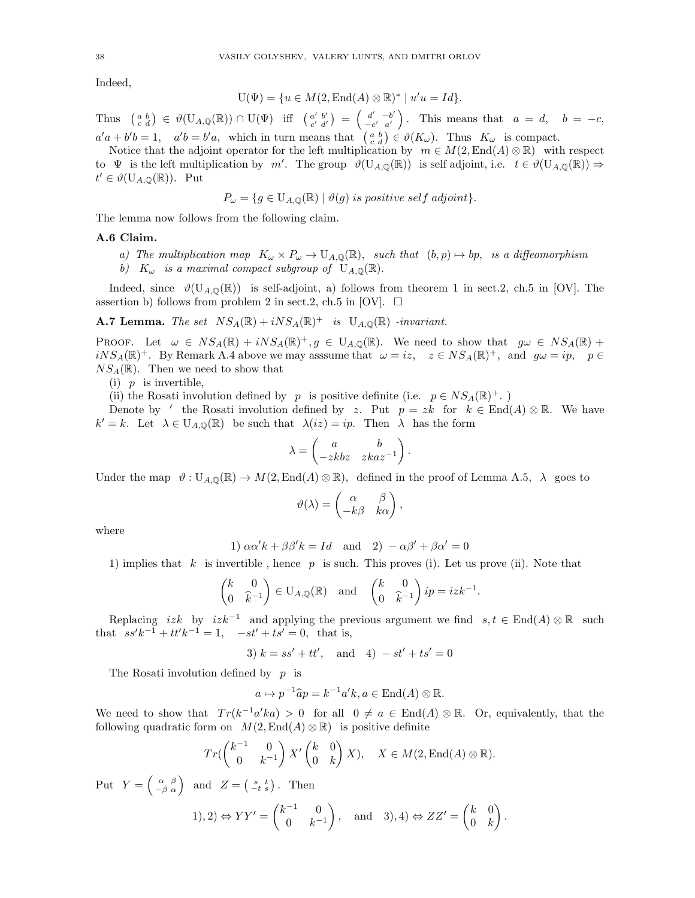Indeed,

$$
U(\Psi) = \{ u \in M(2, \text{End}(A) \otimes \mathbb{R})^* \mid u'u = Id \}.
$$

Thus  $\begin{pmatrix} a & b \\ c & d \end{pmatrix} \in \vartheta(\mathbf{U}_{A,\mathbb{Q}}(\mathbb{R})) \cap \mathbf{U}(\Psi)$  iff  $\begin{pmatrix} a' & b' \\ c' & d' \end{pmatrix}$  $\begin{pmatrix} a' & b' \ c' & d' \end{pmatrix} = \begin{pmatrix} d' & -b' \ -c' & a' \end{pmatrix}$  $\begin{pmatrix} d' & -b' \\ -c' & a' \end{pmatrix}$ . This means that  $a = d$ ,  $b = -c$ ,  $a'a + b'b = 1$ ,  $a'b = b'a$ , which in turn means that  $(a<sub>c</sub> b<sub>d</sub>) \in \vartheta(K_{\omega})$ . Thus  $K_{\omega}$  is compact.

Notice that the adjoint operator for the left multiplication by  $m \in M(2,End(A) \otimes \mathbb{R})$  with respect to  $\Psi$  is the left multiplication by  $m'$ . The group  $\vartheta(\mathbf{U}_{A,\mathbb{Q}}(\mathbb{R}))$  is self adjoint, i.e.  $t \in \vartheta(\mathbf{U}_{A,\mathbb{Q}}(\mathbb{R})) \Rightarrow$  $t' \in \vartheta(\mathrm{U}_{A,\mathbb{Q}}(\mathbb{R}))$ . Put

$$
P_{\omega} = \{ g \in U_{A,Q}(\mathbb{R}) \mid \vartheta(g) \text{ is positive self adjoint} \}.
$$

The lemma now follows from the following claim.

# A.6 Claim.

a) The multiplication map  $K_{\omega} \times P_{\omega} \to U_{A,\mathbb{Q}}(\mathbb{R})$ , such that  $(b, p) \mapsto bp$ , is a diffeomorphism b)  $K_{\omega}$  is a maximal compact subgroup of  $U_{A,\mathbb{Q}}(\mathbb{R})$ .

Indeed, since  $\vartheta(U_{A,0}(\mathbb{R}))$  is self-adjoint, a) follows from theorem 1 in sect.2, ch.5 in [OV]. The assertion b) follows from problem 2 in sect.2, ch.5 in [OV].  $\Box$ 

**A.7 Lemma.** The set  $NS_A(\mathbb{R}) + iNS_A(\mathbb{R})^+$  is  $U_{A,\mathbb{Q}}(\mathbb{R})$  -invariant.

PROOF. Let  $\omega \in NS_A(\mathbb{R}) + iNS_A(\mathbb{R})^+, g \in U_{A,\mathbb{Q}}(\mathbb{R})$ . We need to show that  $g\omega \in NS_A(\mathbb{R}) +$  $iNS_A(\mathbb{R})^+$ . By Remark A.4 above we may asssume that  $\omega = iz$ ,  $z \in NS_A(\mathbb{R})^+$ , and  $g\omega = ip$ ,  $p \in$  $NS_A(\mathbb{R})$ . Then we need to show that

 $(i)$  p is invertible,

(ii) the Rosati involution defined by p is positive definite (i.e.  $p \in NS_A(\mathbb{R})^+$ .)

Denote by ' the Rosati involution defined by z. Put  $p = zk$  for  $k \in End(A) \otimes \mathbb{R}$ . We have  $k' = k$ . Let  $\lambda \in U_{A,Q}(\mathbb{R})$  be such that  $\lambda(iz) = ip$ . Then  $\lambda$  has the form

$$
\lambda = \begin{pmatrix} a & b \\ -zkbz & zkaz^{-1} \end{pmatrix}.
$$

Under the map  $\vartheta: U_{A,\mathbb{Q}}(\mathbb{R}) \to M(2,\text{End}(A)\otimes\mathbb{R})$ , defined in the proof of Lemma A.5,  $\lambda$  goes to

$$
\vartheta(\lambda) = \begin{pmatrix} \alpha & \beta \\ -k\beta & k\alpha \end{pmatrix},
$$

where

1) 
$$
\alpha \alpha' k + \beta \beta' k = Id
$$
 and 2)  $-\alpha \beta' + \beta \alpha' = 0$ 

1) implies that k is invertible, hence p is such. This proves (i). Let us prove (ii). Note that

$$
\begin{pmatrix} k & 0 \\ 0 & \widehat{k}^{-1} \end{pmatrix} \in \mathcal{U}_{A,\mathbb{Q}}(\mathbb{R}) \quad \text{and} \quad \begin{pmatrix} k & 0 \\ 0 & \widehat{k}^{-1} \end{pmatrix} ip = izk^{-1}
$$

.

Replacing *izk* by  $izk^{-1}$  and applying the previous argument we find  $s, t \in \text{End}(A) \otimes \mathbb{R}$  such that  $ss'k^{-1} + tt'k^{-1} = 1$ ,  $-st' + ts' = 0$ , that is,

3) 
$$
k = ss' + tt'
$$
, and 4)  $-st' + ts' = 0$ 

The Rosati involution defined by  $p$  is

$$
a \mapsto p^{-1}\widehat{a}p = k^{-1}a'k, a \in \text{End}(A) \otimes \mathbb{R}.
$$

We need to show that  $Tr(k^{-1}a'ka) > 0$  for all  $0 \neq a \in End(A) \otimes \mathbb{R}$ . Or, equivalently, that the following quadratic form on  $M(2,End(A) \otimes \mathbb{R})$  is positive definite

$$
Tr\begin{pmatrix}k^{-1} & 0\\ 0 & k^{-1}\end{pmatrix}X'\begin{pmatrix}k & 0\\ 0 & k\end{pmatrix}X
$$
,  $X \in M(2, \text{End}(A) \otimes \mathbb{R}).$ 

Put  $Y = \begin{pmatrix} \alpha & \beta \\ -\beta & \alpha \end{pmatrix}$  and  $Z = \begin{pmatrix} s & t \\ -t & s \end{pmatrix}$ . Then

$$
1), 2) \Leftrightarrow YY' = \begin{pmatrix} k^{-1} & 0 \\ 0 & k^{-1} \end{pmatrix}, \text{ and } 3), 4) \Leftrightarrow ZZ' = \begin{pmatrix} k & 0 \\ 0 & k \end{pmatrix}.
$$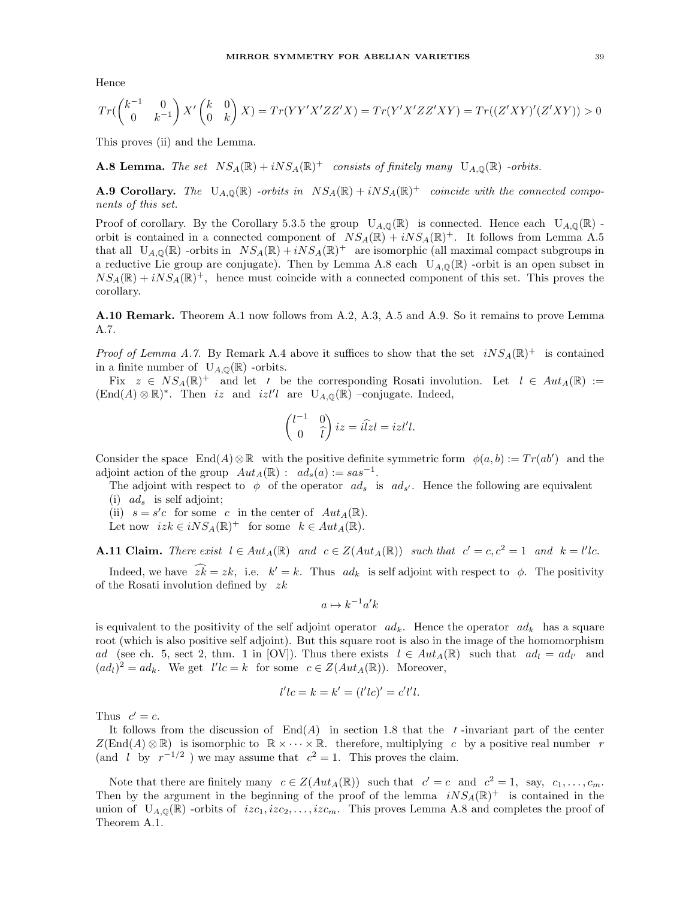Hence

$$
Tr(\begin{pmatrix}k^{-1} & 0 \\ 0 & k^{-1}\end{pmatrix}X'\begin{pmatrix}k & 0 \\ 0 & k\end{pmatrix}X)=Tr(YY'X'ZZ'X)=Tr(Y'X'ZZ'XY)=Tr((Z'XY)'(Z'XY))>0
$$

This proves (ii) and the Lemma.

**A.8 Lemma.** The set  $NS_A(\mathbb{R}) + iNS_A(\mathbb{R})^+$  consists of finitely many  $U_{A,\mathbb{Q}}(\mathbb{R})$  -orbits.

**A.9 Corollary.** The  $U_{A,Q}(\mathbb{R})$  -orbits in  $NS_A(\mathbb{R}) + iNS_A(\mathbb{R})^+$  coincide with the connected components of this set.

Proof of corollary. By the Corollary 5.3.5 the group  $U_{A,Q}(\mathbb{R})$  is connected. Hence each  $U_{A,Q}(\mathbb{R})$  orbit is contained in a connected component of  $NS_A(\mathbb{R}) + iNS_A(\mathbb{R})^+$ . It follows from Lemma A.5 that all  $U_{A,Q}(\mathbb{R})$  -orbits in  $NS_A(\mathbb{R}) + iNS_A(\mathbb{R})^+$  are isomorphic (all maximal compact subgroups in a reductive Lie group are conjugate). Then by Lemma A.8 each  $U_{A,Q}(\mathbb{R})$  -orbit is an open subset in  $NS_A(\mathbb{R}) + iNS_A(\mathbb{R})^+$ , hence must coincide with a connected component of this set. This proves the corollary.

A.10 Remark. Theorem A.1 now follows from A.2, A.3, A.5 and A.9. So it remains to prove Lemma A.7.

*Proof of Lemma A.7.* By Remark A.4 above it suffices to show that the set  $iNS_A(\mathbb{R})^+$  is contained in a finite number of  $U_{A,\mathbb{Q}}(\mathbb{R})$  -orbits.

Fix  $z \in NS_A(\mathbb{R})^+$  and let *l* be the corresponding Rosati involution. Let  $l \in Aut_A(\mathbb{R}) :=$  $(\text{End}(A) \otimes \mathbb{R})^*$ . Then iz and izl'l are  $U_{A,\mathbb{Q}}(\mathbb{R})$  –conjugate. Indeed,

$$
\begin{pmatrix} l^{-1} & 0 \\ 0 & \widehat{l} \end{pmatrix} iz = i\widehat{z}l = izl'l.
$$

Consider the space  $\text{End}(A) \otimes \mathbb{R}$  with the positive definite symmetric form  $\phi(a, b) := Tr(ab')$  and the adjoint action of the group  $Aut_A(\mathbb{R}) : ad_s(a) := sas^{-1}.$ 

The adjoint with respect to  $\phi$  of the operator  $ad_s$  is  $ad_{s'}$ . Hence the following are equivalent (i)  $ad_s$  is self adjoint;

(ii)  $s = s'c$  for some c in the center of  $Aut_A(\mathbb{R})$ .

Let now  $izk \in iNS_A(\mathbb{R})^+$  for some  $k \in Aut_A(\mathbb{R})$ .

**A.11 Claim.** There exist  $l \in Aut_A(\mathbb{R})$  and  $c \in Z(Aut_A(\mathbb{R}))$  such that  $c' = c, c^2 = 1$  and  $k = l'lc$ .

Indeed, we have  $z\hat{k} = zk$ , i.e.  $k' = k$ . Thus  $ad_k$  is self adjoint with respect to  $\phi$ . The positivity of the Rosati involution defined by  $zk$ 

$$
a \mapsto k^{-1}a'k
$$

is equivalent to the positivity of the self adjoint operator  $ad_k$ . Hence the operator  $ad_k$  has a square root (which is also positive self adjoint). But this square root is also in the image of the homomorphism ad (see ch. 5, sect 2, thm. 1 in [OV]). Thus there exists  $l \in Aut_A(\mathbb{R})$  such that  $ad_l = ad_{l'}$  and  $(ad_l)^2 = ad_k$ . We get  $l'lc = k$  for some  $c \in Z(Aut_A(\mathbb{R}))$ . Moreover,

$$
l'lc = k = k' = (l'lc)' = c'l'l.
$$

Thus  $c' = c$ .

It follows from the discussion of  $End(A)$  in section 1.8 that the  $\prime$ -invariant part of the center  $Z(\text{End}(A) \otimes \mathbb{R})$  is isomorphic to  $\mathbb{R} \times \cdots \times \mathbb{R}$ . therefore, multiplying c by a positive real number r (and l by  $r^{-1/2}$ ) we may assume that  $c^2 = 1$ . This proves the claim.

Note that there are finitely many  $c \in Z(Aut_A(\mathbb{R}))$  such that  $c' = c$  and  $c^2 = 1$ , say,  $c_1, \ldots, c_m$ . Then by the argument in the beginning of the proof of the lemma  $iNS_A(\mathbb{R})^+$  is contained in the union of  $U_{A,Q}(\mathbb{R})$  -orbits of  $ize_1, ize_2, \ldots, ize_m$ . This proves Lemma A.8 and completes the proof of Theorem A.1.